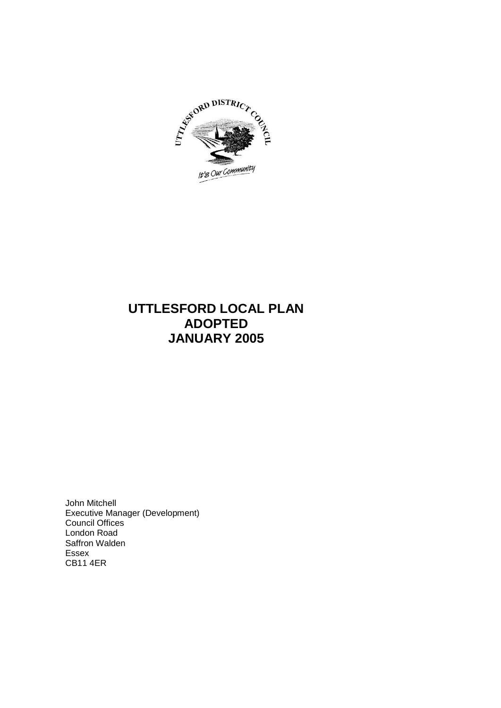

# **UTTLESFORD LOCAL PLAN ADOPTED JANUARY 2005**

John Mitchell Executive Manager (Development) Council Offices London Road Saffron Walden Essex CB11 4ER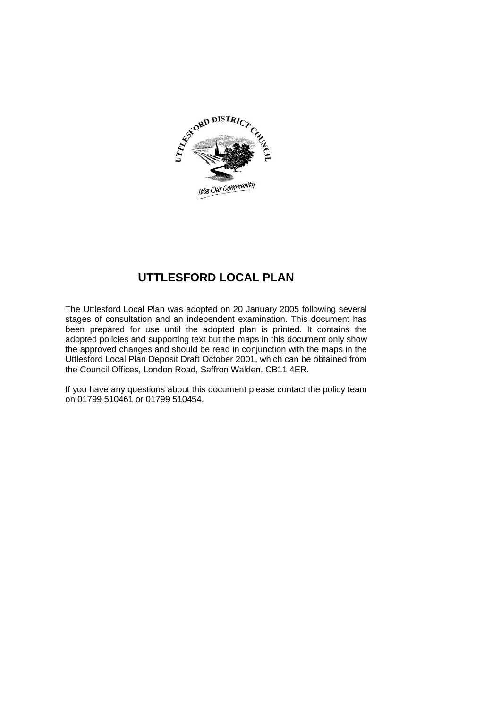

# **UTTLESFORD LOCAL PLAN**

The Uttlesford Local Plan was adopted on 20 January 2005 following several stages of consultation and an independent examination. This document has been prepared for use until the adopted plan is printed. It contains the adopted policies and supporting text but the maps in this document only show the approved changes and should be read in conjunction with the maps in the Uttlesford Local Plan Deposit Draft October 2001, which can be obtained from the Council Offices, London Road, Saffron Walden, CB11 4ER.

If you have any questions about this document please contact the policy team on 01799 510461 or 01799 510454.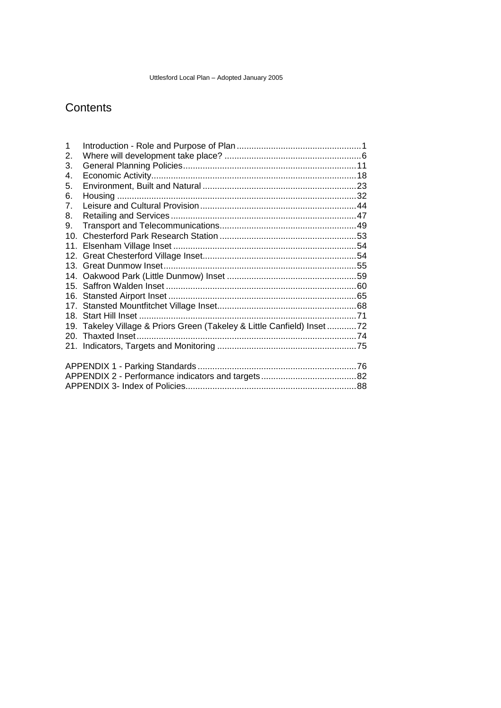# **Contents**

| $\mathbf 1$                                                             |  |
|-------------------------------------------------------------------------|--|
| 2.                                                                      |  |
| 3.                                                                      |  |
| 4.                                                                      |  |
| 5.                                                                      |  |
| 6.                                                                      |  |
| 7.                                                                      |  |
| 8.                                                                      |  |
| 9.                                                                      |  |
| 10 <sub>1</sub>                                                         |  |
|                                                                         |  |
|                                                                         |  |
|                                                                         |  |
|                                                                         |  |
|                                                                         |  |
|                                                                         |  |
|                                                                         |  |
|                                                                         |  |
| 19. Takeley Village & Priors Green (Takeley & Little Canfield) Inset 72 |  |
|                                                                         |  |
|                                                                         |  |
|                                                                         |  |
|                                                                         |  |
|                                                                         |  |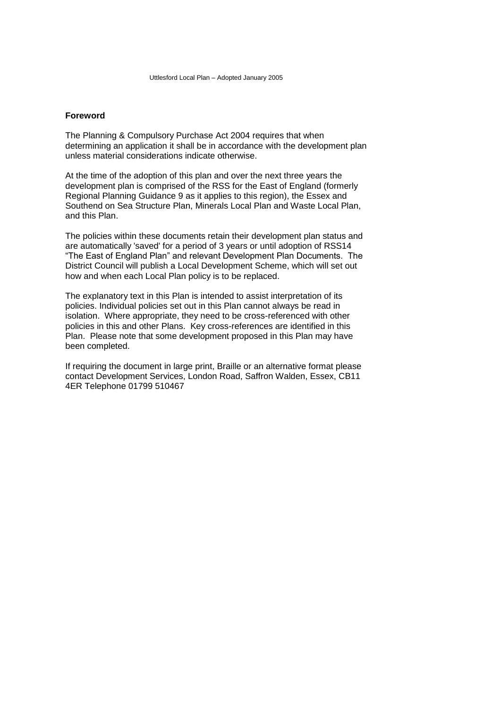# **Foreword**

The Planning & Compulsory Purchase Act 2004 requires that when determining an application it shall be in accordance with the development plan unless material considerations indicate otherwise.

At the time of the adoption of this plan and over the next three years the development plan is comprised of the RSS for the East of England (formerly Regional Planning Guidance 9 as it applies to this region), the Essex and Southend on Sea Structure Plan, Minerals Local Plan and Waste Local Plan, and this Plan.

The policies within these documents retain their development plan status and are automatically 'saved' for a period of 3 years or until adoption of RSS14 "The East of England Plan" and relevant Development Plan Documents. The District Council will publish a Local Development Scheme, which will set out how and when each Local Plan policy is to be replaced.

The explanatory text in this Plan is intended to assist interpretation of its policies. Individual policies set out in this Plan cannot always be read in isolation. Where appropriate, they need to be cross-referenced with other policies in this and other Plans. Key cross-references are identified in this Plan. Please note that some development proposed in this Plan may have been completed.

If requiring the document in large print, Braille or an alternative format please contact Development Services, London Road, Saffron Walden, Essex, CB11 4ER Telephone 01799 510467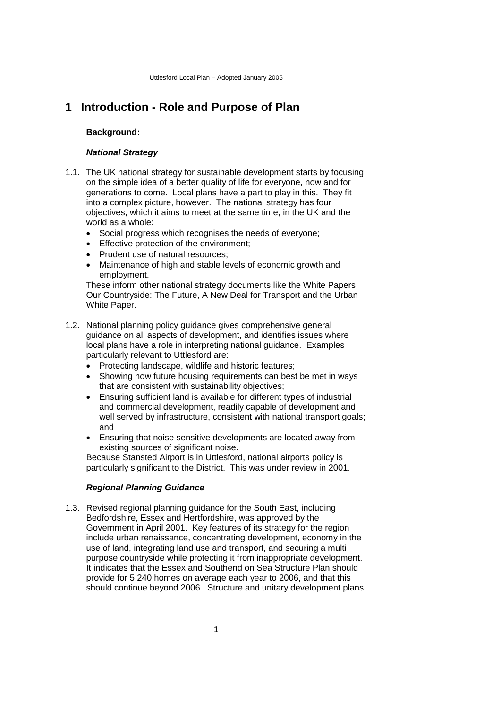# <span id="page-4-0"></span>**1 Introduction - Role and Purpose of Plan**

### **Background:**

### *National Strategy*

- 1.1. The UK national strategy for sustainable development starts by focusing on the simple idea of a better quality of life for everyone, now and for generations to come. Local plans have a part to play in this. They fit into a complex picture, however. The national strategy has four objectives, which it aims to meet at the same time, in the UK and the world as a whole:
	- Social progress which recognises the needs of everyone;
	- **Effective protection of the environment;**
	- Prudent use of natural resources:
	- Maintenance of high and stable levels of economic growth and employment.

These inform other national strategy documents like the White Papers Our Countryside: The Future, A New Deal for Transport and the Urban White Paper.

- 1.2. National planning policy guidance gives comprehensive general guidance on all aspects of development, and identifies issues where local plans have a role in interpreting national guidance. Examples particularly relevant to Uttlesford are:
	- Protecting landscape, wildlife and historic features:
	- Showing how future housing requirements can best be met in ways that are consistent with sustainability objectives;
	- Ensuring sufficient land is available for different types of industrial and commercial development, readily capable of development and well served by infrastructure, consistent with national transport goals; and
	- Ensuring that noise sensitive developments are located away from existing sources of significant noise.

Because Stansted Airport is in Uttlesford, national airports policy is particularly significant to the District. This was under review in 2001.

## *Regional Planning Guidance*

1.3. Revised regional planning guidance for the South East, including Bedfordshire, Essex and Hertfordshire, was approved by the Government in April 2001. Key features of its strategy for the region include urban renaissance, concentrating development, economy in the use of land, integrating land use and transport, and securing a multi purpose countryside while protecting it from inappropriate development. It indicates that the Essex and Southend on Sea Structure Plan should provide for 5,240 homes on average each year to 2006, and that this should continue beyond 2006. Structure and unitary development plans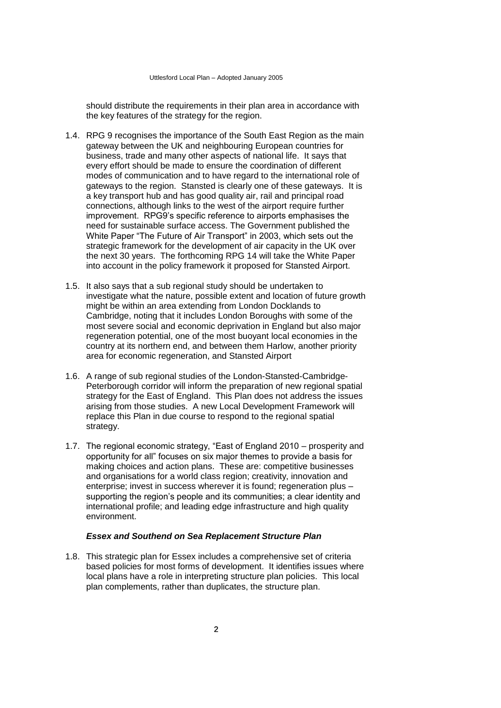should distribute the requirements in their plan area in accordance with the key features of the strategy for the region.

- 1.4. RPG 9 recognises the importance of the South East Region as the main gateway between the UK and neighbouring European countries for business, trade and many other aspects of national life. It says that every effort should be made to ensure the coordination of different modes of communication and to have regard to the international role of gateways to the region. Stansted is clearly one of these gateways. It is a key transport hub and has good quality air, rail and principal road connections, although links to the west of the airport require further improvement. RPG9's specific reference to airports emphasises the need for sustainable surface access. The Government published the White Paper "The Future of Air Transport" in 2003, which sets out the strategic framework for the development of air capacity in the UK over the next 30 years. The forthcoming RPG 14 will take the White Paper into account in the policy framework it proposed for Stansted Airport.
- 1.5. It also says that a sub regional study should be undertaken to investigate what the nature, possible extent and location of future growth might be within an area extending from London Docklands to Cambridge, noting that it includes London Boroughs with some of the most severe social and economic deprivation in England but also major regeneration potential, one of the most buoyant local economies in the country at its northern end, and between them Harlow, another priority area for economic regeneration, and Stansted Airport
- 1.6. A range of sub regional studies of the London-Stansted-Cambridge-Peterborough corridor will inform the preparation of new regional spatial strategy for the East of England. This Plan does not address the issues arising from those studies. A new Local Development Framework will replace this Plan in due course to respond to the regional spatial strategy.
- 1.7. The regional economic strategy, "East of England 2010 prosperity and opportunity for all" focuses on six major themes to provide a basis for making choices and action plans. These are: competitive businesses and organisations for a world class region; creativity, innovation and enterprise; invest in success wherever it is found; regeneration plus – supporting the region's people and its communities; a clear identity and international profile; and leading edge infrastructure and high quality environment.

#### *Essex and Southend on Sea Replacement Structure Plan*

1.8. This strategic plan for Essex includes a comprehensive set of criteria based policies for most forms of development. It identifies issues where local plans have a role in interpreting structure plan policies. This local plan complements, rather than duplicates, the structure plan.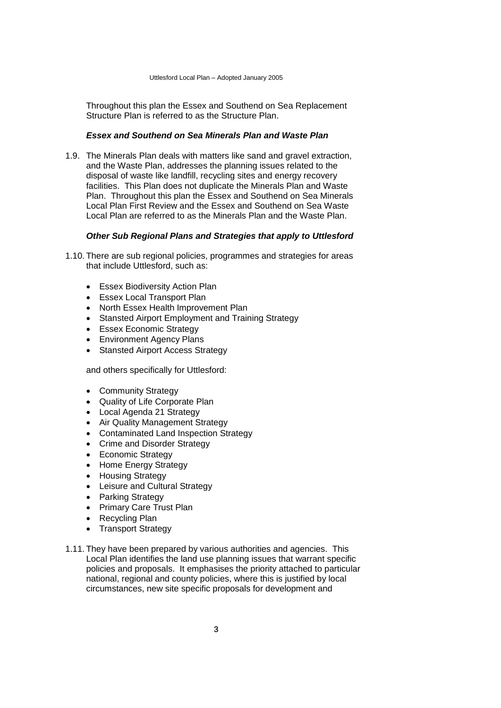Throughout this plan the Essex and Southend on Sea Replacement Structure Plan is referred to as the Structure Plan.

# *Essex and Southend on Sea Minerals Plan and Waste Plan*

1.9. The Minerals Plan deals with matters like sand and gravel extraction, and the Waste Plan, addresses the planning issues related to the disposal of waste like landfill, recycling sites and energy recovery facilities. This Plan does not duplicate the Minerals Plan and Waste Plan. Throughout this plan the Essex and Southend on Sea Minerals Local Plan First Review and the Essex and Southend on Sea Waste Local Plan are referred to as the Minerals Plan and the Waste Plan.

# *Other Sub Regional Plans and Strategies that apply to Uttlesford*

- 1.10. There are sub regional policies, programmes and strategies for areas that include Uttlesford, such as:
	- Essex Biodiversity Action Plan
	- Essex Local Transport Plan
	- North Essex Health Improvement Plan
	- Stansted Airport Employment and Training Strategy
	- Essex Economic Strategy
	- Environment Agency Plans
	- Stansted Airport Access Strategy

and others specifically for Uttlesford:

- Community Strategy
- Quality of Life Corporate Plan
- Local Agenda 21 Strategy
- Air Quality Management Strategy
- Contaminated Land Inspection Strategy
- Crime and Disorder Strategy
- Economic Strategy
- Home Energy Strategy
- Housing Strategy
- Leisure and Cultural Strategy
- Parking Strategy
- Primary Care Trust Plan
- Recycling Plan
- Transport Strategy
- 1.11. They have been prepared by various authorities and agencies. This Local Plan identifies the land use planning issues that warrant specific policies and proposals. It emphasises the priority attached to particular national, regional and county policies, where this is justified by local circumstances, new site specific proposals for development and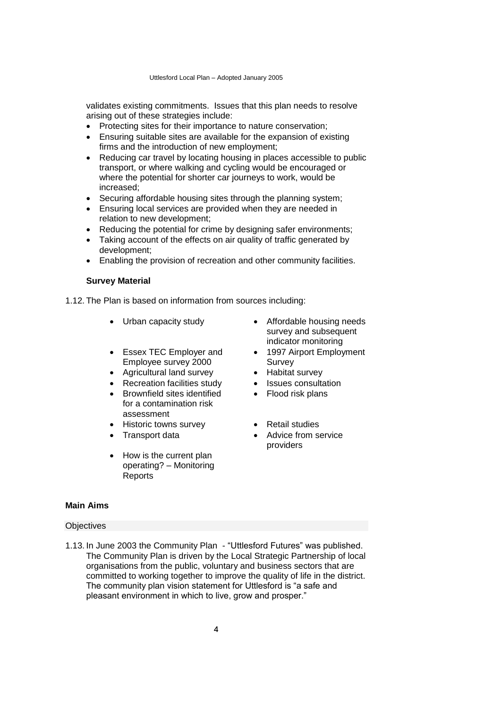validates existing commitments. Issues that this plan needs to resolve arising out of these strategies include:

- Protecting sites for their importance to nature conservation;
- Ensuring suitable sites are available for the expansion of existing firms and the introduction of new employment;
- Reducing car travel by locating housing in places accessible to public transport, or where walking and cycling would be encouraged or where the potential for shorter car journeys to work, would be increased;
- Securing affordable housing sites through the planning system;
- Ensuring local services are provided when they are needed in relation to new development;
- Reducing the potential for crime by designing safer environments;
- Taking account of the effects on air quality of traffic generated by development;
- Enabling the provision of recreation and other community facilities.

## **Survey Material**

1.12. The Plan is based on information from sources including:

- 
- Essex TEC Employer and Employee survey 2000
- Agricultural land survey Habitat survey
- Recreation facilities study Issues consultation
- Brownfield sites identified for a contamination risk assessment
- Historic towns survey **and Communist** Petail studies
- 
- How is the current plan operating? – Monitoring Reports
- Urban capacity study Affordable housing needs survey and subsequent indicator monitoring
	- 1997 Airport Employment Survey
	-
	-
	- Flood risk plans
	-
- Transport data **•** Advice from service providers

# **Main Aims**

## **Objectives**

1.13. In June 2003 the Community Plan - "Uttlesford Futures" was published. The Community Plan is driven by the Local Strategic Partnership of local organisations from the public, voluntary and business sectors that are committed to working together to improve the quality of life in the district. The community plan vision statement for Uttlesford is "a safe and pleasant environment in which to live, grow and prosper."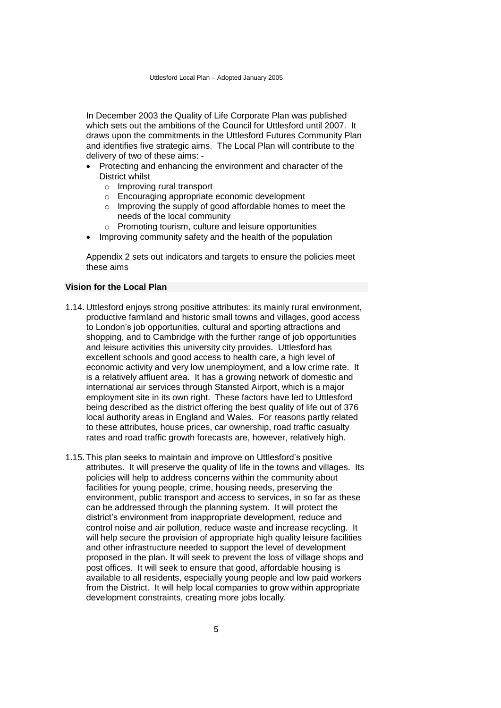In December 2003 the Quality of Life Corporate Plan was published which sets out the ambitions of the Council for Uttlesford until 2007. It draws upon the commitments in the Uttlesford Futures Community Plan and identifies five strategic aims. The Local Plan will contribute to the delivery of two of these aims: -

- Protecting and enhancing the environment and character of the District whilst
	- o Improving rural transport
	- o Encouraging appropriate economic development
	- o Improving the supply of good affordable homes to meet the needs of the local community
	- o Promoting tourism, culture and leisure opportunities
- Improving community safety and the health of the population

Appendix 2 sets out indicators and targets to ensure the policies meet these aims

# **Vision for the Local Plan**

- 1.14. Uttlesford enjoys strong positive attributes: its mainly rural environment, productive farmland and historic small towns and villages, good access to London's job opportunities, cultural and sporting attractions and shopping, and to Cambridge with the further range of job opportunities and leisure activities this university city provides. Uttlesford has excellent schools and good access to health care, a high level of economic activity and very low unemployment, and a low crime rate. It is a relatively affluent area. It has a growing network of domestic and international air services through Stansted Airport, which is a major employment site in its own right. These factors have led to Uttlesford being described as the district offering the best quality of life out of 376 local authority areas in England and Wales. For reasons partly related to these attributes, house prices, car ownership, road traffic casualty rates and road traffic growth forecasts are, however, relatively high.
- 1.15. This plan seeks to maintain and improve on Uttlesford's positive attributes. It will preserve the quality of life in the towns and villages. Its policies will help to address concerns within the community about facilities for young people, crime, housing needs, preserving the environment, public transport and access to services, in so far as these can be addressed through the planning system. It will protect the district's environment from inappropriate development, reduce and control noise and air pollution, reduce waste and increase recycling. It will help secure the provision of appropriate high quality leisure facilities and other infrastructure needed to support the level of development proposed in the plan. It will seek to prevent the loss of village shops and post offices. It will seek to ensure that good, affordable housing is available to all residents, especially young people and low paid workers from the District. It will help local companies to grow within appropriate development constraints, creating more jobs locally.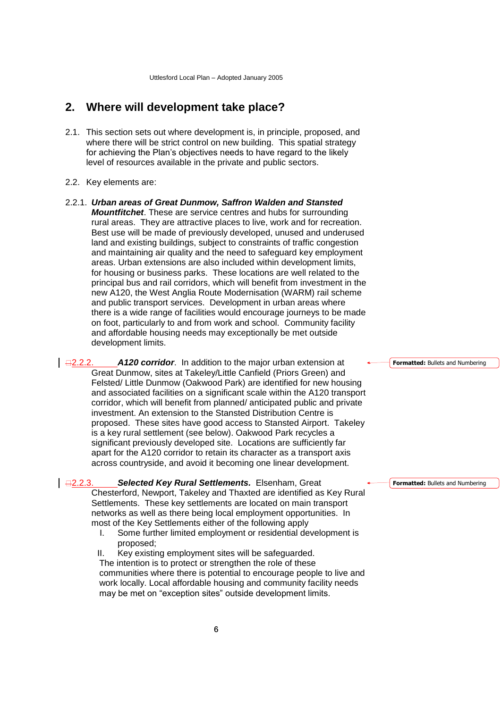# <span id="page-9-0"></span>**2. Where will development take place?**

- 2.1. This section sets out where development is, in principle, proposed, and where there will be strict control on new building. This spatial strategy for achieving the Plan's objectives needs to have regard to the likely level of resources available in the private and public sectors.
- 2.2. Key elements are:
- 2.2.1. *Urban areas of Great Dunmow, Saffron Walden and Stansted Mountfitchet*. These are service centres and hubs for surrounding rural areas. They are attractive places to live, work and for recreation. Best use will be made of previously developed, unused and underused land and existing buildings, subject to constraints of traffic congestion and maintaining air quality and the need to safeguard key employment areas. Urban extensions are also included within development limits, for housing or business parks. These locations are well related to the principal bus and rail corridors, which will benefit from investment in the new A120, the West Anglia Route Modernisation (WARM) rail scheme and public transport services. Development in urban areas where there is a wide range of facilities would encourage journeys to be made on foot, particularly to and from work and school. Community facility and affordable housing needs may exceptionally be met outside development limits.

 $\Box$ **2.2.2. A120 corridor**. In addition to the major urban extension at Great Dunmow, sites at Takeley/Little Canfield (Priors Green) and Felsted/ Little Dunmow (Oakwood Park) are identified for new housing and associated facilities on a significant scale within the A120 transport corridor, which will benefit from planned/ anticipated public and private investment. An extension to the Stansted Distribution Centre is proposed. These sites have good access to Stansted Airport. Takeley is a key rural settlement (see below). Oakwood Park recycles a significant previously developed site. Locations are sufficiently far apart for the A120 corridor to retain its character as a transport axis across countryside, and avoid it becoming one linear development.

2.2.3. *Selected Key Rural Settlements.* Elsenham, Great Chesterford, Newport, Takeley and Thaxted are identified as Key Rural Settlements. These key settlements are located on main transport networks as well as there being local employment opportunities. In most of the Key Settlements either of the following apply

I. Some further limited employment or residential development is proposed;

II. Key existing employment sites will be safeguarded. The intention is to protect or strengthen the role of these communities where there is potential to encourage people to live and work locally. Local affordable housing and community facility needs may be met on "exception sites" outside development limits.

**Formatted:** Bullets and Numbering

**Formatted:** Bullets and Numbering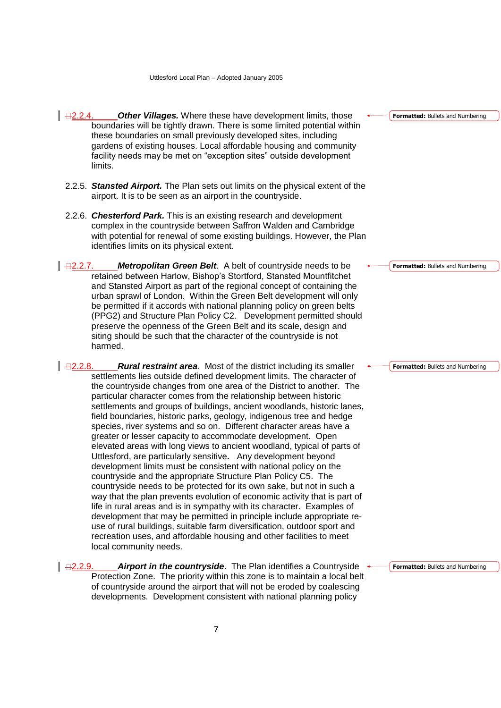- 2.2.4. *Other Villages.* Where these have development limits, those boundaries will be tightly drawn. There is some limited potential within these boundaries on small previously developed sites, including gardens of existing houses. Local affordable housing and community facility needs may be met on "exception sites" outside development limits.
- 2.2.5. *Stansted Airport.* The Plan sets out limits on the physical extent of the airport. It is to be seen as an airport in the countryside.
- 2.2.6. *Chesterford Park.* This is an existing research and development complex in the countryside between Saffron Walden and Cambridge with potential for renewal of some existing buildings. However, the Plan identifies limits on its physical extent.
- 2.2.7. *Metropolitan Green Belt*. A belt of countryside needs to be retained between Harlow, Bishop's Stortford, Stansted Mountfitchet and Stansted Airport as part of the regional concept of containing the urban sprawl of London. Within the Green Belt development will only be permitted if it accords with national planning policy on green belts (PPG2) and Structure Plan Policy C2. Development permitted should preserve the openness of the Green Belt and its scale, design and siting should be such that the character of the countryside is not harmed.

2.2.8. *Rural restraint area*. Most of the district including its smaller settlements lies outside defined development limits. The character of the countryside changes from one area of the District to another. The particular character comes from the relationship between historic settlements and groups of buildings, ancient woodlands, historic lanes, field boundaries, historic parks, geology, indigenous tree and hedge species, river systems and so on. Different character areas have a greater or lesser capacity to accommodate development. Open elevated areas with long views to ancient woodland, typical of parts of Uttlesford, are particularly sensitive**.** Any development beyond development limits must be consistent with national policy on the countryside and the appropriate Structure Plan Policy C5. The countryside needs to be protected for its own sake, but not in such a way that the plan prevents evolution of economic activity that is part of life in rural areas and is in sympathy with its character. Examples of development that may be permitted in principle include appropriate reuse of rural buildings, suitable farm diversification, outdoor sport and recreation uses, and affordable housing and other facilities to meet local community needs.

2.2.9. *Airport in the countryside*. The Plan identifies a Countryside Protection Zone. The priority within this zone is to maintain a local belt of countryside around the airport that will not be eroded by coalescing developments. Development consistent with national planning policy

**Formatted:** Bullets and Numbering

**Formatted:** Bullets and Numbering

**Formatted:** Bullets and Numbering

**Formatted:** Bullets and Numbering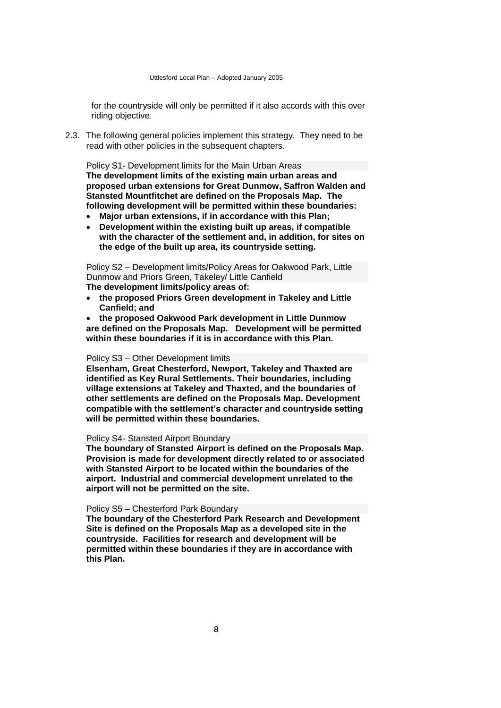for the countryside will only be permitted if it also accords with this over riding objective.

2.3. The following general policies implement this strategy. They need to be read with other policies in the subsequent chapters.

Policy S1- Development limits for the Main Urban Areas **The development limits of the existing main urban areas and proposed urban extensions for Great Dunmow, Saffron Walden and Stansted Mountfitchet are defined on the Proposals Map. The following development will be permitted within these boundaries:**

- **Major urban extensions, if in accordance with this Plan;**
- **Development within the existing built up areas, if compatible with the character of the settlement and, in addition, for sites on the edge of the built up area, its countryside setting.**

Policy S2 – Development limits/Policy Areas for Oakwood Park, Little Dunmow and Priors Green, Takeley/ Little Canfield

**The development limits/policy areas of:**

 **the proposed Priors Green development in Takeley and Little Canfield; and**

 **the proposed Oakwood Park development in Little Dunmow are defined on the Proposals Map. Development will be permitted within these boundaries if it is in accordance with this Plan.**

#### Policy S3 – Other Development limits

**Elsenham, Great Chesterford, Newport, Takeley and Thaxted are identified as Key Rural Settlements. Their boundaries, including village extensions at Takeley and Thaxted, and the boundaries of other settlements are defined on the Proposals Map. Development compatible with the settlement's character and countryside setting will be permitted within these boundaries.** 

# Policy S4- Stansted Airport Boundary

**The boundary of Stansted Airport is defined on the Proposals Map. Provision is made for development directly related to or associated with Stansted Airport to be located within the boundaries of the airport. Industrial and commercial development unrelated to the airport will not be permitted on the site.** 

#### Policy S5 – Chesterford Park Boundary

**The boundary of the Chesterford Park Research and Development Site is defined on the Proposals Map as a developed site in the countryside. Facilities for research and development will be permitted within these boundaries if they are in accordance with this Plan.**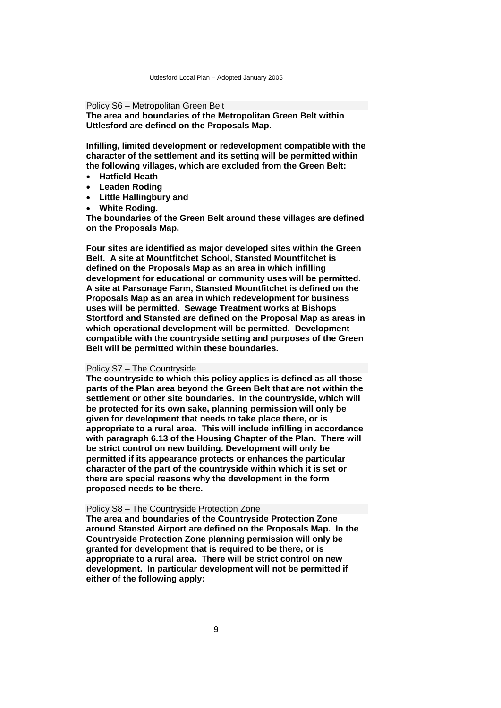#### Policy S6 – Metropolitan Green Belt

**The area and boundaries of the Metropolitan Green Belt within Uttlesford are defined on the Proposals Map.**

**Infilling, limited development or redevelopment compatible with the character of the settlement and its setting will be permitted within the following villages, which are excluded from the Green Belt:**

- **Hatfield Heath**
- **Leaden Roding**
- **Little Hallingbury and**
- **White Roding.**

**The boundaries of the Green Belt around these villages are defined on the Proposals Map.**

**Four sites are identified as major developed sites within the Green Belt. A site at Mountfitchet School, Stansted Mountfitchet is defined on the Proposals Map as an area in which infilling development for educational or community uses will be permitted. A site at Parsonage Farm, Stansted Mountfitchet is defined on the Proposals Map as an area in which redevelopment for business uses will be permitted. Sewage Treatment works at Bishops Stortford and Stansted are defined on the Proposal Map as areas in which operational development will be permitted. Development compatible with the countryside setting and purposes of the Green Belt will be permitted within these boundaries.** 

#### Policy S7 – The Countryside

**The countryside to which this policy applies is defined as all those parts of the Plan area beyond the Green Belt that are not within the settlement or other site boundaries. In the countryside, which will be protected for its own sake, planning permission will only be given for development that needs to take place there, or is appropriate to a rural area. This will include infilling in accordance with paragraph 6.13 of the Housing Chapter of the Plan. There will be strict control on new building. Development will only be permitted if its appearance protects or enhances the particular character of the part of the countryside within which it is set or there are special reasons why the development in the form proposed needs to be there.** 

#### Policy S8 – The Countryside Protection Zone

**The area and boundaries of the Countryside Protection Zone around Stansted Airport are defined on the Proposals Map. In the Countryside Protection Zone planning permission will only be granted for development that is required to be there, or is appropriate to a rural area. There will be strict control on new development. In particular development will not be permitted if either of the following apply:**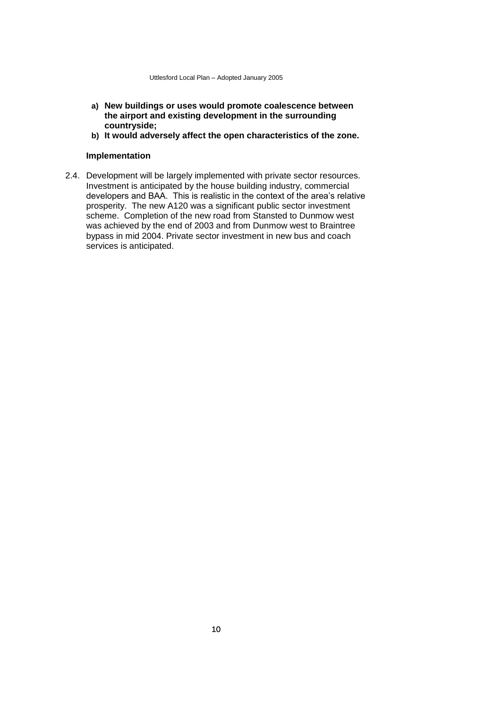- **a) New buildings or uses would promote coalescence between the airport and existing development in the surrounding countryside;**
- **b) It would adversely affect the open characteristics of the zone.**

# **Implementation**

2.4. Development will be largely implemented with private sector resources. Investment is anticipated by the house building industry, commercial developers and BAA. This is realistic in the context of the area's relative prosperity. The new A120 was a significant public sector investment scheme. Completion of the new road from Stansted to Dunmow west was achieved by the end of 2003 and from Dunmow west to Braintree bypass in mid 2004. Private sector investment in new bus and coach services is anticipated.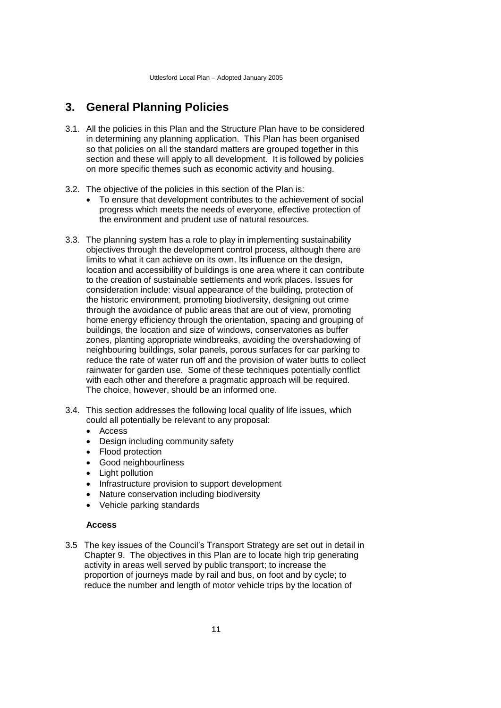# <span id="page-14-0"></span>**3. General Planning Policies**

- 3.1. All the policies in this Plan and the Structure Plan have to be considered in determining any planning application. This Plan has been organised so that policies on all the standard matters are grouped together in this section and these will apply to all development. It is followed by policies on more specific themes such as economic activity and housing.
- 3.2. The objective of the policies in this section of the Plan is:
	- To ensure that development contributes to the achievement of social progress which meets the needs of everyone, effective protection of the environment and prudent use of natural resources.
- 3.3. The planning system has a role to play in implementing sustainability objectives through the development control process, although there are limits to what it can achieve on its own. Its influence on the design, location and accessibility of buildings is one area where it can contribute to the creation of sustainable settlements and work places. Issues for consideration include: visual appearance of the building, protection of the historic environment, promoting biodiversity, designing out crime through the avoidance of public areas that are out of view, promoting home energy efficiency through the orientation, spacing and grouping of buildings, the location and size of windows, conservatories as buffer zones, planting appropriate windbreaks, avoiding the overshadowing of neighbouring buildings, solar panels, porous surfaces for car parking to reduce the rate of water run off and the provision of water butts to collect rainwater for garden use. Some of these techniques potentially conflict with each other and therefore a pragmatic approach will be required. The choice, however, should be an informed one.
- 3.4. This section addresses the following local quality of life issues, which could all potentially be relevant to any proposal:
	- Access
	- Design including community safety
	- Flood protection
	- Good neighbourliness
	- Light pollution
	- Infrastructure provision to support development
	- Nature conservation including biodiversity
	- Vehicle parking standards

# **Access**

3.5 The key issues of the Council's Transport Strategy are set out in detail in Chapter 9. The objectives in this Plan are to locate high trip generating activity in areas well served by public transport; to increase the proportion of journeys made by rail and bus, on foot and by cycle; to reduce the number and length of motor vehicle trips by the location of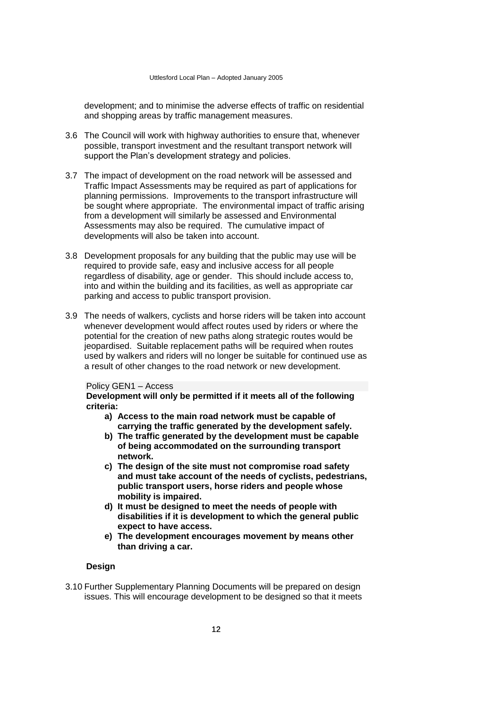development; and to minimise the adverse effects of traffic on residential and shopping areas by traffic management measures.

- 3.6 The Council will work with highway authorities to ensure that, whenever possible, transport investment and the resultant transport network will support the Plan's development strategy and policies.
- 3.7 The impact of development on the road network will be assessed and Traffic Impact Assessments may be required as part of applications for planning permissions. Improvements to the transport infrastructure will be sought where appropriate. The environmental impact of traffic arising from a development will similarly be assessed and Environmental Assessments may also be required. The cumulative impact of developments will also be taken into account.
- 3.8 Development proposals for any building that the public may use will be required to provide safe, easy and inclusive access for all people regardless of disability, age or gender. This should include access to, into and within the building and its facilities, as well as appropriate car parking and access to public transport provision.
- 3.9 The needs of walkers, cyclists and horse riders will be taken into account whenever development would affect routes used by riders or where the potential for the creation of new paths along strategic routes would be jeopardised. Suitable replacement paths will be required when routes used by walkers and riders will no longer be suitable for continued use as a result of other changes to the road network or new development.

# Policy GEN1 – Access

**Development will only be permitted if it meets all of the following criteria:** 

- **a) Access to the main road network must be capable of carrying the traffic generated by the development safely.**
- **b) The traffic generated by the development must be capable of being accommodated on the surrounding transport network.**
- **c) The design of the site must not compromise road safety and must take account of the needs of cyclists, pedestrians, public transport users, horse riders and people whose mobility is impaired.**
- **d) It must be designed to meet the needs of people with disabilities if it is development to which the general public expect to have access.**
- **e) The development encourages movement by means other than driving a car.**

## **Design**

3.10 Further Supplementary Planning Documents will be prepared on design issues. This will encourage development to be designed so that it meets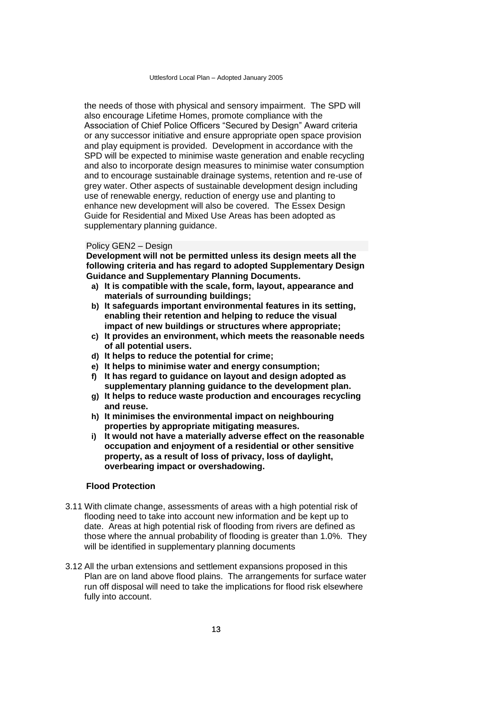the needs of those with physical and sensory impairment. The SPD will also encourage Lifetime Homes, promote compliance with the Association of Chief Police Officers "Secured by Design" Award criteria or any successor initiative and ensure appropriate open space provision and play equipment is provided. Development in accordance with the SPD will be expected to minimise waste generation and enable recycling and also to incorporate design measures to minimise water consumption and to encourage sustainable drainage systems, retention and re-use of grey water. Other aspects of sustainable development design including use of renewable energy, reduction of energy use and planting to enhance new development will also be covered.The Essex Design Guide for Residential and Mixed Use Areas has been adopted as supplementary planning guidance.

#### Policy GEN2 – Design

**Development will not be permitted unless its design meets all the following criteria and has regard to adopted Supplementary Design Guidance and Supplementary Planning Documents.**

- **a) It is compatible with the scale, form, layout, appearance and materials of surrounding buildings;**
- **b) It safeguards important environmental features in its setting, enabling their retention and helping to reduce the visual impact of new buildings or structures where appropriate;**
- **c) It provides an environment, which meets the reasonable needs of all potential users.**
- **d) It helps to reduce the potential for crime;**
- **e) It helps to minimise water and energy consumption;**
- **f) It has regard to guidance on layout and design adopted as supplementary planning guidance to the development plan.**
- **g) It helps to reduce waste production and encourages recycling and reuse.**
- **h) It minimises the environmental impact on neighbouring properties by appropriate mitigating measures.**
- **i) It would not have a materially adverse effect on the reasonable occupation and enjoyment of a residential or other sensitive property, as a result of loss of privacy, loss of daylight, overbearing impact or overshadowing.**

#### **Flood Protection**

- 3.11 With climate change, assessments of areas with a high potential risk of flooding need to take into account new information and be kept up to date. Areas at high potential risk of flooding from rivers are defined as those where the annual probability of flooding is greater than 1.0%. They will be identified in supplementary planning documents
- 3.12 All the urban extensions and settlement expansions proposed in this Plan are on land above flood plains. The arrangements for surface water run off disposal will need to take the implications for flood risk elsewhere fully into account.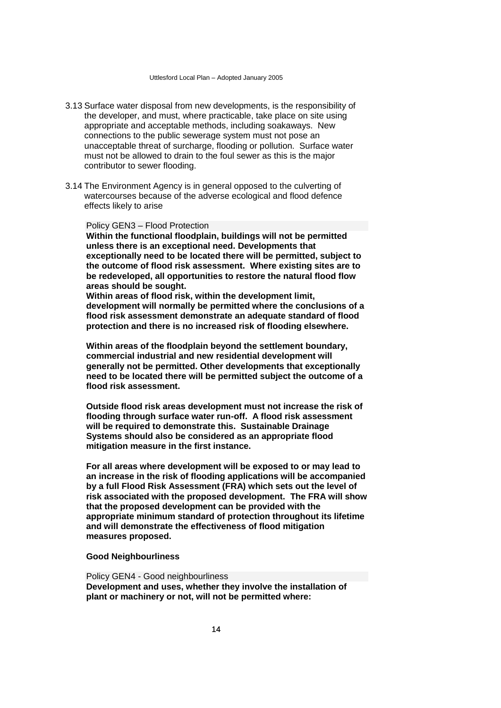- 3.13 Surface water disposal from new developments, is the responsibility of the developer, and must, where practicable, take place on site using appropriate and acceptable methods, including soakaways. New connections to the public sewerage system must not pose an unacceptable threat of surcharge, flooding or pollution. Surface water must not be allowed to drain to the foul sewer as this is the major contributor to sewer flooding.
- 3.14 The Environment Agency is in general opposed to the culverting of watercourses because of the adverse ecological and flood defence effects likely to arise

#### Policy GEN3 – Flood Protection

**Within the functional floodplain, buildings will not be permitted unless there is an exceptional need. Developments that exceptionally need to be located there will be permitted, subject to the outcome of flood risk assessment. Where existing sites are to be redeveloped, all opportunities to restore the natural flood flow areas should be sought.**

**Within areas of flood risk, within the development limit, development will normally be permitted where the conclusions of a flood risk assessment demonstrate an adequate standard of flood protection and there is no increased risk of flooding elsewhere.**

**Within areas of the floodplain beyond the settlement boundary, commercial industrial and new residential development will generally not be permitted. Other developments that exceptionally need to be located there will be permitted subject the outcome of a flood risk assessment.** 

**Outside flood risk areas development must not increase the risk of flooding through surface water run-off. A flood risk assessment will be required to demonstrate this. Sustainable Drainage Systems should also be considered as an appropriate flood mitigation measure in the first instance.**

**For all areas where development will be exposed to or may lead to an increase in the risk of flooding applications will be accompanied by a full Flood Risk Assessment (FRA) which sets out the level of risk associated with the proposed development. The FRA will show that the proposed development can be provided with the appropriate minimum standard of protection throughout its lifetime and will demonstrate the effectiveness of flood mitigation measures proposed.**

#### **Good Neighbourliness**

Policy GEN4 - Good neighbourliness **Development and uses, whether they involve the installation of plant or machinery or not, will not be permitted where:**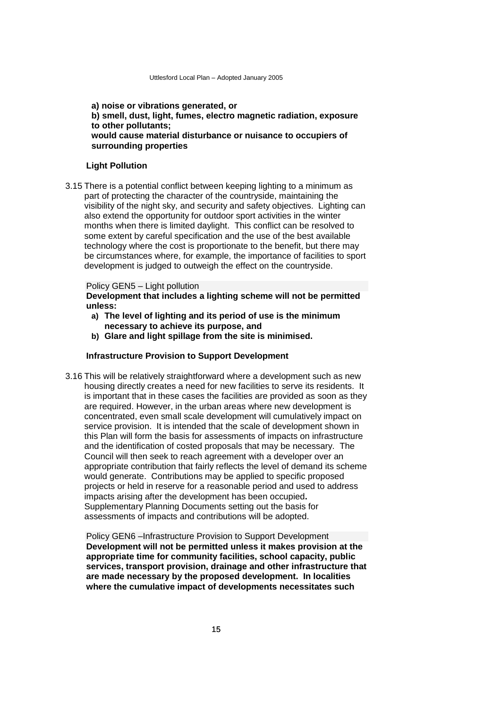# **a) noise or vibrations generated, or b) smell, dust, light, fumes, electro magnetic radiation, exposure to other pollutants; would cause material disturbance or nuisance to occupiers of surrounding properties**

#### **Light Pollution**

3.15 There is a potential conflict between keeping lighting to a minimum as part of protecting the character of the countryside, maintaining the visibility of the night sky, and security and safety objectives. Lighting can also extend the opportunity for outdoor sport activities in the winter months when there is limited daylight. This conflict can be resolved to some extent by careful specification and the use of the best available technology where the cost is proportionate to the benefit, but there may be circumstances where, for example, the importance of facilities to sport development is judged to outweigh the effect on the countryside.

#### Policy GEN5 – Light pollution

**Development that includes a lighting scheme will not be permitted unless:**

- **a) The level of lighting and its period of use is the minimum necessary to achieve its purpose, and**
- **b) Glare and light spillage from the site is minimised.**

#### **Infrastructure Provision to Support Development**

3.16 This will be relatively straightforward where a development such as new housing directly creates a need for new facilities to serve its residents. It is important that in these cases the facilities are provided as soon as they are required. However, in the urban areas where new development is concentrated, even small scale development will cumulatively impact on service provision. It is intended that the scale of development shown in this Plan will form the basis for assessments of impacts on infrastructure and the identification of costed proposals that may be necessary. The Council will then seek to reach agreement with a developer over an appropriate contribution that fairly reflects the level of demand its scheme would generate. Contributions may be applied to specific proposed projects or held in reserve for a reasonable period and used to address impacts arising after the development has been occupied**.**  Supplementary Planning Documents setting out the basis for assessments of impacts and contributions will be adopted.

Policy GEN6 –Infrastructure Provision to Support Development **Development will not be permitted unless it makes provision at the appropriate time for community facilities, school capacity, public services, transport provision, drainage and other infrastructure that are made necessary by the proposed development. In localities where the cumulative impact of developments necessitates such**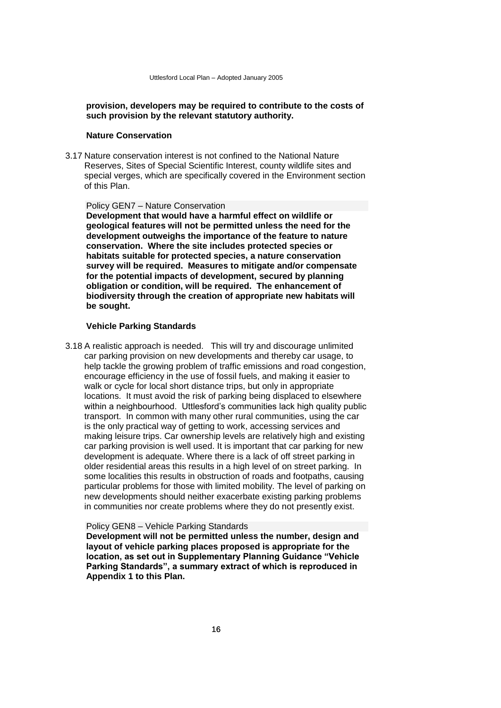# **provision, developers may be required to contribute to the costs of such provision by the relevant statutory authority.**

# **Nature Conservation**

3.17 Nature conservation interest is not confined to the National Nature Reserves, Sites of Special Scientific Interest, county wildlife sites and special verges, which are specifically covered in the Environment section of this Plan.

#### Policy GEN7 – Nature Conservation

**Development that would have a harmful effect on wildlife or geological features will not be permitted unless the need for the development outweighs the importance of the feature to nature conservation. Where the site includes protected species or habitats suitable for protected species, a nature conservation survey will be required. Measures to mitigate and/or compensate for the potential impacts of development, secured by planning obligation or condition, will be required. The enhancement of biodiversity through the creation of appropriate new habitats will be sought.** 

# **Vehicle Parking Standards**

3.18 A realistic approach is needed. This will try and discourage unlimited car parking provision on new developments and thereby car usage, to help tackle the growing problem of traffic emissions and road congestion, encourage efficiency in the use of fossil fuels, and making it easier to walk or cycle for local short distance trips, but only in appropriate locations. It must avoid the risk of parking being displaced to elsewhere within a neighbourhood. Uttlesford's communities lack high quality public transport. In common with many other rural communities, using the car is the only practical way of getting to work, accessing services and making leisure trips. Car ownership levels are relatively high and existing car parking provision is well used. It is important that car parking for new development is adequate. Where there is a lack of off street parking in older residential areas this results in a high level of on street parking. In some localities this results in obstruction of roads and footpaths, causing particular problems for those with limited mobility. The level of parking on new developments should neither exacerbate existing parking problems in communities nor create problems where they do not presently exist.

#### Policy GEN8 – Vehicle Parking Standards

**Development will not be permitted unless the number, design and layout of vehicle parking places proposed is appropriate for the location, as set out in Supplementary Planning Guidance "Vehicle Parking Standards", a summary extract of which is reproduced in Appendix 1 to this Plan.**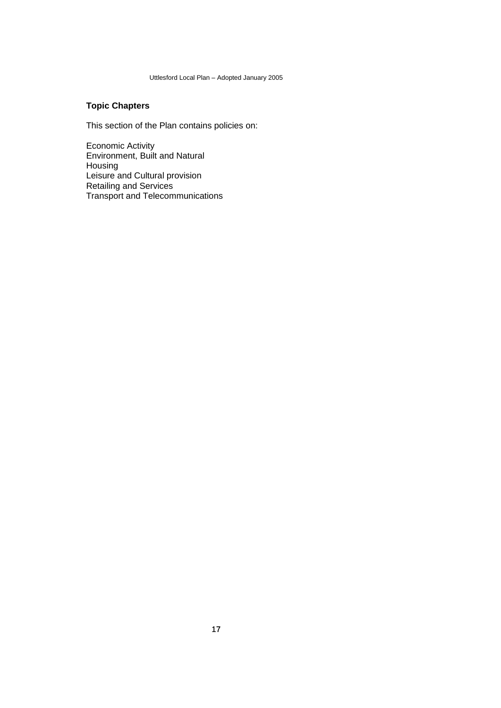# **Topic Chapters**

This section of the Plan contains policies on:

Economic Activity Environment, Built and Natural Housing Leisure and Cultural provision Retailing and Services Transport and Telecommunications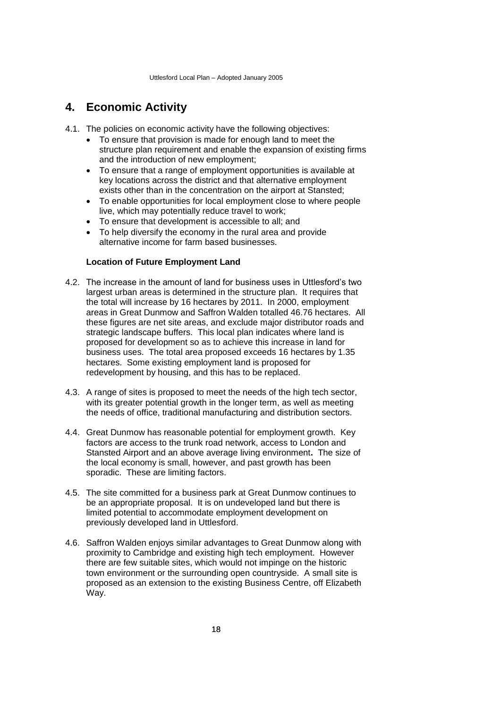# <span id="page-21-0"></span>**4. Economic Activity**

- 4.1. The policies on economic activity have the following objectives:
	- To ensure that provision is made for enough land to meet the structure plan requirement and enable the expansion of existing firms and the introduction of new employment;
	- To ensure that a range of employment opportunities is available at key locations across the district and that alternative employment exists other than in the concentration on the airport at Stansted;
	- To enable opportunities for local employment close to where people live, which may potentially reduce travel to work;
	- To ensure that development is accessible to all; and
	- To help diversify the economy in the rural area and provide alternative income for farm based businesses.

# **Location of Future Employment Land**

- 4.2. The increase in the amount of land for business uses in Uttlesford's two largest urban areas is determined in the structure plan. It requires that the total will increase by 16 hectares by 2011. In 2000, employment areas in Great Dunmow and Saffron Walden totalled 46.76 hectares. All these figures are net site areas, and exclude major distributor roads and strategic landscape buffers. This local plan indicates where land is proposed for development so as to achieve this increase in land for business uses. The total area proposed exceeds 16 hectares by 1.35 hectares. Some existing employment land is proposed for redevelopment by housing, and this has to be replaced.
- 4.3. A range of sites is proposed to meet the needs of the high tech sector, with its greater potential growth in the longer term, as well as meeting the needs of office, traditional manufacturing and distribution sectors.
- 4.4. Great Dunmow has reasonable potential for employment growth. Key factors are access to the trunk road network, access to London and Stansted Airport and an above average living environment**.** The size of the local economy is small, however, and past growth has been sporadic. These are limiting factors.
- 4.5. The site committed for a business park at Great Dunmow continues to be an appropriate proposal. It is on undeveloped land but there is limited potential to accommodate employment development on previously developed land in Uttlesford.
- 4.6. Saffron Walden enjoys similar advantages to Great Dunmow along with proximity to Cambridge and existing high tech employment. However there are few suitable sites, which would not impinge on the historic town environment or the surrounding open countryside. A small site is proposed as an extension to the existing Business Centre, off Elizabeth Way.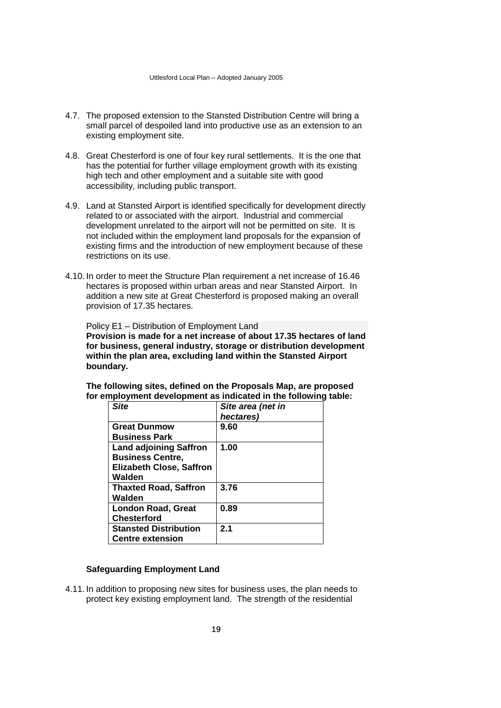- 4.7. The proposed extension to the Stansted Distribution Centre will bring a small parcel of despoiled land into productive use as an extension to an existing employment site.
- 4.8. Great Chesterford is one of four key rural settlements. It is the one that has the potential for further village employment growth with its existing high tech and other employment and a suitable site with good accessibility, including public transport.
- 4.9. Land at Stansted Airport is identified specifically for development directly related to or associated with the airport. Industrial and commercial development unrelated to the airport will not be permitted on site. It is not included within the employment land proposals for the expansion of existing firms and the introduction of new employment because of these restrictions on its use.
- 4.10. In order to meet the Structure Plan requirement a net increase of 16.46 hectares is proposed within urban areas and near Stansted Airport. In addition a new site at Great Chesterford is proposed making an overall provision of 17.35 hectares.

Policy E1 – Distribution of Employment Land **Provision is made for a net increase of about 17.35 hectares of land for business, general industry, storage or distribution development within the plan area, excluding land within the Stansted Airport boundary.**

**The following sites, defined on the Proposals Map, are proposed for employment development as indicated in the following table:**

| Site                                                       | Site area (net in<br>hectares) |
|------------------------------------------------------------|--------------------------------|
| <b>Great Dunmow</b><br><b>Business Park</b>                | 9.60                           |
| <b>Land adjoining Saffron</b>                              | 1.00                           |
| <b>Business Centre,</b><br><b>Elizabeth Close, Saffron</b> |                                |
| Walden<br><b>Thaxted Road, Saffron</b>                     | 3.76                           |
| Walden                                                     |                                |
| <b>London Road, Great</b><br><b>Chesterford</b>            | 0.89                           |
| <b>Stansted Distribution</b><br><b>Centre extension</b>    | 2.1                            |

#### **Safeguarding Employment Land**

4.11. In addition to proposing new sites for business uses, the plan needs to protect key existing employment land. The strength of the residential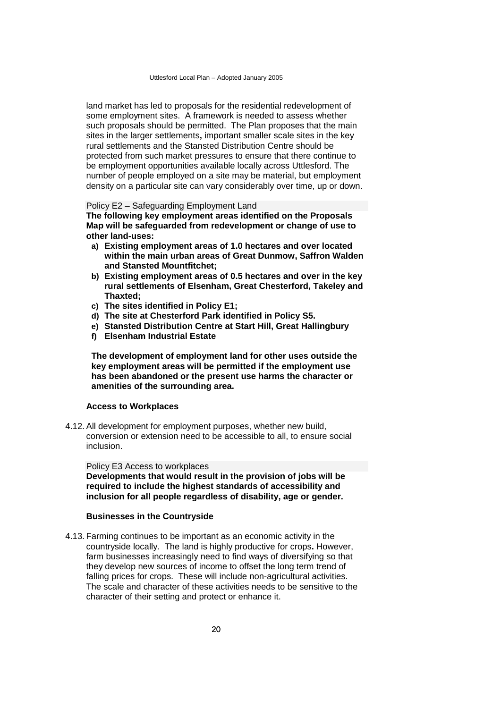land market has led to proposals for the residential redevelopment of some employment sites. A framework is needed to assess whether such proposals should be permitted. The Plan proposes that the main sites in the larger settlements**,** important smaller scale sites in the key rural settlements and the Stansted Distribution Centre should be protected from such market pressures to ensure that there continue to be employment opportunities available locally across Uttlesford. The number of people employed on a site may be material, but employment density on a particular site can vary considerably over time, up or down.

#### Policy E2 – Safeguarding Employment Land

**The following key employment areas identified on the Proposals Map will be safeguarded from redevelopment or change of use to other land-uses:**

- **a) Existing employment areas of 1.0 hectares and over located within the main urban areas of Great Dunmow, Saffron Walden and Stansted Mountfitchet;**
- **b) Existing employment areas of 0.5 hectares and over in the key rural settlements of Elsenham, Great Chesterford, Takeley and Thaxted;**
- **c) The sites identified in Policy E1;**
- **d) The site at Chesterford Park identified in Policy S5.**
- **e) Stansted Distribution Centre at Start Hill, Great Hallingbury**
- **f) Elsenham Industrial Estate**

**The development of employment land for other uses outside the key employment areas will be permitted if the employment use has been abandoned or the present use harms the character or amenities of the surrounding area.**

#### **Access to Workplaces**

4.12. All development for employment purposes, whether new build, conversion or extension need to be accessible to all, to ensure social inclusion.

Policy E3 Access to workplaces **Developments that would result in the provision of jobs will be required to include the highest standards of accessibility and inclusion for all people regardless of disability, age or gender.**

#### **Businesses in the Countryside**

4.13. Farming continues to be important as an economic activity in the countryside locally. The land is highly productive for crops**.** However, farm businesses increasingly need to find ways of diversifying so that they develop new sources of income to offset the long term trend of falling prices for crops. These will include non-agricultural activities. The scale and character of these activities needs to be sensitive to the character of their setting and protect or enhance it.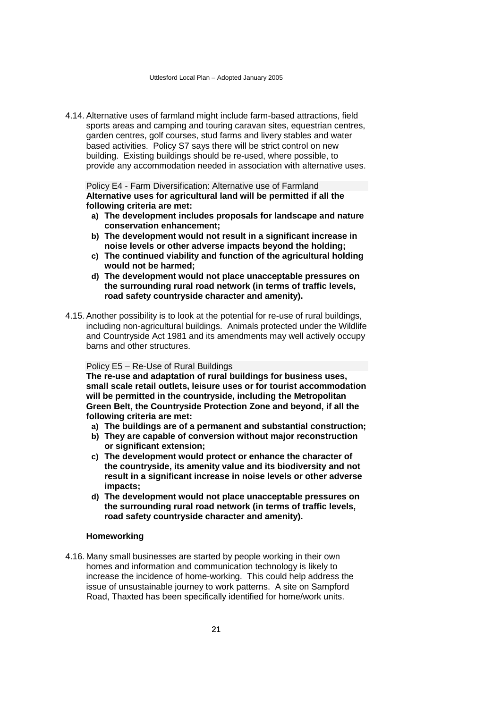4.14. Alternative uses of farmland might include farm-based attractions, field sports areas and camping and touring caravan sites, equestrian centres, garden centres, golf courses, stud farms and livery stables and water based activities. Policy S7 says there will be strict control on new building. Existing buildings should be re-used, where possible, to provide any accommodation needed in association with alternative uses.

Policy E4 - Farm Diversification: Alternative use of Farmland **Alternative uses for agricultural land will be permitted if all the following criteria are met:**

- **a) The development includes proposals for landscape and nature conservation enhancement;**
- **b) The development would not result in a significant increase in noise levels or other adverse impacts beyond the holding;**
- **c) The continued viability and function of the agricultural holding would not be harmed;**
- **d) The development would not place unacceptable pressures on the surrounding rural road network (in terms of traffic levels, road safety countryside character and amenity).**
- 4.15. Another possibility is to look at the potential for re-use of rural buildings, including non-agricultural buildings. Animals protected under the Wildlife and Countryside Act 1981 and its amendments may well actively occupy barns and other structures.

## Policy E5 – Re-Use of Rural Buildings

**The re-use and adaptation of rural buildings for business uses, small scale retail outlets, leisure uses or for tourist accommodation will be permitted in the countryside, including the Metropolitan Green Belt, the Countryside Protection Zone and beyond, if all the following criteria are met:**

- **a) The buildings are of a permanent and substantial construction;**
- **b) They are capable of conversion without major reconstruction or significant extension;**
- **c) The development would protect or enhance the character of the countryside, its amenity value and its biodiversity and not result in a significant increase in noise levels or other adverse impacts;**
- **d) The development would not place unacceptable pressures on the surrounding rural road network (in terms of traffic levels, road safety countryside character and amenity).**

## **Homeworking**

4.16. Many small businesses are started by people working in their own homes and information and communication technology is likely to increase the incidence of home-working. This could help address the issue of unsustainable journey to work patterns. A site on Sampford Road, Thaxted has been specifically identified for home/work units.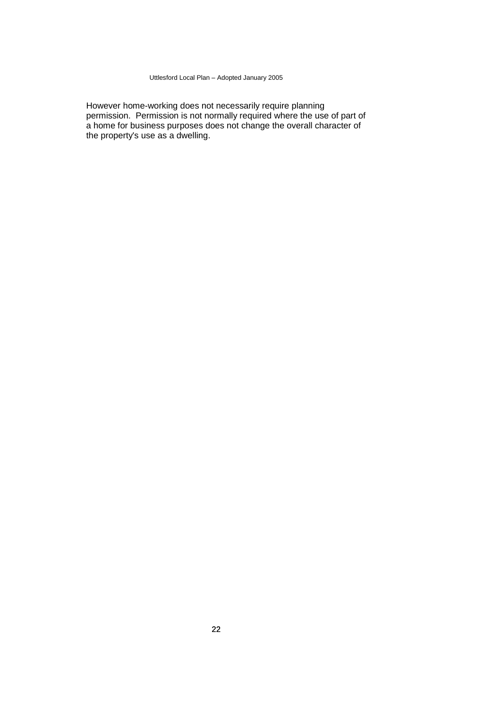However home-working does not necessarily require planning permission. Permission is not normally required where the use of part of a home for business purposes does not change the overall character of the property's use as a dwelling.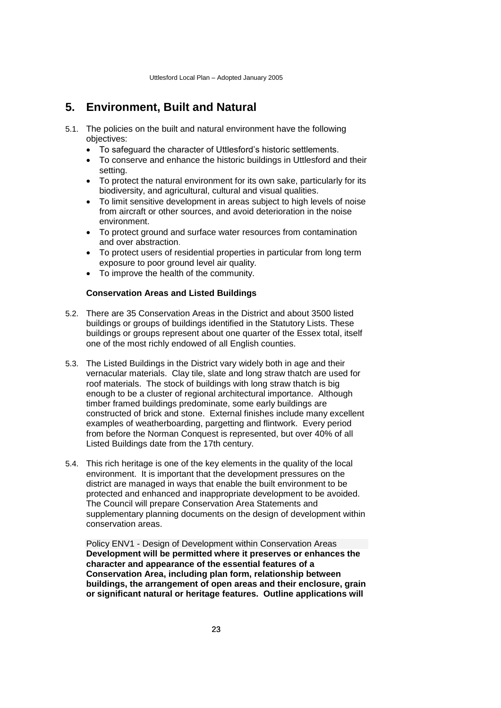# <span id="page-26-0"></span>**5. Environment, Built and Natural**

- 5.1. The policies on the built and natural environment have the following objectives:
	- To safeguard the character of Uttlesford's historic settlements.
	- To conserve and enhance the historic buildings in Uttlesford and their setting.
	- To protect the natural environment for its own sake, particularly for its biodiversity, and agricultural, cultural and visual qualities.
	- To limit sensitive development in areas subject to high levels of noise from aircraft or other sources, and avoid deterioration in the noise environment.
	- To protect ground and surface water resources from contamination and over abstraction.
	- To protect users of residential properties in particular from long term exposure to poor ground level air quality.
	- To improve the health of the community.

#### **Conservation Areas and Listed Buildings**

- 5.2. There are 35 Conservation Areas in the District and about 3500 listed buildings or groups of buildings identified in the Statutory Lists. These buildings or groups represent about one quarter of the Essex total, itself one of the most richly endowed of all English counties.
- 5.3. The Listed Buildings in the District vary widely both in age and their vernacular materials. Clay tile, slate and long straw thatch are used for roof materials. The stock of buildings with long straw thatch is big enough to be a cluster of regional architectural importance. Although timber framed buildings predominate, some early buildings are constructed of brick and stone. External finishes include many excellent examples of weatherboarding, pargetting and flintwork. Every period from before the Norman Conquest is represented, but over 40% of all Listed Buildings date from the 17th century.
- 5.4. This rich heritage is one of the key elements in the quality of the local environment. It is important that the development pressures on the district are managed in ways that enable the built environment to be protected and enhanced and inappropriate development to be avoided. The Council will prepare Conservation Area Statements and supplementary planning documents on the design of development within conservation areas.

Policy ENV1 - Design of Development within Conservation Areas **Development will be permitted where it preserves or enhances the character and appearance of the essential features of a Conservation Area, including plan form, relationship between buildings, the arrangement of open areas and their enclosure, grain or significant natural or heritage features. Outline applications will**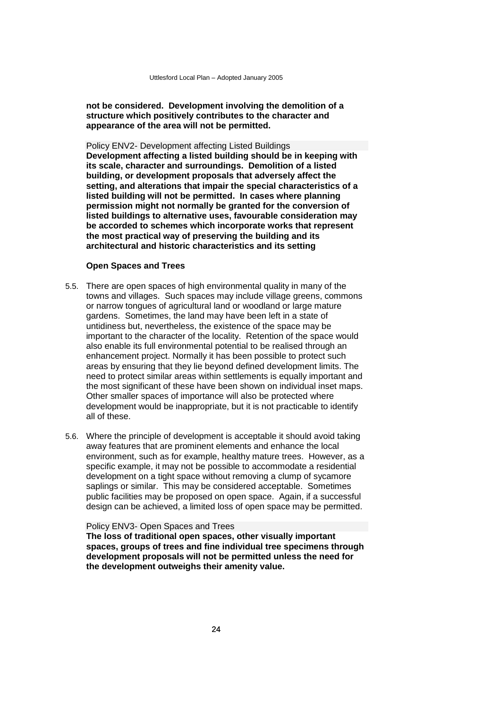**not be considered. Development involving the demolition of a structure which positively contributes to the character and appearance of the area will not be permitted.**

Policy ENV2- Development affecting Listed Buildings **Development affecting a listed building should be in keeping with its scale, character and surroundings. Demolition of a listed building, or development proposals that adversely affect the setting, and alterations that impair the special characteristics of a listed building will not be permitted. In cases where planning permission might not normally be granted for the conversion of listed buildings to alternative uses, favourable consideration may be accorded to schemes which incorporate works that represent the most practical way of preserving the building and its architectural and historic characteristics and its setting**

#### **Open Spaces and Trees**

- 5.5. There are open spaces of high environmental quality in many of the towns and villages. Such spaces may include village greens, commons or narrow tongues of agricultural land or woodland or large mature gardens. Sometimes, the land may have been left in a state of untidiness but, nevertheless, the existence of the space may be important to the character of the locality. Retention of the space would also enable its full environmental potential to be realised through an enhancement project. Normally it has been possible to protect such areas by ensuring that they lie beyond defined development limits. The need to protect similar areas within settlements is equally important and the most significant of these have been shown on individual inset maps. Other smaller spaces of importance will also be protected where development would be inappropriate, but it is not practicable to identify all of these.
- 5.6. Where the principle of development is acceptable it should avoid taking away features that are prominent elements and enhance the local environment, such as for example, healthy mature trees. However, as a specific example, it may not be possible to accommodate a residential development on a tight space without removing a clump of sycamore saplings or similar. This may be considered acceptable. Sometimes public facilities may be proposed on open space. Again, if a successful design can be achieved, a limited loss of open space may be permitted.

#### Policy ENV3- Open Spaces and Trees

**The loss of traditional open spaces, other visually important spaces, groups of trees and fine individual tree specimens through development proposals will not be permitted unless the need for the development outweighs their amenity value.**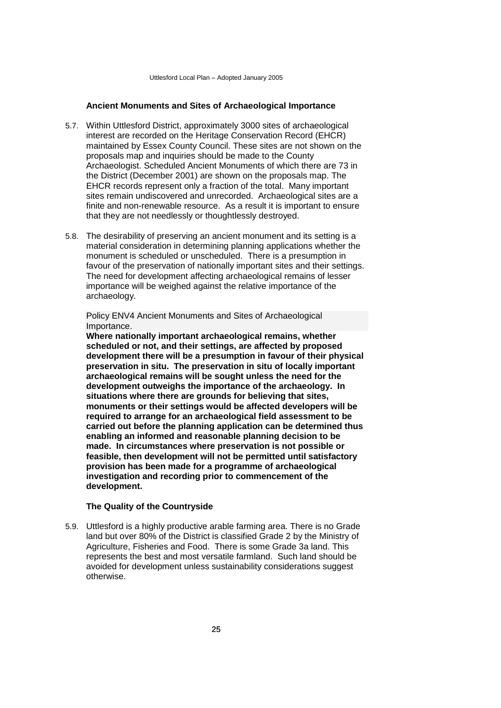# **Ancient Monuments and Sites of Archaeological Importance**

- 5.7. Within Uttlesford District, approximately 3000 sites of archaeological interest are recorded on the Heritage Conservation Record (EHCR) maintained by Essex County Council. These sites are not shown on the proposals map and inquiries should be made to the County Archaeologist. Scheduled Ancient Monuments of which there are 73 in the District (December 2001) are shown on the proposals map. The EHCR records represent only a fraction of the total. Many important sites remain undiscovered and unrecorded. Archaeological sites are a finite and non-renewable resource. As a result it is important to ensure that they are not needlessly or thoughtlessly destroyed.
- 5.8. The desirability of preserving an ancient monument and its setting is a material consideration in determining planning applications whether the monument is scheduled or unscheduled. There is a presumption in favour of the preservation of nationally important sites and their settings. The need for development affecting archaeological remains of lesser importance will be weighed against the relative importance of the archaeology.

Policy ENV4 Ancient Monuments and Sites of Archaeological Importance.

**Where nationally important archaeological remains, whether scheduled or not, and their settings, are affected by proposed development there will be a presumption in favour of their physical preservation in situ. The preservation in situ of locally important archaeological remains will be sought unless the need for the development outweighs the importance of the archaeology. In situations where there are grounds for believing that sites, monuments or their settings would be affected developers will be required to arrange for an archaeological field assessment to be carried out before the planning application can be determined thus enabling an informed and reasonable planning decision to be made. In circumstances where preservation is not possible or feasible, then development will not be permitted until satisfactory provision has been made for a programme of archaeological investigation and recording prior to commencement of the development.**

#### **The Quality of the Countryside**

5.9. Uttlesford is a highly productive arable farming area. There is no Grade land but over 80% of the District is classified Grade 2 by the Ministry of Agriculture, Fisheries and Food. There is some Grade 3a land. This represents the best and most versatile farmland. Such land should be avoided for development unless sustainability considerations suggest otherwise.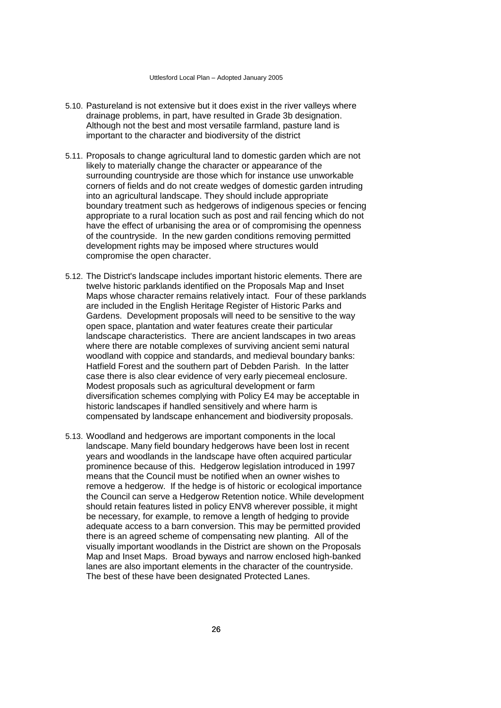- 5.10. Pastureland is not extensive but it does exist in the river valleys where drainage problems, in part, have resulted in Grade 3b designation. Although not the best and most versatile farmland, pasture land is important to the character and biodiversity of the district
- 5.11. Proposals to change agricultural land to domestic garden which are not likely to materially change the character or appearance of the surrounding countryside are those which for instance use unworkable corners of fields and do not create wedges of domestic garden intruding into an agricultural landscape. They should include appropriate boundary treatment such as hedgerows of indigenous species or fencing appropriate to a rural location such as post and rail fencing which do not have the effect of urbanising the area or of compromising the openness of the countryside. In the new garden conditions removing permitted development rights may be imposed where structures would compromise the open character.
- 5.12. The District's landscape includes important historic elements. There are twelve historic parklands identified on the Proposals Map and Inset Maps whose character remains relatively intact. Four of these parklands are included in the English Heritage Register of Historic Parks and Gardens. Development proposals will need to be sensitive to the way open space, plantation and water features create their particular landscape characteristics. There are ancient landscapes in two areas where there are notable complexes of surviving ancient semi natural woodland with coppice and standards, and medieval boundary banks: Hatfield Forest and the southern part of Debden Parish. In the latter case there is also clear evidence of very early piecemeal enclosure. Modest proposals such as agricultural development or farm diversification schemes complying with Policy E4 may be acceptable in historic landscapes if handled sensitively and where harm is compensated by landscape enhancement and biodiversity proposals.
- 5.13. Woodland and hedgerows are important components in the local landscape. Many field boundary hedgerows have been lost in recent years and woodlands in the landscape have often acquired particular prominence because of this. Hedgerow legislation introduced in 1997 means that the Council must be notified when an owner wishes to remove a hedgerow. If the hedge is of historic or ecological importance the Council can serve a Hedgerow Retention notice. While development should retain features listed in policy ENV8 wherever possible, it might be necessary, for example, to remove a length of hedging to provide adequate access to a barn conversion. This may be permitted provided there is an agreed scheme of compensating new planting. All of the visually important woodlands in the District are shown on the Proposals Map and Inset Maps. Broad byways and narrow enclosed high-banked lanes are also important elements in the character of the countryside. The best of these have been designated Protected Lanes.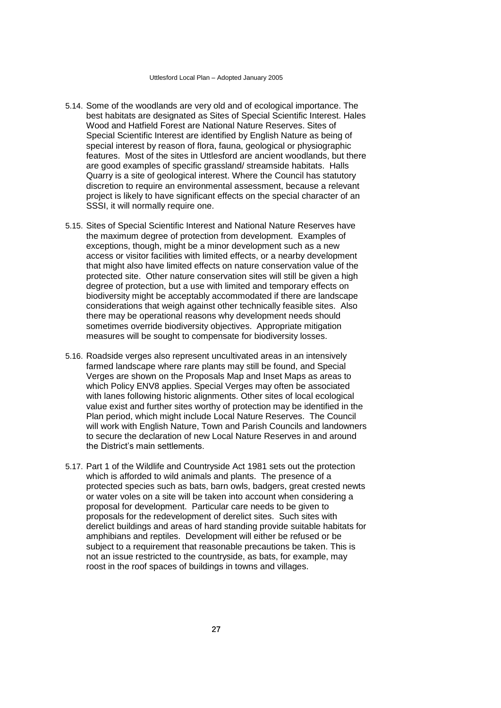- 5.14. Some of the woodlands are very old and of ecological importance. The best habitats are designated as Sites of Special Scientific Interest. Hales Wood and Hatfield Forest are National Nature Reserves. Sites of Special Scientific Interest are identified by English Nature as being of special interest by reason of flora, fauna, geological or physiographic features. Most of the sites in Uttlesford are ancient woodlands, but there are good examples of specific grassland/ streamside habitats. Halls Quarry is a site of geological interest. Where the Council has statutory discretion to require an environmental assessment, because a relevant project is likely to have significant effects on the special character of an SSSI, it will normally require one.
- 5.15. Sites of Special Scientific Interest and National Nature Reserves have the maximum degree of protection from development. Examples of exceptions, though, might be a minor development such as a new access or visitor facilities with limited effects, or a nearby development that might also have limited effects on nature conservation value of the protected site. Other nature conservation sites will still be given a high degree of protection, but a use with limited and temporary effects on biodiversity might be acceptably accommodated if there are landscape considerations that weigh against other technically feasible sites. Also there may be operational reasons why development needs should sometimes override biodiversity objectives. Appropriate mitigation measures will be sought to compensate for biodiversity losses.
- 5.16. Roadside verges also represent uncultivated areas in an intensively farmed landscape where rare plants may still be found, and Special Verges are shown on the Proposals Map and Inset Maps as areas to which Policy ENV8 applies. Special Verges may often be associated with lanes following historic alignments. Other sites of local ecological value exist and further sites worthy of protection may be identified in the Plan period, which might include Local Nature Reserves. The Council will work with English Nature, Town and Parish Councils and landowners to secure the declaration of new Local Nature Reserves in and around the District's main settlements.
- 5.17. Part 1 of the Wildlife and Countryside Act 1981 sets out the protection which is afforded to wild animals and plants. The presence of a protected species such as bats, barn owls, badgers, great crested newts or water voles on a site will be taken into account when considering a proposal for development. Particular care needs to be given to proposals for the redevelopment of derelict sites. Such sites with derelict buildings and areas of hard standing provide suitable habitats for amphibians and reptiles. Development will either be refused or be subject to a requirement that reasonable precautions be taken. This is not an issue restricted to the countryside, as bats, for example, may roost in the roof spaces of buildings in towns and villages.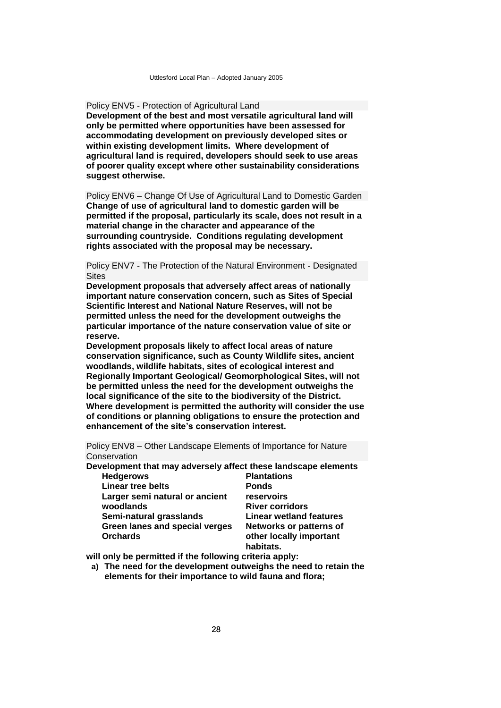Policy ENV5 - Protection of Agricultural Land

**Development of the best and most versatile agricultural land will only be permitted where opportunities have been assessed for accommodating development on previously developed sites or within existing development limits. Where development of agricultural land is required, developers should seek to use areas of poorer quality except where other sustainability considerations suggest otherwise.**

Policy ENV6 – Change Of Use of Agricultural Land to Domestic Garden **Change of use of agricultural land to domestic garden will be permitted if the proposal, particularly its scale, does not result in a material change in the character and appearance of the surrounding countryside. Conditions regulating development rights associated with the proposal may be necessary.**

Policy ENV7 - The Protection of the Natural Environment - Designated Sites

**Development proposals that adversely affect areas of nationally important nature conservation concern, such as Sites of Special Scientific Interest and National Nature Reserves, will not be permitted unless the need for the development outweighs the particular importance of the nature conservation value of site or reserve.**

**Development proposals likely to affect local areas of nature conservation significance, such as County Wildlife sites, ancient woodlands, wildlife habitats, sites of ecological interest and Regionally Important Geological/ Geomorphological Sites, will not be permitted unless the need for the development outweighs the local significance of the site to the biodiversity of the District. Where development is permitted the authority will consider the use of conditions or planning obligations to ensure the protection and enhancement of the site's conservation interest.**

Policy ENV8 – Other Landscape Elements of Importance for Nature **Conservation** 

**Development that may adversely affect these landscape elements Hedgerows** 

**Linear tree belts Larger semi natural or ancient woodlands Semi-natural grasslands Green lanes and special verges Orchards**

**Plantations Ponds reservoirs River corridors Linear wetland features Networks or patterns of other locally important habitats.**

**will only be permitted if the following criteria apply:**

**a) The need for the development outweighs the need to retain the elements for their importance to wild fauna and flora;**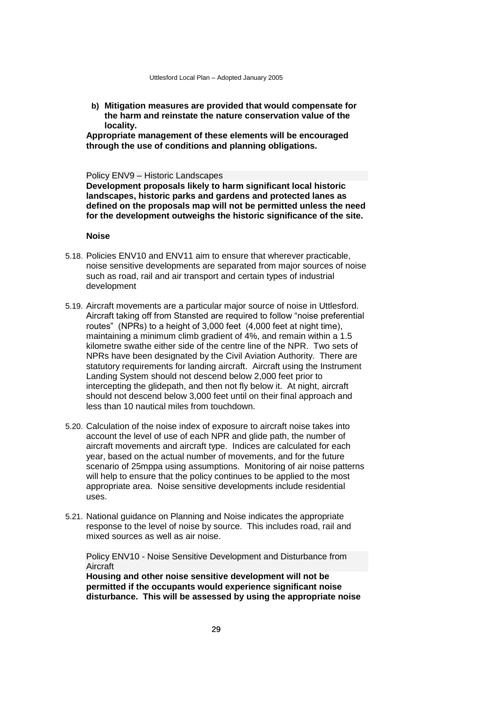**b) Mitigation measures are provided that would compensate for the harm and reinstate the nature conservation value of the locality.**

**Appropriate management of these elements will be encouraged through the use of conditions and planning obligations.**

#### Policy ENV9 – Historic Landscapes

**Development proposals likely to harm significant local historic landscapes, historic parks and gardens and protected lanes as defined on the proposals map will not be permitted unless the need for the development outweighs the historic significance of the site.**

### **Noise**

- 5.18. Policies ENV10 and ENV11 aim to ensure that wherever practicable, noise sensitive developments are separated from major sources of noise such as road, rail and air transport and certain types of industrial development
- 5.19. Aircraft movements are a particular major source of noise in Uttlesford. Aircraft taking off from Stansted are required to follow "noise preferential routes" (NPRs) to a height of 3,000 feet (4,000 feet at night time), maintaining a minimum climb gradient of 4%, and remain within a 1.5 kilometre swathe either side of the centre line of the NPR. Two sets of NPRs have been designated by the Civil Aviation Authority. There are statutory requirements for landing aircraft. Aircraft using the Instrument Landing System should not descend below 2,000 feet prior to intercepting the glidepath, and then not fly below it. At night, aircraft should not descend below 3,000 feet until on their final approach and less than 10 nautical miles from touchdown.
- 5.20. Calculation of the noise index of exposure to aircraft noise takes into account the level of use of each NPR and glide path, the number of aircraft movements and aircraft type. Indices are calculated for each year, based on the actual number of movements, and for the future scenario of 25mppa using assumptions. Monitoring of air noise patterns will help to ensure that the policy continues to be applied to the most appropriate area. Noise sensitive developments include residential uses.
- 5.21. National guidance on Planning and Noise indicates the appropriate response to the level of noise by source. This includes road, rail and mixed sources as well as air noise.

Policy ENV10 - Noise Sensitive Development and Disturbance from Aircraft

**Housing and other noise sensitive development will not be permitted if the occupants would experience significant noise disturbance. This will be assessed by using the appropriate noise**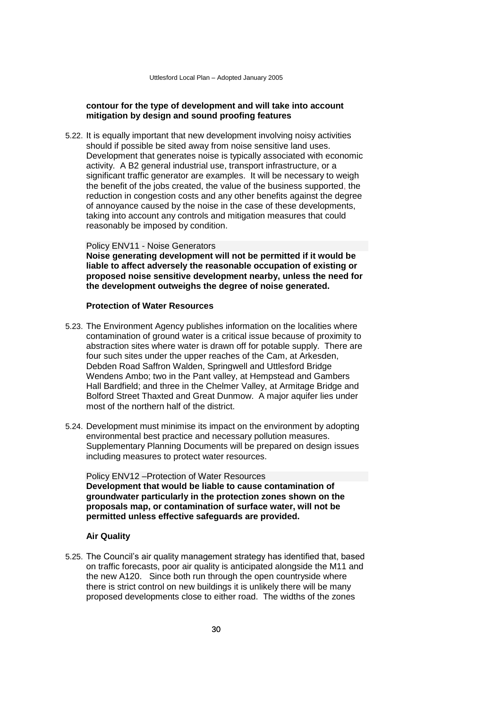# **contour for the type of development and will take into account mitigation by design and sound proofing features**

5.22. It is equally important that new development involving noisy activities should if possible be sited away from noise sensitive land uses. Development that generates noise is typically associated with economic activity. A B2 general industrial use, transport infrastructure, or a significant traffic generator are examples. It will be necessary to weigh the benefit of the jobs created, the value of the business supported, the reduction in congestion costs and any other benefits against the degree of annoyance caused by the noise in the case of these developments, taking into account any controls and mitigation measures that could reasonably be imposed by condition.

Policy ENV11 - Noise Generators **Noise generating development will not be permitted if it would be liable to affect adversely the reasonable occupation of existing or proposed noise sensitive development nearby, unless the need for the development outweighs the degree of noise generated.**

# **Protection of Water Resources**

- 5.23. The Environment Agency publishes information on the localities where contamination of ground water is a critical issue because of proximity to abstraction sites where water is drawn off for potable supply. There are four such sites under the upper reaches of the Cam, at Arkesden, Debden Road Saffron Walden, Springwell and Uttlesford Bridge Wendens Ambo; two in the Pant valley, at Hempstead and Gambers Hall Bardfield; and three in the Chelmer Valley, at Armitage Bridge and Bolford Street Thaxted and Great Dunmow. A major aquifer lies under most of the northern half of the district.
- 5.24. Development must minimise its impact on the environment by adopting environmental best practice and necessary pollution measures. Supplementary Planning Documents will be prepared on design issues including measures to protect water resources.

Policy ENV12 –Protection of Water Resources **Development that would be liable to cause contamination of groundwater particularly in the protection zones shown on the proposals map, or contamination of surface water, will not be permitted unless effective safeguards are provided.**

## **Air Quality**

5.25. The Council's air quality management strategy has identified that, based on traffic forecasts, poor air quality is anticipated alongside the M11 and the new A120. Since both run through the open countryside where there is strict control on new buildings it is unlikely there will be many proposed developments close to either road. The widths of the zones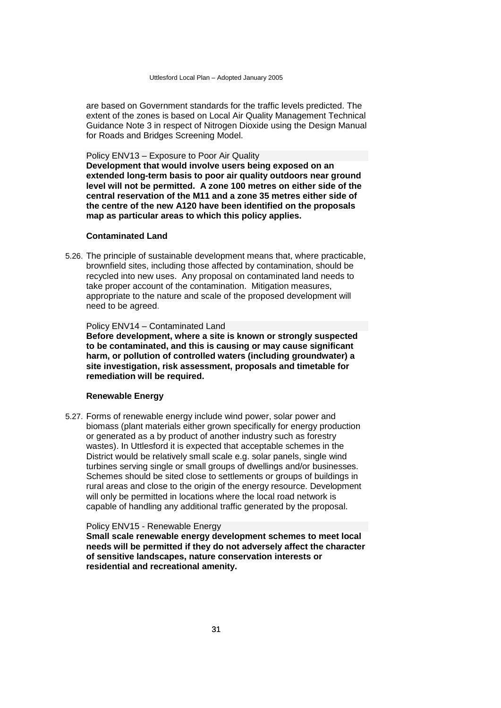are based on Government standards for the traffic levels predicted. The extent of the zones is based on Local Air Quality Management Technical Guidance Note 3 in respect of Nitrogen Dioxide using the Design Manual for Roads and Bridges Screening Model.

Policy ENV13 – Exposure to Poor Air Quality

**Development that would involve users being exposed on an extended long-term basis to poor air quality outdoors near ground level will not be permitted. A zone 100 metres on either side of the central reservation of the M11 and a zone 35 metres either side of the centre of the new A120 have been identified on the proposals map as particular areas to which this policy applies.**

#### **Contaminated Land**

5.26. The principle of sustainable development means that, where practicable, brownfield sites, including those affected by contamination, should be recycled into new uses. Any proposal on contaminated land needs to take proper account of the contamination. Mitigation measures, appropriate to the nature and scale of the proposed development will need to be agreed.

# Policy ENV14 – Contaminated Land

**Before development, where a site is known or strongly suspected to be contaminated, and this is causing or may cause significant harm, or pollution of controlled waters (including groundwater) a site investigation, risk assessment, proposals and timetable for remediation will be required.**

#### **Renewable Energy**

5.27. Forms of renewable energy include wind power, solar power and biomass (plant materials either grown specifically for energy production or generated as a by product of another industry such as forestry wastes). In Uttlesford it is expected that acceptable schemes in the District would be relatively small scale e.g. solar panels, single wind turbines serving single or small groups of dwellings and/or businesses. Schemes should be sited close to settlements or groups of buildings in rural areas and close to the origin of the energy resource. Development will only be permitted in locations where the local road network is capable of handling any additional traffic generated by the proposal.

## Policy ENV15 - Renewable Energy **Small scale renewable energy development schemes to meet local needs will be permitted if they do not adversely affect the character of sensitive landscapes, nature conservation interests or residential and recreational amenity.**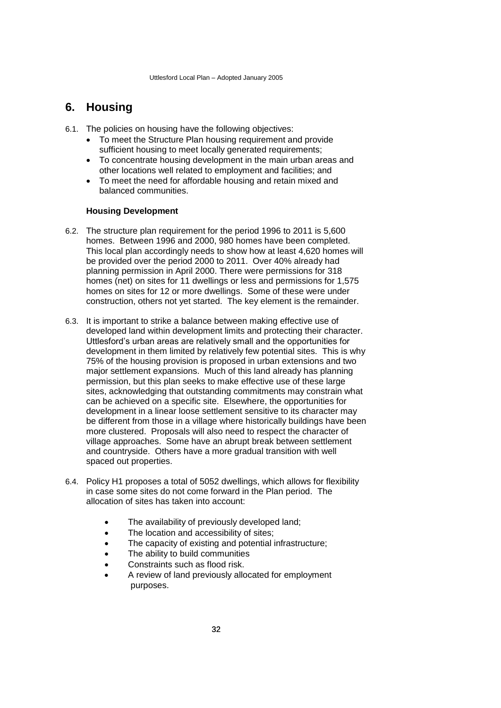# <span id="page-35-0"></span>**6. Housing**

- 6.1. The policies on housing have the following objectives:
	- To meet the Structure Plan housing requirement and provide sufficient housing to meet locally generated requirements;
	- To concentrate housing development in the main urban areas and other locations well related to employment and facilities; and
	- To meet the need for affordable housing and retain mixed and balanced communities.

# **Housing Development**

- 6.2. The structure plan requirement for the period 1996 to 2011 is 5,600 homes. Between 1996 and 2000, 980 homes have been completed. This local plan accordingly needs to show how at least 4,620 homes will be provided over the period 2000 to 2011. Over 40% already had planning permission in April 2000. There were permissions for 318 homes (net) on sites for 11 dwellings or less and permissions for 1,575 homes on sites for 12 or more dwellings. Some of these were under construction, others not yet started. The key element is the remainder.
- 6.3. It is important to strike a balance between making effective use of developed land within development limits and protecting their character. Uttlesford's urban areas are relatively small and the opportunities for development in them limited by relatively few potential sites. This is why 75% of the housing provision is proposed in urban extensions and two major settlement expansions. Much of this land already has planning permission, but this plan seeks to make effective use of these large sites, acknowledging that outstanding commitments may constrain what can be achieved on a specific site. Elsewhere, the opportunities for development in a linear loose settlement sensitive to its character may be different from those in a village where historically buildings have been more clustered. Proposals will also need to respect the character of village approaches. Some have an abrupt break between settlement and countryside. Others have a more gradual transition with well spaced out properties.
- 6.4. Policy H1 proposes a total of 5052 dwellings, which allows for flexibility in case some sites do not come forward in the Plan period. The allocation of sites has taken into account:
	- The availability of previously developed land;
	- The location and accessibility of sites;
	- The capacity of existing and potential infrastructure;
	- The ability to build communities
	- Constraints such as flood risk.
	- A review of land previously allocated for employment purposes.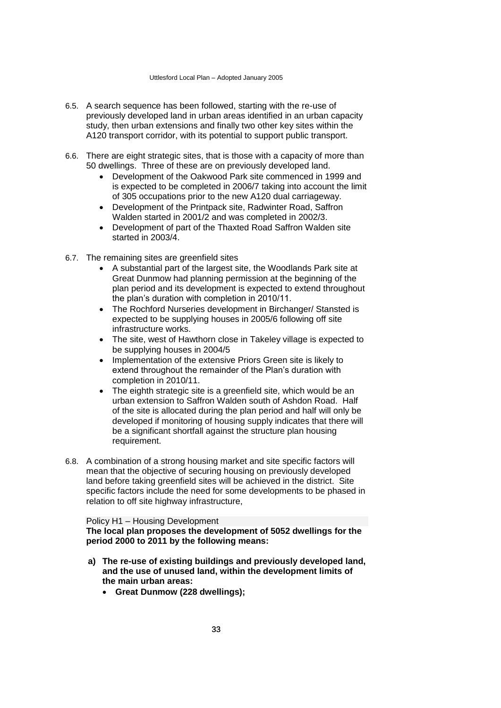- 6.5. A search sequence has been followed, starting with the re-use of previously developed land in urban areas identified in an urban capacity study, then urban extensions and finally two other key sites within the A120 transport corridor, with its potential to support public transport.
- 6.6. There are eight strategic sites, that is those with a capacity of more than 50 dwellings. Three of these are on previously developed land.
	- Development of the Oakwood Park site commenced in 1999 and is expected to be completed in 2006/7 taking into account the limit of 305 occupations prior to the new A120 dual carriageway.
	- Development of the Printpack site, Radwinter Road, Saffron Walden started in 2001/2 and was completed in 2002/3.
	- Development of part of the Thaxted Road Saffron Walden site started in 2003/4.
- 6.7. The remaining sites are greenfield sites
	- A substantial part of the largest site, the Woodlands Park site at Great Dunmow had planning permission at the beginning of the plan period and its development is expected to extend throughout the plan's duration with completion in 2010/11.
	- The Rochford Nurseries development in Birchanger/ Stansted is expected to be supplying houses in 2005/6 following off site infrastructure works.
	- The site, west of Hawthorn close in Takeley village is expected to be supplying houses in 2004/5
	- Implementation of the extensive Priors Green site is likely to extend throughout the remainder of the Plan's duration with completion in 2010/11.
	- The eighth strategic site is a greenfield site, which would be an urban extension to Saffron Walden south of Ashdon Road. Half of the site is allocated during the plan period and half will only be developed if monitoring of housing supply indicates that there will be a significant shortfall against the structure plan housing requirement.
- 6.8. A combination of a strong housing market and site specific factors will mean that the objective of securing housing on previously developed land before taking greenfield sites will be achieved in the district. Site specific factors include the need for some developments to be phased in relation to off site highway infrastructure,

### Policy H1 – Housing Development **The local plan proposes the development of 5052 dwellings for the period 2000 to 2011 by the following means:**

- **a) The re-use of existing buildings and previously developed land, and the use of unused land, within the development limits of the main urban areas:**
	- **Great Dunmow (228 dwellings);**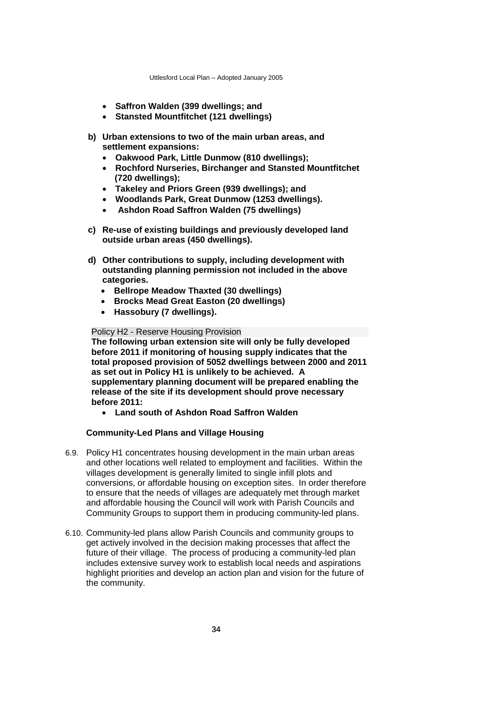- **Saffron Walden (399 dwellings; and**
- **Stansted Mountfitchet (121 dwellings)**
- **b) Urban extensions to two of the main urban areas, and settlement expansions:**
	- **Oakwood Park, Little Dunmow (810 dwellings);**
	- **Rochford Nurseries, Birchanger and Stansted Mountfitchet (720 dwellings);**
	- **Takeley and Priors Green (939 dwellings); and**
	- **Woodlands Park, Great Dunmow (1253 dwellings).**
	- **Ashdon Road Saffron Walden (75 dwellings)**
- **c) Re-use of existing buildings and previously developed land outside urban areas (450 dwellings).**
- **d) Other contributions to supply, including development with outstanding planning permission not included in the above categories.** 
	- **Bellrope Meadow Thaxted (30 dwellings)**
	- **Brocks Mead Great Easton (20 dwellings)**
	- **Hassobury (7 dwellings).**

#### Policy H2 - Reserve Housing Provision

**The following urban extension site will only be fully developed before 2011 if monitoring of housing supply indicates that the total proposed provision of 5052 dwellings between 2000 and 2011 as set out in Policy H1 is unlikely to be achieved. A supplementary planning document will be prepared enabling the release of the site if its development should prove necessary before 2011:**

**Land south of Ashdon Road Saffron Walden** 

## **Community-Led Plans and Village Housing**

- 6.9. Policy H1 concentrates housing development in the main urban areas and other locations well related to employment and facilities. Within the villages development is generally limited to single infill plots and conversions, or affordable housing on exception sites. In order therefore to ensure that the needs of villages are adequately met through market and affordable housing the Council will work with Parish Councils and Community Groups to support them in producing community-led plans.
- 6.10. Community-led plans allow Parish Councils and community groups to get actively involved in the decision making processes that affect the future of their village. The process of producing a community-led plan includes extensive survey work to establish local needs and aspirations highlight priorities and develop an action plan and vision for the future of the community.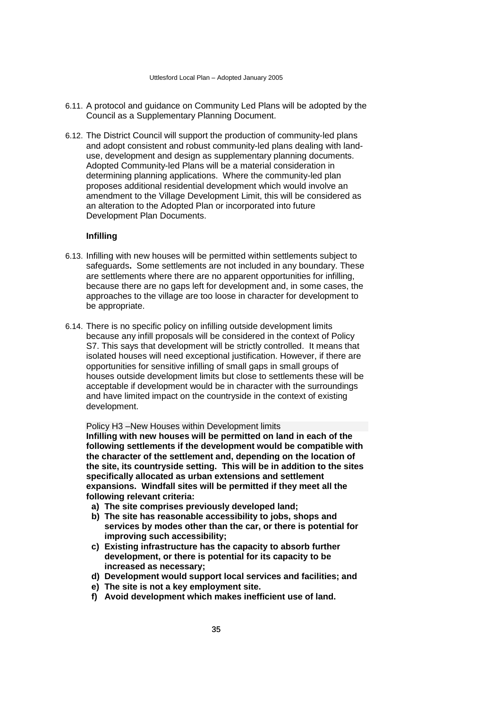- 6.11. A protocol and guidance on Community Led Plans will be adopted by the Council as a Supplementary Planning Document.
- 6.12. The District Council will support the production of community-led plans and adopt consistent and robust community-led plans dealing with landuse, development and design as supplementary planning documents. Adopted Community-led Plans will be a material consideration in determining planning applications. Where the community-led plan proposes additional residential development which would involve an amendment to the Village Development Limit, this will be considered as an alteration to the Adopted Plan or incorporated into future Development Plan Documents.

## **Infilling**

- 6.13. Infilling with new houses will be permitted within settlements subject to safeguards**.** Some settlements are not included in any boundary. These are settlements where there are no apparent opportunities for infilling, because there are no gaps left for development and, in some cases, the approaches to the village are too loose in character for development to be appropriate.
- 6.14. There is no specific policy on infilling outside development limits because any infill proposals will be considered in the context of Policy S7. This says that development will be strictly controlled. It means that isolated houses will need exceptional justification. However, if there are opportunities for sensitive infilling of small gaps in small groups of houses outside development limits but close to settlements these will be acceptable if development would be in character with the surroundings and have limited impact on the countryside in the context of existing development.

Policy H3 –New Houses within Development limits **Infilling with new houses will be permitted on land in each of the following settlements if the development would be compatible with the character of the settlement and, depending on the location of the site, its countryside setting. This will be in addition to the sites specifically allocated as urban extensions and settlement expansions. Windfall sites will be permitted if they meet all the following relevant criteria:**

- **a) The site comprises previously developed land;**
- **b) The site has reasonable accessibility to jobs, shops and services by modes other than the car, or there is potential for improving such accessibility;**
- **c) Existing infrastructure has the capacity to absorb further development, or there is potential for its capacity to be increased as necessary;**
- **d) Development would support local services and facilities; and**
- **e) The site is not a key employment site.**
- **f) Avoid development which makes inefficient use of land.**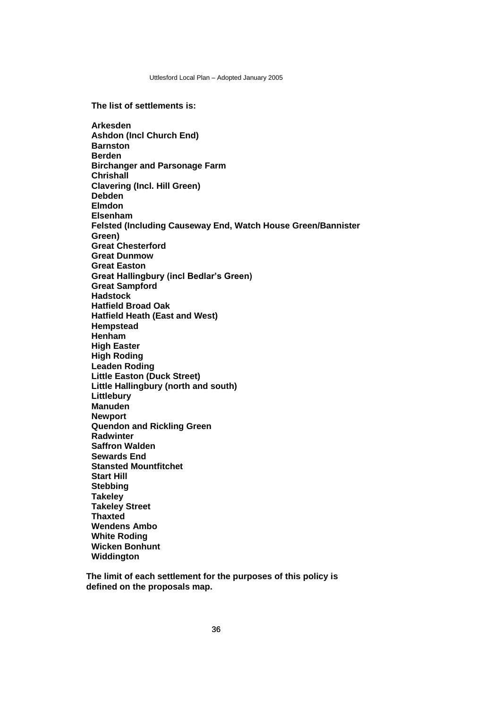**The list of settlements is:**

**Arkesden Ashdon (Incl Church End) Barnston Berden Birchanger and Parsonage Farm Chrishall Clavering (Incl. Hill Green) Debden Elmdon Elsenham Felsted (Including Causeway End, Watch House Green/Bannister Green) Great Chesterford Great Dunmow Great Easton Great Hallingbury (incl Bedlar's Green) Great Sampford Hadstock Hatfield Broad Oak Hatfield Heath (East and West) Hempstead Henham High Easter High Roding Leaden Roding Little Easton (Duck Street) Little Hallingbury (north and south) Littlebury Manuden Newport Quendon and Rickling Green Radwinter Saffron Walden Sewards End Stansted Mountfitchet Start Hill Stebbing Takeley Takeley Street Thaxted Wendens Ambo White Roding Wicken Bonhunt Widdington** 

**The limit of each settlement for the purposes of this policy is defined on the proposals map.**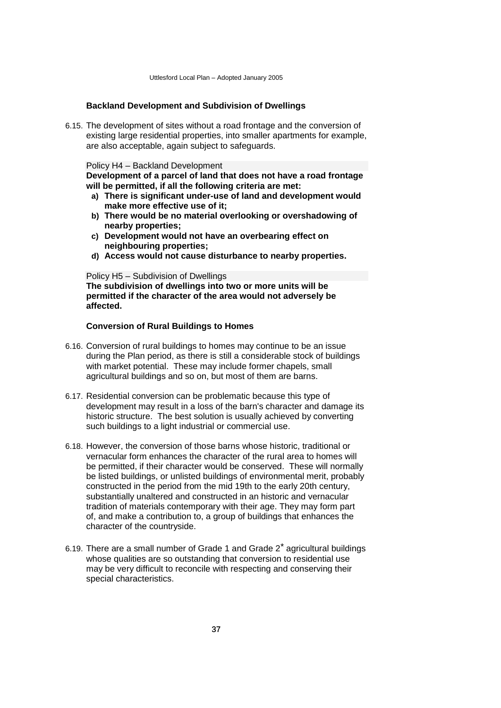## **Backland Development and Subdivision of Dwellings**

6.15. The development of sites without a road frontage and the conversion of existing large residential properties, into smaller apartments for example, are also acceptable, again subject to safeguards.

Policy H4 – Backland Development **Development of a parcel of land that does not have a road frontage will be permitted, if all the following criteria are met:**

- **a) There is significant under-use of land and development would make more effective use of it;**
- **b) There would be no material overlooking or overshadowing of nearby properties;**
- **c) Development would not have an overbearing effect on neighbouring properties;**
- **d) Access would not cause disturbance to nearby properties.**

Policy H5 – Subdivision of Dwellings

**The subdivision of dwellings into two or more units will be permitted if the character of the area would not adversely be affected.**

## **Conversion of Rural Buildings to Homes**

- 6.16. Conversion of rural buildings to homes may continue to be an issue during the Plan period, as there is still a considerable stock of buildings with market potential. These may include former chapels, small agricultural buildings and so on, but most of them are barns.
- 6.17. Residential conversion can be problematic because this type of development may result in a loss of the barn's character and damage its historic structure. The best solution is usually achieved by converting such buildings to a light industrial or commercial use.
- 6.18. However, the conversion of those barns whose historic, traditional or vernacular form enhances the character of the rural area to homes will be permitted, if their character would be conserved. These will normally be listed buildings, or unlisted buildings of environmental merit, probably constructed in the period from the mid 19th to the early 20th century, substantially unaltered and constructed in an historic and vernacular tradition of materials contemporary with their age. They may form part of, and make a contribution to, a group of buildings that enhances the character of the countryside.
- 6.19. There are a small number of Grade 1 and Grade 2\* agricultural buildings whose qualities are so outstanding that conversion to residential use may be very difficult to reconcile with respecting and conserving their special characteristics.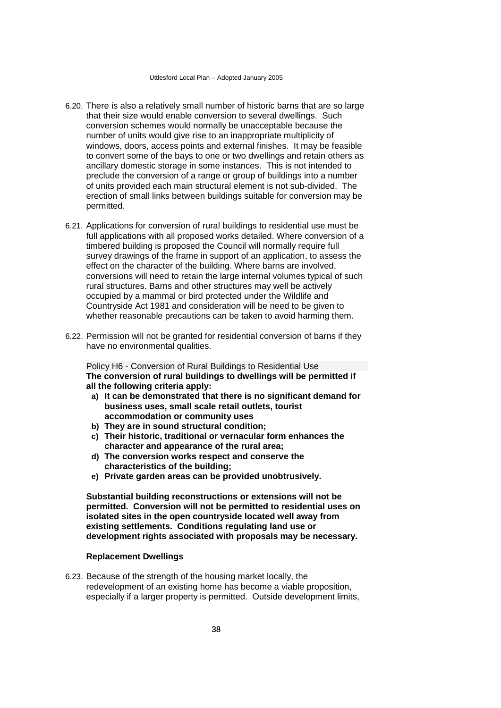- 6.20. There is also a relatively small number of historic barns that are so large that their size would enable conversion to several dwellings. Such conversion schemes would normally be unacceptable because the number of units would give rise to an inappropriate multiplicity of windows, doors, access points and external finishes. It may be feasible to convert some of the bays to one or two dwellings and retain others as ancillary domestic storage in some instances. This is not intended to preclude the conversion of a range or group of buildings into a number of units provided each main structural element is not sub-divided. The erection of small links between buildings suitable for conversion may be permitted.
- 6.21. Applications for conversion of rural buildings to residential use must be full applications with all proposed works detailed. Where conversion of a timbered building is proposed the Council will normally require full survey drawings of the frame in support of an application, to assess the effect on the character of the building. Where barns are involved, conversions will need to retain the large internal volumes typical of such rural structures. Barns and other structures may well be actively occupied by a mammal or bird protected under the Wildlife and Countryside Act 1981 and consideration will be need to be given to whether reasonable precautions can be taken to avoid harming them.
- 6.22. Permission will not be granted for residential conversion of barns if they have no environmental qualities.

Policy H6 - Conversion of Rural Buildings to Residential Use **The conversion of rural buildings to dwellings will be permitted if all the following criteria apply:**

- **a) It can be demonstrated that there is no significant demand for business uses, small scale retail outlets, tourist accommodation or community uses**
- **b) They are in sound structural condition;**
- **c) Their historic, traditional or vernacular form enhances the character and appearance of the rural area;**
- **d) The conversion works respect and conserve the characteristics of the building;**
- **e) Private garden areas can be provided unobtrusively.**

**Substantial building reconstructions or extensions will not be permitted. Conversion will not be permitted to residential uses on isolated sites in the open countryside located well away from existing settlements. Conditions regulating land use or development rights associated with proposals may be necessary.**

#### **Replacement Dwellings**

6.23. Because of the strength of the housing market locally, the redevelopment of an existing home has become a viable proposition, especially if a larger property is permitted. Outside development limits,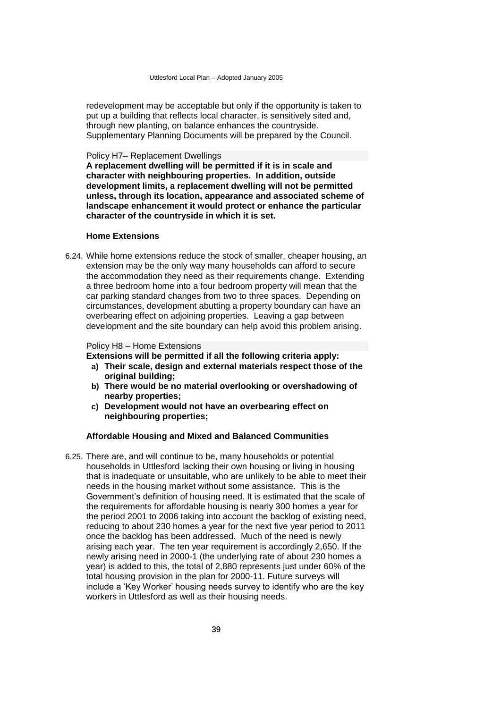redevelopment may be acceptable but only if the opportunity is taken to put up a building that reflects local character, is sensitively sited and, through new planting, on balance enhances the countryside. Supplementary Planning Documents will be prepared by the Council.

#### Policy H7– Replacement Dwellings

**A replacement dwelling will be permitted if it is in scale and character with neighbouring properties. In addition, outside development limits, a replacement dwelling will not be permitted unless, through its location, appearance and associated scheme of landscape enhancement it would protect or enhance the particular character of the countryside in which it is set.**

#### **Home Extensions**

6.24. While home extensions reduce the stock of smaller, cheaper housing, an extension may be the only way many households can afford to secure the accommodation they need as their requirements change. Extending a three bedroom home into a four bedroom property will mean that the car parking standard changes from two to three spaces. Depending on circumstances, development abutting a property boundary can have an overbearing effect on adjoining properties. Leaving a gap between development and the site boundary can help avoid this problem arising.

#### Policy H8 – Home Extensions

**Extensions will be permitted if all the following criteria apply:**

- **a) Their scale, design and external materials respect those of the original building;**
- **b) There would be no material overlooking or overshadowing of nearby properties;**
- **c) Development would not have an overbearing effect on neighbouring properties;**

## **Affordable Housing and Mixed and Balanced Communities**

6.25. There are, and will continue to be, many households or potential households in Uttlesford lacking their own housing or living in housing that is inadequate or unsuitable, who are unlikely to be able to meet their needs in the housing market without some assistance. This is the Government's definition of housing need. It is estimated that the scale of the requirements for affordable housing is nearly 300 homes a year for the period 2001 to 2006 taking into account the backlog of existing need, reducing to about 230 homes a year for the next five year period to 2011 once the backlog has been addressed. Much of the need is newly arising each year. The ten year requirement is accordingly 2,650. If the newly arising need in 2000-1 (the underlying rate of about 230 homes a year) is added to this, the total of 2,880 represents just under 60% of the total housing provision in the plan for 2000-11. Future surveys will include a 'Key Worker' housing needs survey to identify who are the key workers in Uttlesford as well as their housing needs.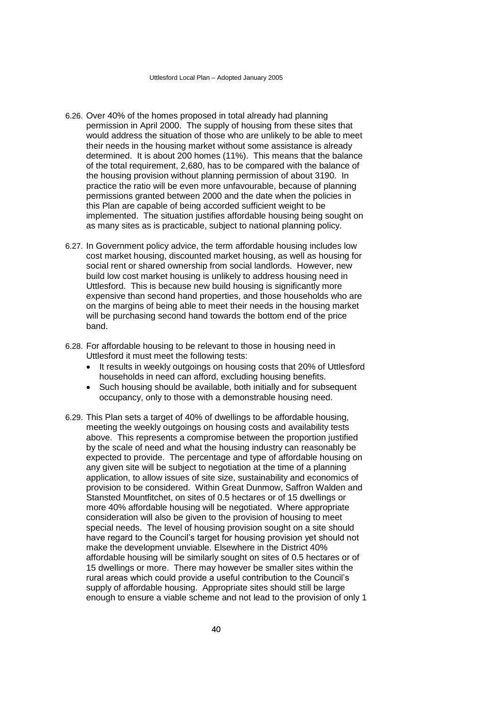- 6.26. Over 40% of the homes proposed in total already had planning permission in April 2000. The supply of housing from these sites that would address the situation of those who are unlikely to be able to meet their needs in the housing market without some assistance is already determined. It is about 200 homes (11%). This means that the balance of the total requirement, 2,680, has to be compared with the balance of the housing provision without planning permission of about 3190. In practice the ratio will be even more unfavourable, because of planning permissions granted between 2000 and the date when the policies in this Plan are capable of being accorded sufficient weight to be implemented. The situation justifies affordable housing being sought on as many sites as is practicable, subject to national planning policy.
- 6.27. In Government policy advice, the term affordable housing includes low cost market housing, discounted market housing, as well as housing for social rent or shared ownership from social landlords. However, new build low cost market housing is unlikely to address housing need in Uttlesford. This is because new build housing is significantly more expensive than second hand properties, and those households who are on the margins of being able to meet their needs in the housing market will be purchasing second hand towards the bottom end of the price band.
- 6.28. For affordable housing to be relevant to those in housing need in Uttlesford it must meet the following tests:
	- It results in weekly outgoings on housing costs that 20% of Uttlesford households in need can afford, excluding housing benefits.
	- Such housing should be available, both initially and for subsequent occupancy, only to those with a demonstrable housing need.
- 6.29. This Plan sets a target of 40% of dwellings to be affordable housing, meeting the weekly outgoings on housing costs and availability tests above. This represents a compromise between the proportion justified by the scale of need and what the housing industry can reasonably be expected to provide. The percentage and type of affordable housing on any given site will be subject to negotiation at the time of a planning application, to allow issues of site size, sustainability and economics of provision to be considered. Within Great Dunmow, Saffron Walden and Stansted Mountfitchet, on sites of 0.5 hectares or of 15 dwellings or more 40% affordable housing will be negotiated. Where appropriate consideration will also be given to the provision of housing to meet special needs. The level of housing provision sought on a site should have regard to the Council's target for housing provision yet should not make the development unviable. Elsewhere in the District 40% affordable housing will be similarly sought on sites of 0.5 hectares or of 15 dwellings or more. There may however be smaller sites within the rural areas which could provide a useful contribution to the Council's supply of affordable housing. Appropriate sites should still be large enough to ensure a viable scheme and not lead to the provision of only 1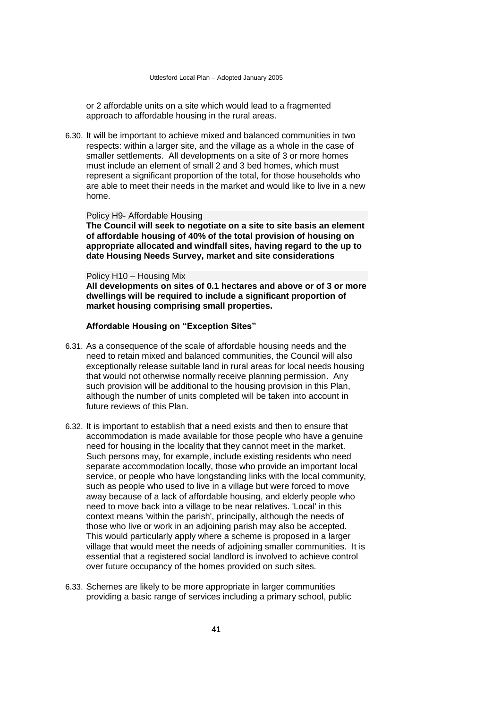or 2 affordable units on a site which would lead to a fragmented approach to affordable housing in the rural areas.

6.30. It will be important to achieve mixed and balanced communities in two respects: within a larger site, and the village as a whole in the case of smaller settlements. All developments on a site of 3 or more homes must include an element of small 2 and 3 bed homes, which must represent a significant proportion of the total, for those households who are able to meet their needs in the market and would like to live in a new home.

## Policy H9- Affordable Housing

**The Council will seek to negotiate on a site to site basis an element of affordable housing of 40% of the total provision of housing on appropriate allocated and windfall sites, having regard to the up to date Housing Needs Survey, market and site considerations**

#### Policy H10 – Housing Mix

**All developments on sites of 0.1 hectares and above or of 3 or more dwellings will be required to include a significant proportion of market housing comprising small properties.** 

## **Affordable Housing on "Exception Sites"**

- 6.31. As a consequence of the scale of affordable housing needs and the need to retain mixed and balanced communities, the Council will also exceptionally release suitable land in rural areas for local needs housing that would not otherwise normally receive planning permission. Any such provision will be additional to the housing provision in this Plan, although the number of units completed will be taken into account in future reviews of this Plan.
- 6.32. It is important to establish that a need exists and then to ensure that accommodation is made available for those people who have a genuine need for housing in the locality that they cannot meet in the market. Such persons may, for example, include existing residents who need separate accommodation locally, those who provide an important local service, or people who have longstanding links with the local community, such as people who used to live in a village but were forced to move away because of a lack of affordable housing, and elderly people who need to move back into a village to be near relatives. 'Local' in this context means 'within the parish', principally, although the needs of those who live or work in an adjoining parish may also be accepted. This would particularly apply where a scheme is proposed in a larger village that would meet the needs of adjoining smaller communities. It is essential that a registered social landlord is involved to achieve control over future occupancy of the homes provided on such sites.
- 6.33. Schemes are likely to be more appropriate in larger communities providing a basic range of services including a primary school, public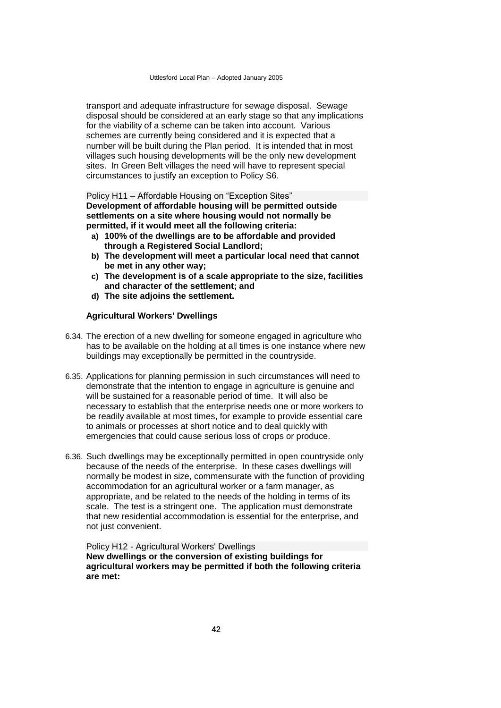transport and adequate infrastructure for sewage disposal. Sewage disposal should be considered at an early stage so that any implications for the viability of a scheme can be taken into account. Various schemes are currently being considered and it is expected that a number will be built during the Plan period. It is intended that in most villages such housing developments will be the only new development sites. In Green Belt villages the need will have to represent special circumstances to justify an exception to Policy S6.

Policy H11 – Affordable Housing on "Exception Sites" **Development of affordable housing will be permitted outside settlements on a site where housing would not normally be permitted, if it would meet all the following criteria:**

- **a) 100% of the dwellings are to be affordable and provided through a Registered Social Landlord;**
- **b) The development will meet a particular local need that cannot be met in any other way;**
- **c) The development is of a scale appropriate to the size, facilities and character of the settlement; and**
- **d) The site adjoins the settlement.**

#### **Agricultural Workers' Dwellings**

- 6.34. The erection of a new dwelling for someone engaged in agriculture who has to be available on the holding at all times is one instance where new buildings may exceptionally be permitted in the countryside.
- 6.35. Applications for planning permission in such circumstances will need to demonstrate that the intention to engage in agriculture is genuine and will be sustained for a reasonable period of time. It will also be necessary to establish that the enterprise needs one or more workers to be readily available at most times, for example to provide essential care to animals or processes at short notice and to deal quickly with emergencies that could cause serious loss of crops or produce.
- 6.36. Such dwellings may be exceptionally permitted in open countryside only because of the needs of the enterprise. In these cases dwellings will normally be modest in size, commensurate with the function of providing accommodation for an agricultural worker or a farm manager, as appropriate, and be related to the needs of the holding in terms of its scale. The test is a stringent one. The application must demonstrate that new residential accommodation is essential for the enterprise, and not just convenient.

Policy H12 - Agricultural Workers' Dwellings **New dwellings or the conversion of existing buildings for agricultural workers may be permitted if both the following criteria are met:**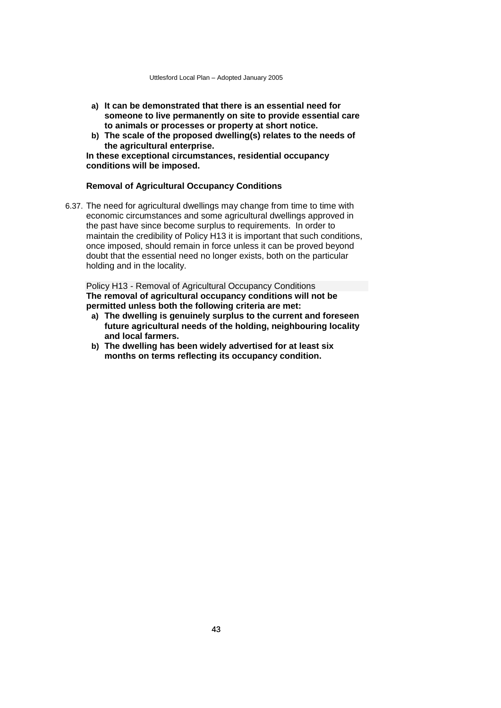- **a) It can be demonstrated that there is an essential need for someone to live permanently on site to provide essential care to animals or processes or property at short notice.**
- **b) The scale of the proposed dwelling(s) relates to the needs of the agricultural enterprise.**

**In these exceptional circumstances, residential occupancy conditions will be imposed.**

## **Removal of Agricultural Occupancy Conditions**

6.37. The need for agricultural dwellings may change from time to time with economic circumstances and some agricultural dwellings approved in the past have since become surplus to requirements. In order to maintain the credibility of Policy H13 it is important that such conditions, once imposed, should remain in force unless it can be proved beyond doubt that the essential need no longer exists, both on the particular holding and in the locality.

Policy H13 - Removal of Agricultural Occupancy Conditions **The removal of agricultural occupancy conditions will not be permitted unless both the following criteria are met:**

- **a) The dwelling is genuinely surplus to the current and foreseen future agricultural needs of the holding, neighbouring locality and local farmers.**
- **b) The dwelling has been widely advertised for at least six months on terms reflecting its occupancy condition.**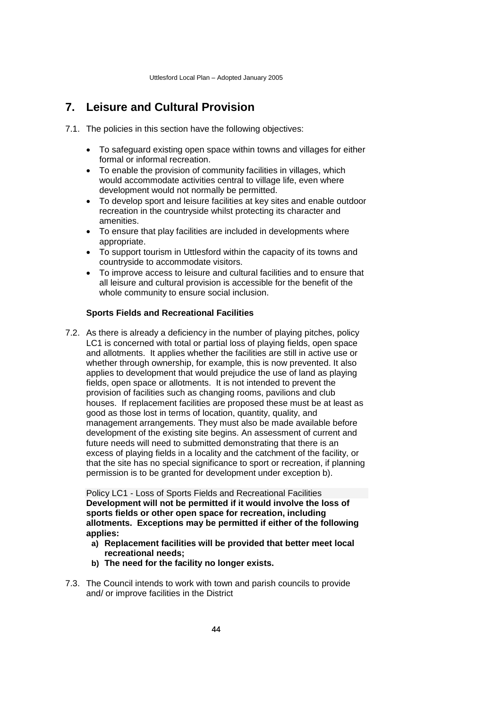# **7. Leisure and Cultural Provision**

- 7.1. The policies in this section have the following objectives:
	- To safeguard existing open space within towns and villages for either formal or informal recreation.
	- To enable the provision of community facilities in villages, which would accommodate activities central to village life, even where development would not normally be permitted.
	- To develop sport and leisure facilities at key sites and enable outdoor recreation in the countryside whilst protecting its character and amenities.
	- To ensure that play facilities are included in developments where appropriate.
	- To support tourism in Uttlesford within the capacity of its towns and countryside to accommodate visitors.
	- To improve access to leisure and cultural facilities and to ensure that all leisure and cultural provision is accessible for the benefit of the whole community to ensure social inclusion.

## **Sports Fields and Recreational Facilities**

7.2. As there is already a deficiency in the number of playing pitches, policy LC1 is concerned with total or partial loss of playing fields, open space and allotments. It applies whether the facilities are still in active use or whether through ownership, for example, this is now prevented. It also applies to development that would prejudice the use of land as playing fields, open space or allotments. It is not intended to prevent the provision of facilities such as changing rooms, pavilions and club houses. If replacement facilities are proposed these must be at least as good as those lost in terms of location, quantity, quality, and management arrangements. They must also be made available before development of the existing site begins. An assessment of current and future needs will need to submitted demonstrating that there is an excess of playing fields in a locality and the catchment of the facility, or that the site has no special significance to sport or recreation, if planning permission is to be granted for development under exception b).

Policy LC1 - Loss of Sports Fields and Recreational Facilities **Development will not be permitted if it would involve the loss of sports fields or other open space for recreation, including allotments. Exceptions may be permitted if either of the following applies:**

- **a) Replacement facilities will be provided that better meet local recreational needs;**
- **b) The need for the facility no longer exists.**
- 7.3. The Council intends to work with town and parish councils to provide and/ or improve facilities in the District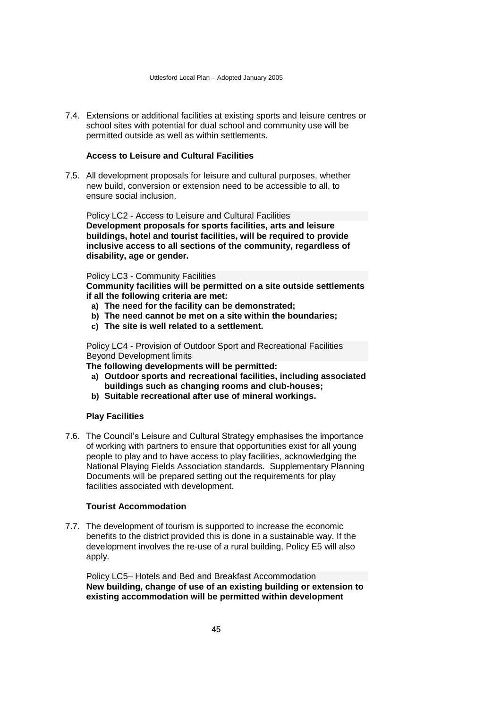7.4. Extensions or additional facilities at existing sports and leisure centres or school sites with potential for dual school and community use will be permitted outside as well as within settlements.

## **Access to Leisure and Cultural Facilities**

7.5. All development proposals for leisure and cultural purposes, whether new build, conversion or extension need to be accessible to all, to ensure social inclusion.

Policy LC2 - Access to Leisure and Cultural Facilities **Development proposals for sports facilities, arts and leisure buildings, hotel and tourist facilities, will be required to provide inclusive access to all sections of the community, regardless of disability, age or gender.** 

Policy LC3 - Community Facilities

**Community facilities will be permitted on a site outside settlements if all the following criteria are met:**

- **a) The need for the facility can be demonstrated;**
- **b) The need cannot be met on a site within the boundaries;**
- **c) The site is well related to a settlement.**

Policy LC4 - Provision of Outdoor Sport and Recreational Facilities Beyond Development limits

**The following developments will be permitted:**

- **a) Outdoor sports and recreational facilities, including associated buildings such as changing rooms and club-houses;**
- **b) Suitable recreational after use of mineral workings.**

## **Play Facilities**

7.6. The Council's Leisure and Cultural Strategy emphasises the importance of working with partners to ensure that opportunities exist for all young people to play and to have access to play facilities, acknowledging the National Playing Fields Association standards. Supplementary Planning Documents will be prepared setting out the requirements for play facilities associated with development.

### **Tourist Accommodation**

7.7. The development of tourism is supported to increase the economic benefits to the district provided this is done in a sustainable way. If the development involves the re-use of a rural building, Policy E5 will also apply.

Policy LC5– Hotels and Bed and Breakfast Accommodation **New building, change of use of an existing building or extension to existing accommodation will be permitted within development**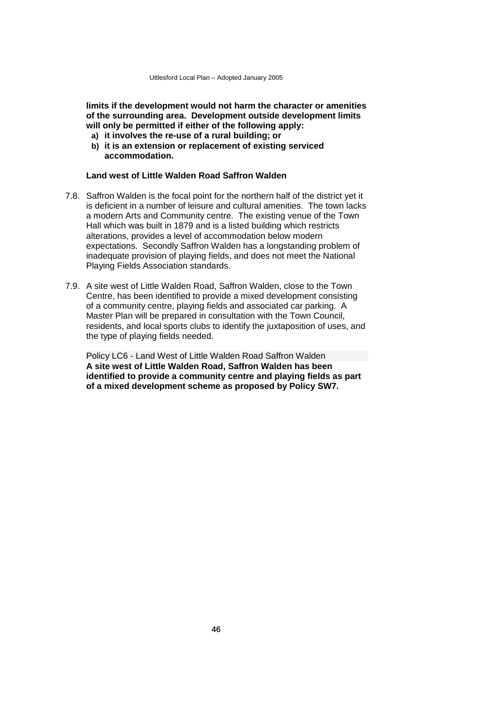**limits if the development would not harm the character or amenities of the surrounding area. Development outside development limits will only be permitted if either of the following apply:**

- **a) it involves the re-use of a rural building; or**
- **b) it is an extension or replacement of existing serviced accommodation.**

## **Land west of Little Walden Road Saffron Walden**

- 7.8. Saffron Walden is the focal point for the northern half of the district yet it is deficient in a number of leisure and cultural amenities. The town lacks a modern Arts and Community centre. The existing venue of the Town Hall which was built in 1879 and is a listed building which restricts alterations, provides a level of accommodation below modern expectations. Secondly Saffron Walden has a longstanding problem of inadequate provision of playing fields, and does not meet the National Playing Fields Association standards.
- 7.9. A site west of Little Walden Road, Saffron Walden, close to the Town Centre, has been identified to provide a mixed development consisting of a community centre, playing fields and associated car parking. A Master Plan will be prepared in consultation with the Town Council, residents, and local sports clubs to identify the juxtaposition of uses, and the type of playing fields needed.

Policy LC6 - Land West of Little Walden Road Saffron Walden **A site west of Little Walden Road, Saffron Walden has been identified to provide a community centre and playing fields as part of a mixed development scheme as proposed by Policy SW7.**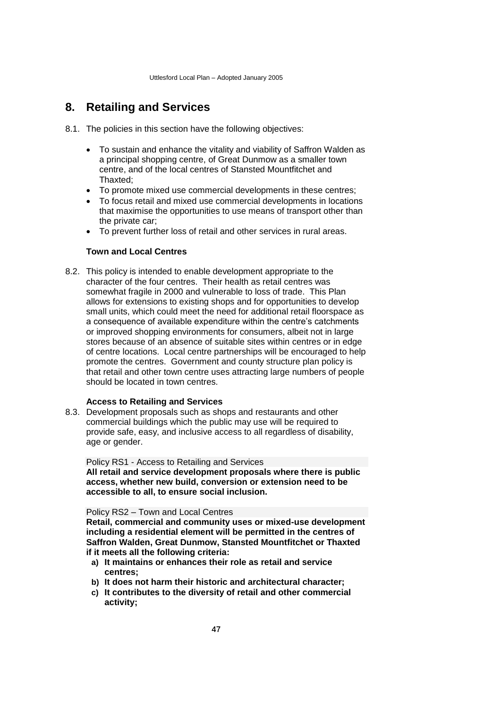# **8. Retailing and Services**

- 8.1. The policies in this section have the following objectives:
	- To sustain and enhance the vitality and viability of Saffron Walden as a principal shopping centre, of Great Dunmow as a smaller town centre, and of the local centres of Stansted Mountfitchet and Thaxted;
	- To promote mixed use commercial developments in these centres;
	- To focus retail and mixed use commercial developments in locations that maximise the opportunities to use means of transport other than the private car;
	- To prevent further loss of retail and other services in rural areas.

## **Town and Local Centres**

8.2. This policy is intended to enable development appropriate to the character of the four centres. Their health as retail centres was somewhat fragile in 2000 and vulnerable to loss of trade. This Plan allows for extensions to existing shops and for opportunities to develop small units, which could meet the need for additional retail floorspace as a consequence of available expenditure within the centre's catchments or improved shopping environments for consumers, albeit not in large stores because of an absence of suitable sites within centres or in edge of centre locations. Local centre partnerships will be encouraged to help promote the centres. Government and county structure plan policy is that retail and other town centre uses attracting large numbers of people should be located in town centres.

## **Access to Retailing and Services**

8.3. Development proposals such as shops and restaurants and other commercial buildings which the public may use will be required to provide safe, easy, and inclusive access to all regardless of disability, age or gender.

Policy RS1 - Access to Retailing and Services

**All retail and service development proposals where there is public access, whether new build, conversion or extension need to be accessible to all, to ensure social inclusion.** 

#### Policy RS2 – Town and Local Centres

**Retail, commercial and community uses or mixed-use development including a residential element will be permitted in the centres of Saffron Walden, Great Dunmow, Stansted Mountfitchet or Thaxted if it meets all the following criteria:**

- **a) It maintains or enhances their role as retail and service centres;**
- **b) It does not harm their historic and architectural character;**
- **c) It contributes to the diversity of retail and other commercial activity;**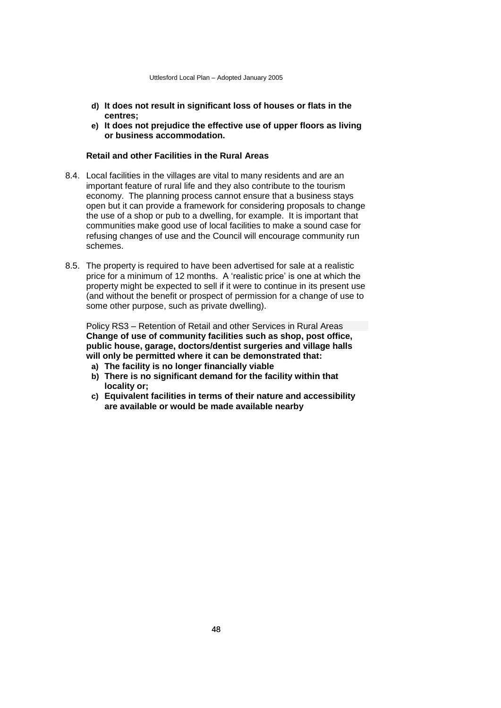- **d) It does not result in significant loss of houses or flats in the centres;**
- **e) It does not prejudice the effective use of upper floors as living or business accommodation.**

## **Retail and other Facilities in the Rural Areas**

- 8.4. Local facilities in the villages are vital to many residents and are an important feature of rural life and they also contribute to the tourism economy. The planning process cannot ensure that a business stays open but it can provide a framework for considering proposals to change the use of a shop or pub to a dwelling, for example. It is important that communities make good use of local facilities to make a sound case for refusing changes of use and the Council will encourage community run schemes.
- 8.5. The property is required to have been advertised for sale at a realistic price for a minimum of 12 months. A 'realistic price' is one at which the property might be expected to sell if it were to continue in its present use (and without the benefit or prospect of permission for a change of use to some other purpose, such as private dwelling).

Policy RS3 – Retention of Retail and other Services in Rural Areas **Change of use of community facilities such as shop, post office, public house, garage, doctors/dentist surgeries and village halls will only be permitted where it can be demonstrated that:**

- **a) The facility is no longer financially viable**
- **b) There is no significant demand for the facility within that locality or;**
- **c) Equivalent facilities in terms of their nature and accessibility are available or would be made available nearby**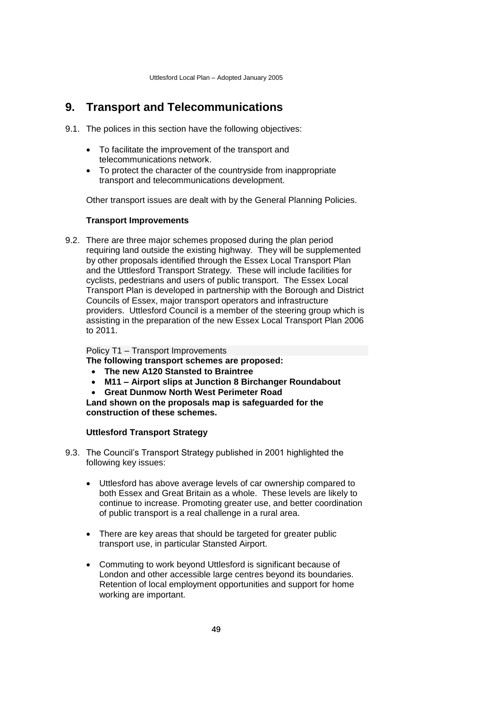# **9. Transport and Telecommunications**

- 9.1. The polices in this section have the following objectives:
	- To facilitate the improvement of the transport and telecommunications network.
	- To protect the character of the countryside from inappropriate transport and telecommunications development.

Other transport issues are dealt with by the General Planning Policies.

## **Transport Improvements**

9.2. There are three major schemes proposed during the plan period requiring land outside the existing highway. They will be supplemented by other proposals identified through the Essex Local Transport Plan and the Uttlesford Transport Strategy. These will include facilities for cyclists, pedestrians and users of public transport. The Essex Local Transport Plan is developed in partnership with the Borough and District Councils of Essex, major transport operators and infrastructure providers. Uttlesford Council is a member of the steering group which is assisting in the preparation of the new Essex Local Transport Plan 2006 to 2011.

Policy T1 – Transport Improvements

**The following transport schemes are proposed:**

- **The new A120 Stansted to Braintree**
- **M11 – Airport slips at Junction 8 Birchanger Roundabout**
- **Great Dunmow North West Perimeter Road**

**Land shown on the proposals map is safeguarded for the construction of these schemes.**

## **Uttlesford Transport Strategy**

- 9.3. The Council's Transport Strategy published in 2001 highlighted the following key issues:
	- Uttlesford has above average levels of car ownership compared to both Essex and Great Britain as a whole. These levels are likely to continue to increase. Promoting greater use, and better coordination of public transport is a real challenge in a rural area.
	- There are key areas that should be targeted for greater public transport use, in particular Stansted Airport.
	- Commuting to work beyond Uttlesford is significant because of London and other accessible large centres beyond its boundaries. Retention of local employment opportunities and support for home working are important.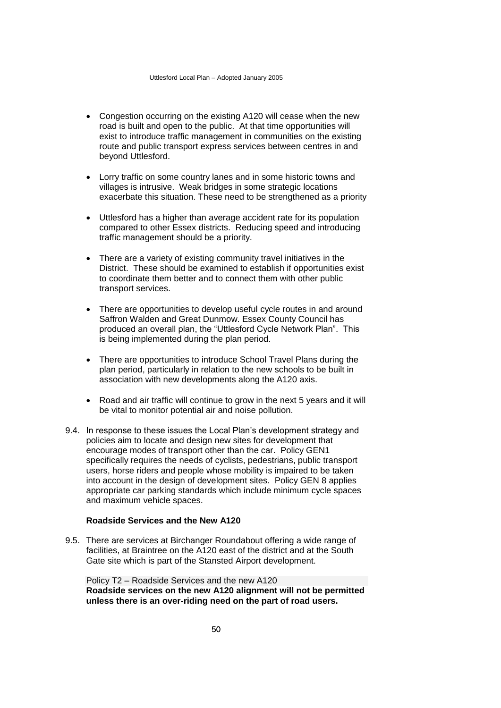- Congestion occurring on the existing A120 will cease when the new road is built and open to the public. At that time opportunities will exist to introduce traffic management in communities on the existing route and public transport express services between centres in and beyond Uttlesford.
- Lorry traffic on some country lanes and in some historic towns and villages is intrusive. Weak bridges in some strategic locations exacerbate this situation. These need to be strengthened as a priority
- Uttlesford has a higher than average accident rate for its population compared to other Essex districts. Reducing speed and introducing traffic management should be a priority.
- There are a variety of existing community travel initiatives in the District. These should be examined to establish if opportunities exist to coordinate them better and to connect them with other public transport services.
- There are opportunities to develop useful cycle routes in and around Saffron Walden and Great Dunmow. Essex County Council has produced an overall plan, the "Uttlesford Cycle Network Plan". This is being implemented during the plan period.
- There are opportunities to introduce School Travel Plans during the plan period, particularly in relation to the new schools to be built in association with new developments along the A120 axis.
- Road and air traffic will continue to grow in the next 5 years and it will be vital to monitor potential air and noise pollution.
- 9.4. In response to these issues the Local Plan's development strategy and policies aim to locate and design new sites for development that encourage modes of transport other than the car. Policy GEN1 specifically requires the needs of cyclists, pedestrians, public transport users, horse riders and people whose mobility is impaired to be taken into account in the design of development sites. Policy GEN 8 applies appropriate car parking standards which include minimum cycle spaces and maximum vehicle spaces.

## **Roadside Services and the New A120**

9.5. There are services at Birchanger Roundabout offering a wide range of facilities, at Braintree on the A120 east of the district and at the South Gate site which is part of the Stansted Airport development.

Policy T2 – Roadside Services and the new A120 **Roadside services on the new A120 alignment will not be permitted unless there is an over-riding need on the part of road users.**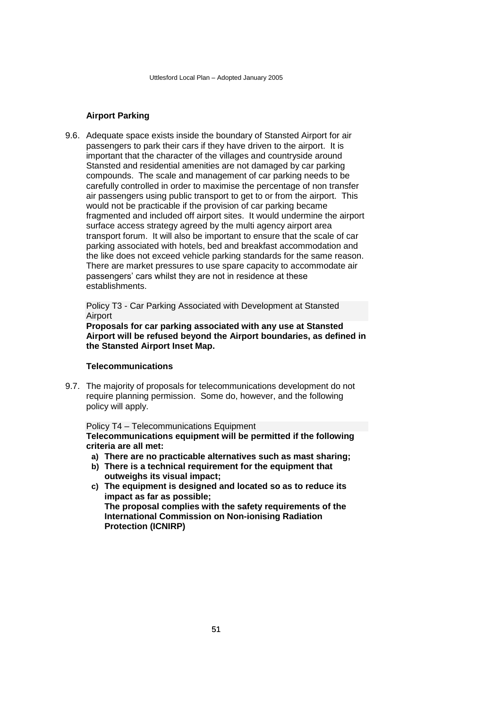## **Airport Parking**

9.6. Adequate space exists inside the boundary of Stansted Airport for air passengers to park their cars if they have driven to the airport. It is important that the character of the villages and countryside around Stansted and residential amenities are not damaged by car parking compounds. The scale and management of car parking needs to be carefully controlled in order to maximise the percentage of non transfer air passengers using public transport to get to or from the airport. This would not be practicable if the provision of car parking became fragmented and included off airport sites. It would undermine the airport surface access strategy agreed by the multi agency airport area transport forum. It will also be important to ensure that the scale of car parking associated with hotels, bed and breakfast accommodation and the like does not exceed vehicle parking standards for the same reason. There are market pressures to use spare capacity to accommodate air passengers' cars whilst they are not in residence at these establishments.

Policy T3 - Car Parking Associated with Development at Stansted Airport

**Proposals for car parking associated with any use at Stansted Airport will be refused beyond the Airport boundaries, as defined in the Stansted Airport Inset Map.**

## **Telecommunications**

9.7. The majority of proposals for telecommunications development do not require planning permission. Some do, however, and the following policy will apply.

### Policy T4 – Telecommunications Equipment **Telecommunications equipment will be permitted if the following criteria are all met:**

- **a) There are no practicable alternatives such as mast sharing;**
- **b) There is a technical requirement for the equipment that outweighs its visual impact;**
- **c) The equipment is designed and located so as to reduce its impact as far as possible; The proposal complies with the safety requirements of the International Commission on Non-ionising Radiation Protection (ICNIRP)**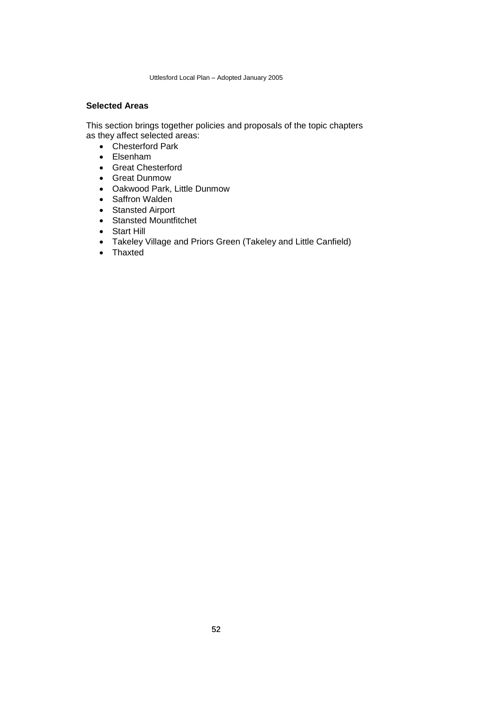## **Selected Areas**

This section brings together policies and proposals of the topic chapters as they affect selected areas:

- Chesterford Park
- Elsenham
- Great Chesterford
- Great Dunmow
- Oakwood Park, Little Dunmow
- Saffron Walden
- Stansted Airport
- Stansted Mountfitchet
- Start Hill
- Takeley Village and Priors Green (Takeley and Little Canfield)
- Thaxted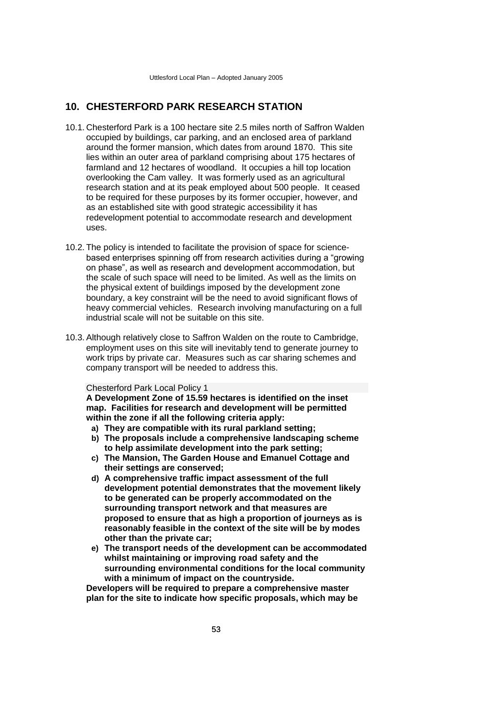# **10. CHESTERFORD PARK RESEARCH STATION**

- 10.1. Chesterford Park is a 100 hectare site 2.5 miles north of Saffron Walden occupied by buildings, car parking, and an enclosed area of parkland around the former mansion, which dates from around 1870. This site lies within an outer area of parkland comprising about 175 hectares of farmland and 12 hectares of woodland. It occupies a hill top location overlooking the Cam valley. It was formerly used as an agricultural research station and at its peak employed about 500 people. It ceased to be required for these purposes by its former occupier, however, and as an established site with good strategic accessibility it has redevelopment potential to accommodate research and development uses.
- 10.2. The policy is intended to facilitate the provision of space for sciencebased enterprises spinning off from research activities during a "growing on phase", as well as research and development accommodation, but the scale of such space will need to be limited. As well as the limits on the physical extent of buildings imposed by the development zone boundary, a key constraint will be the need to avoid significant flows of heavy commercial vehicles. Research involving manufacturing on a full industrial scale will not be suitable on this site.
- 10.3. Although relatively close to Saffron Walden on the route to Cambridge, employment uses on this site will inevitably tend to generate journey to work trips by private car. Measures such as car sharing schemes and company transport will be needed to address this.

#### Chesterford Park Local Policy 1

**A Development Zone of 15.59 hectares is identified on the inset map. Facilities for research and development will be permitted within the zone if all the following criteria apply:**

- **a) They are compatible with its rural parkland setting;**
- **b) The proposals include a comprehensive landscaping scheme to help assimilate development into the park setting;**
- **c) The Mansion, The Garden House and Emanuel Cottage and their settings are conserved;**
- **d) A comprehensive traffic impact assessment of the full development potential demonstrates that the movement likely to be generated can be properly accommodated on the surrounding transport network and that measures are proposed to ensure that as high a proportion of journeys as is reasonably feasible in the context of the site will be by modes other than the private car;**
- **e) The transport needs of the development can be accommodated whilst maintaining or improving road safety and the surrounding environmental conditions for the local community with a minimum of impact on the countryside.**

**Developers will be required to prepare a comprehensive master plan for the site to indicate how specific proposals, which may be**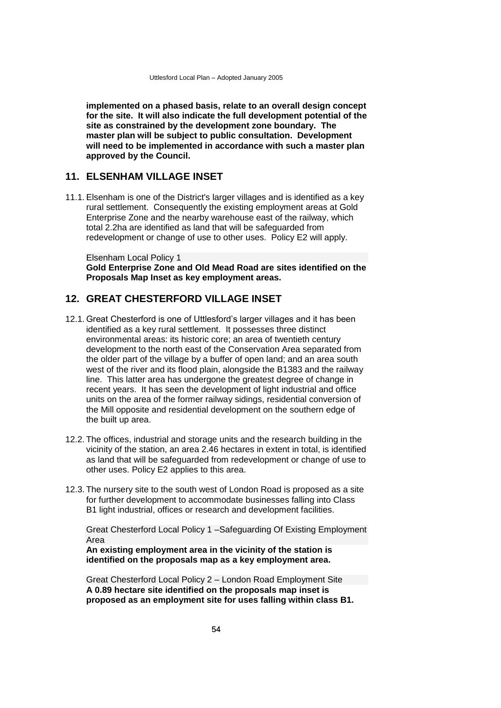**implemented on a phased basis, relate to an overall design concept for the site. It will also indicate the full development potential of the site as constrained by the development zone boundary. The master plan will be subject to public consultation. Development will need to be implemented in accordance with such a master plan approved by the Council.**

## **11. ELSENHAM VILLAGE INSET**

11.1. Elsenham is one of the District's larger villages and is identified as a key rural settlement. Consequently the existing employment areas at Gold Enterprise Zone and the nearby warehouse east of the railway, which total 2.2ha are identified as land that will be safeguarded from redevelopment or change of use to other uses. Policy E2 will apply.

Elsenham Local Policy 1 **Gold Enterprise Zone and Old Mead Road are sites identified on the Proposals Map Inset as key employment areas.**

# **12. GREAT CHESTERFORD VILLAGE INSET**

- 12.1. Great Chesterford is one of Uttlesford's larger villages and it has been identified as a key rural settlement. It possesses three distinct environmental areas: its historic core; an area of twentieth century development to the north east of the Conservation Area separated from the older part of the village by a buffer of open land; and an area south west of the river and its flood plain, alongside the B1383 and the railway line. This latter area has undergone the greatest degree of change in recent years. It has seen the development of light industrial and office units on the area of the former railway sidings, residential conversion of the Mill opposite and residential development on the southern edge of the built up area.
- 12.2. The offices, industrial and storage units and the research building in the vicinity of the station, an area 2.46 hectares in extent in total, is identified as land that will be safeguarded from redevelopment or change of use to other uses. Policy E2 applies to this area.
- 12.3. The nursery site to the south west of London Road is proposed as a site for further development to accommodate businesses falling into Class B1 light industrial, offices or research and development facilities.

Great Chesterford Local Policy 1 –Safeguarding Of Existing Employment Area

**An existing employment area in the vicinity of the station is identified on the proposals map as a key employment area.**

Great Chesterford Local Policy 2 – London Road Employment Site **A 0.89 hectare site identified on the proposals map inset is proposed as an employment site for uses falling within class B1.**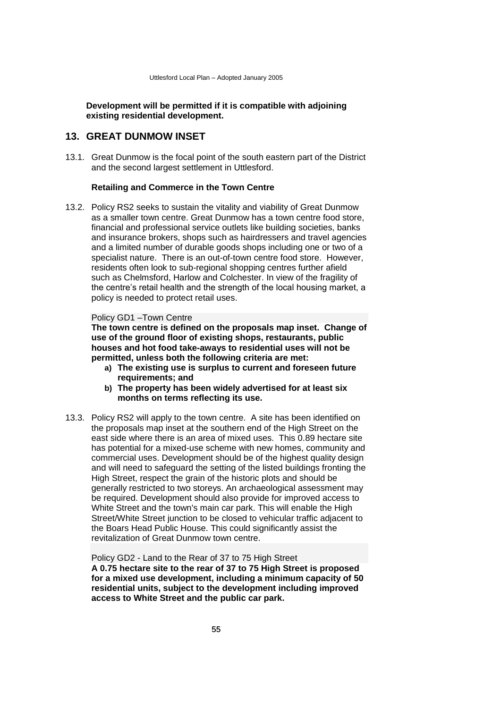**Development will be permitted if it is compatible with adjoining existing residential development.**

# **13. GREAT DUNMOW INSET**

13.1. Great Dunmow is the focal point of the south eastern part of the District and the second largest settlement in Uttlesford.

#### **Retailing and Commerce in the Town Centre**

13.2. Policy RS2 seeks to sustain the vitality and viability of Great Dunmow as a smaller town centre. Great Dunmow has a town centre food store, financial and professional service outlets like building societies, banks and insurance brokers, shops such as hairdressers and travel agencies and a limited number of durable goods shops including one or two of a specialist nature. There is an out-of-town centre food store. However, residents often look to sub-regional shopping centres further afield such as Chelmsford, Harlow and Colchester. In view of the fragility of the centre's retail health and the strength of the local housing market, a policy is needed to protect retail uses.

#### Policy GD1 –Town Centre

**The town centre is defined on the proposals map inset. Change of use of the ground floor of existing shops, restaurants, public houses and hot food take-aways to residential uses will not be permitted, unless both the following criteria are met:**

- **a) The existing use is surplus to current and foreseen future requirements; and**
- **b) The property has been widely advertised for at least six months on terms reflecting its use.**
- 13.3. Policy RS2 will apply to the town centre. A site has been identified on the proposals map inset at the southern end of the High Street on the east side where there is an area of mixed uses. This 0.89 hectare site has potential for a mixed-use scheme with new homes, community and commercial uses. Development should be of the highest quality design and will need to safeguard the setting of the listed buildings fronting the High Street, respect the grain of the historic plots and should be generally restricted to two storeys. An archaeological assessment may be required. Development should also provide for improved access to White Street and the town's main car park. This will enable the High Street/White Street junction to be closed to vehicular traffic adjacent to the Boars Head Public House. This could significantly assist the revitalization of Great Dunmow town centre.

Policy GD2 - Land to the Rear of 37 to 75 High Street **A 0.75 hectare site to the rear of 37 to 75 High Street is proposed for a mixed use development, including a minimum capacity of 50 residential units, subject to the development including improved access to White Street and the public car park.**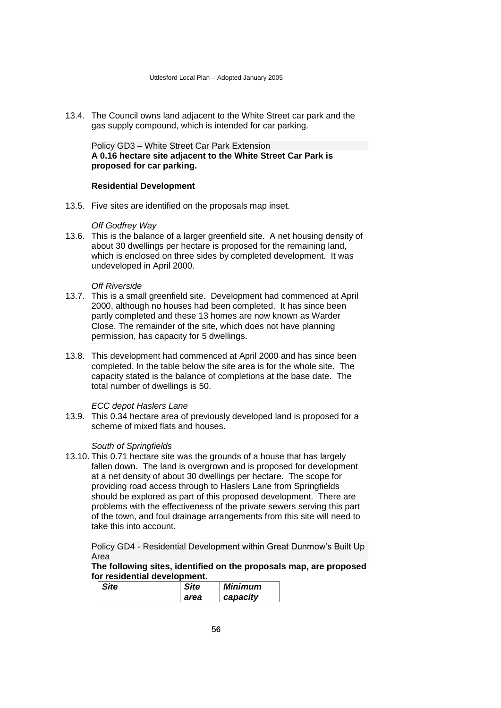13.4. The Council owns land adjacent to the White Street car park and the gas supply compound, which is intended for car parking.

Policy GD3 – White Street Car Park Extension **A 0.16 hectare site adjacent to the White Street Car Park is proposed for car parking.**

#### **Residential Development**

13.5. Five sites are identified on the proposals map inset.

#### *Off Godfrey Way*

13.6. This is the balance of a larger greenfield site. A net housing density of about 30 dwellings per hectare is proposed for the remaining land, which is enclosed on three sides by completed development. It was undeveloped in April 2000.

#### *Off Riverside*

- 13.7. This is a small greenfield site. Development had commenced at April 2000, although no houses had been completed. It has since been partly completed and these 13 homes are now known as Warder Close. The remainder of the site, which does not have planning permission, has capacity for 5 dwellings.
- 13.8. This development had commenced at April 2000 and has since been completed. In the table below the site area is for the whole site. The capacity stated is the balance of completions at the base date. The total number of dwellings is 50.

## *ECC depot Haslers Lane*

13.9. This 0.34 hectare area of previously developed land is proposed for a scheme of mixed flats and houses.

## *South of Springfields*

13.10. This 0.71 hectare site was the grounds of a house that has largely fallen down. The land is overgrown and is proposed for development at a net density of about 30 dwellings per hectare. The scope for providing road access through to Haslers Lane from Springfields should be explored as part of this proposed development. There are problems with the effectiveness of the private sewers serving this part of the town, and foul drainage arrangements from this site will need to take this into account.

Policy GD4 - Residential Development within Great Dunmow's Built Up Area

**The following sites, identified on the proposals map, are proposed for residential development.**

| <b>Site</b> | <b>Site</b> | Minimum  |
|-------------|-------------|----------|
|             | area        | capacity |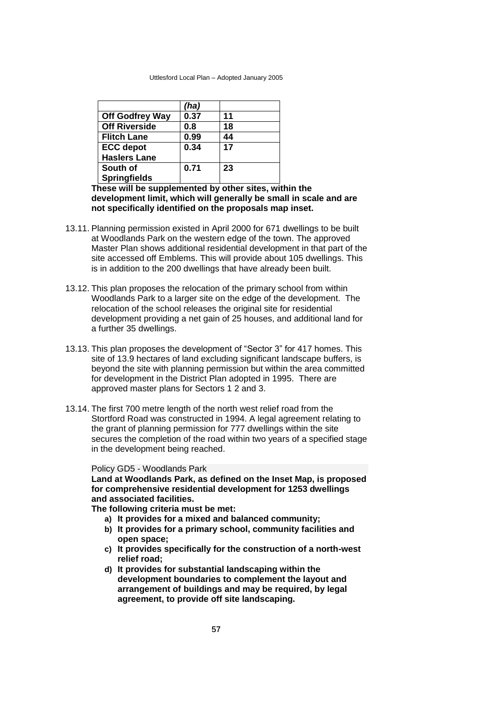|                        | (ha) |    |
|------------------------|------|----|
| <b>Off Godfrey Way</b> | 0.37 | 11 |
| <b>Off Riverside</b>   | 0.8  | 18 |
| <b>Flitch Lane</b>     | 0.99 | 44 |
| <b>ECC</b> depot       | 0.34 | 17 |
| <b>Haslers Lane</b>    |      |    |
| South of               | 0.71 | 23 |
| <b>Springfields</b>    |      |    |

**These will be supplemented by other sites, within the development limit, which will generally be small in scale and are not specifically identified on the proposals map inset.**

- 13.11. Planning permission existed in April 2000 for 671 dwellings to be built at Woodlands Park on the western edge of the town. The approved Master Plan shows additional residential development in that part of the site accessed off Emblems. This will provide about 105 dwellings. This is in addition to the 200 dwellings that have already been built.
- 13.12. This plan proposes the relocation of the primary school from within Woodlands Park to a larger site on the edge of the development. The relocation of the school releases the original site for residential development providing a net gain of 25 houses, and additional land for a further 35 dwellings.
- 13.13. This plan proposes the development of "Sector 3" for 417 homes. This site of 13.9 hectares of land excluding significant landscape buffers, is beyond the site with planning permission but within the area committed for development in the District Plan adopted in 1995. There are approved master plans for Sectors 1 2 and 3.
- 13.14. The first 700 metre length of the north west relief road from the Stortford Road was constructed in 1994. A legal agreement relating to the grant of planning permission for 777 dwellings within the site secures the completion of the road within two years of a specified stage in the development being reached.

#### Policy GD5 - Woodlands Park

**Land at Woodlands Park, as defined on the Inset Map, is proposed for comprehensive residential development for 1253 dwellings and associated facilities.**

**The following criteria must be met:**

- **a) It provides for a mixed and balanced community;**
- **b) It provides for a primary school, community facilities and open space;**
- **c) It provides specifically for the construction of a north-west relief road;**
- **d) It provides for substantial landscaping within the development boundaries to complement the layout and arrangement of buildings and may be required, by legal agreement, to provide off site landscaping.**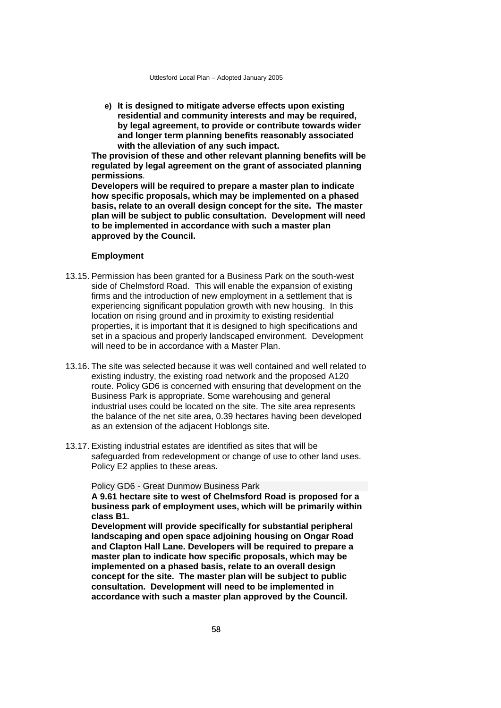**e) It is designed to mitigate adverse effects upon existing residential and community interests and may be required, by legal agreement, to provide or contribute towards wider and longer term planning benefits reasonably associated with the alleviation of any such impact.**

**The provision of these and other relevant planning benefits will be regulated by legal agreement on the grant of associated planning permissions***.* 

**Developers will be required to prepare a master plan to indicate how specific proposals, which may be implemented on a phased basis, relate to an overall design concept for the site. The master plan will be subject to public consultation. Development will need to be implemented in accordance with such a master plan approved by the Council.**

### **Employment**

- 13.15. Permission has been granted for a Business Park on the south-west side of Chelmsford Road. This will enable the expansion of existing firms and the introduction of new employment in a settlement that is experiencing significant population growth with new housing. In this location on rising ground and in proximity to existing residential properties, it is important that it is designed to high specifications and set in a spacious and properly landscaped environment. Development will need to be in accordance with a Master Plan.
- 13.16. The site was selected because it was well contained and well related to existing industry, the existing road network and the proposed A120 route. Policy GD6 is concerned with ensuring that development on the Business Park is appropriate. Some warehousing and general industrial uses could be located on the site. The site area represents the balance of the net site area, 0.39 hectares having been developed as an extension of the adjacent Hoblongs site.
- 13.17. Existing industrial estates are identified as sites that will be safeguarded from redevelopment or change of use to other land uses. Policy E2 applies to these areas.

Policy GD6 - Great Dunmow Business Park

**A 9.61 hectare site to west of Chelmsford Road is proposed for a business park of employment uses, which will be primarily within class B1.** 

**Development will provide specifically for substantial peripheral landscaping and open space adjoining housing on Ongar Road and Clapton Hall Lane. Developers will be required to prepare a master plan to indicate how specific proposals, which may be implemented on a phased basis, relate to an overall design concept for the site. The master plan will be subject to public consultation. Development will need to be implemented in accordance with such a master plan approved by the Council.**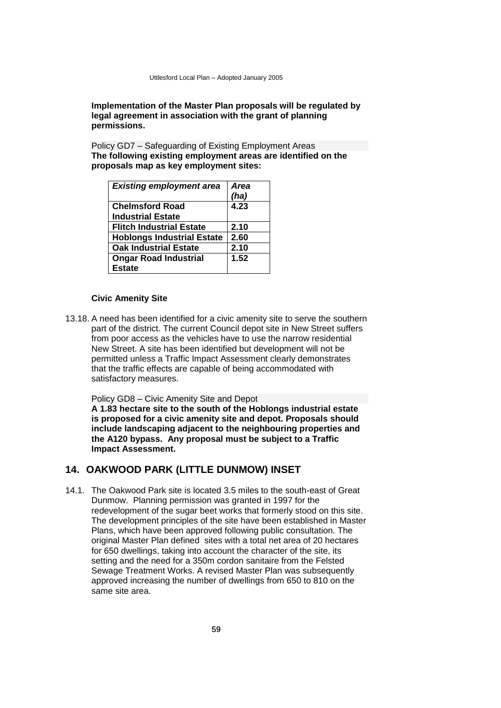## **Implementation of the Master Plan proposals will be regulated by legal agreement in association with the grant of planning permissions.**

Policy GD7 – Safeguarding of Existing Employment Areas **The following existing employment areas are identified on the proposals map as key employment sites:** 

| <b>Existing employment area</b>   | <b>Area</b><br>(ha) |
|-----------------------------------|---------------------|
| <b>Chelmsford Road</b>            | 4.23                |
| <b>Industrial Estate</b>          |                     |
| <b>Flitch Industrial Estate</b>   | 2.10                |
| <b>Hoblongs Industrial Estate</b> | 2.60                |
| <b>Oak Industrial Estate</b>      | 2.10                |
| <b>Ongar Road Industrial</b>      | 1.52                |
| <b>Estate</b>                     |                     |

## **Civic Amenity Site**

13.18. A need has been identified for a civic amenity site to serve the southern part of the district. The current Council depot site in New Street suffers from poor access as the vehicles have to use the narrow residential New Street. A site has been identified but development will not be permitted unless a Traffic Impact Assessment clearly demonstrates that the traffic effects are capable of being accommodated with satisfactory measures.

Policy GD8 – Civic Amenity Site and Depot

**A 1.83 hectare site to the south of the Hoblongs industrial estate is proposed for a civic amenity site and depot. Proposals should include landscaping adjacent to the neighbouring properties and the A120 bypass. Any proposal must be subject to a Traffic Impact Assessment.** 

## **14. OAKWOOD PARK (LITTLE DUNMOW) INSET**

14.1. The Oakwood Park site is located 3.5 miles to the south-east of Great Dunmow. Planning permission was granted in 1997 for the redevelopment of the sugar beet works that formerly stood on this site. The development principles of the site have been established in Master Plans, which have been approved following public consultation. The original Master Plan defined sites with a total net area of 20 hectares for 650 dwellings, taking into account the character of the site, its setting and the need for a 350m cordon sanitaire from the Felsted Sewage Treatment Works. A revised Master Plan was subsequently approved increasing the number of dwellings from 650 to 810 on the same site area.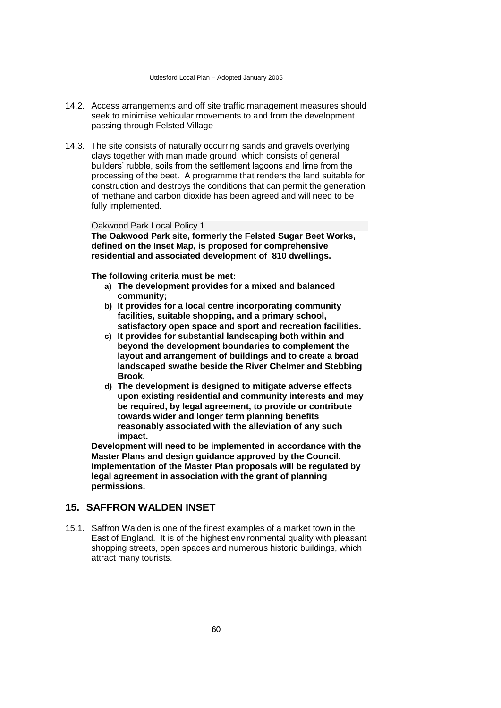- 14.2. Access arrangements and off site traffic management measures should seek to minimise vehicular movements to and from the development passing through Felsted Village
- 14.3. The site consists of naturally occurring sands and gravels overlying clays together with man made ground, which consists of general builders' rubble, soils from the settlement lagoons and lime from the processing of the beet. A programme that renders the land suitable for construction and destroys the conditions that can permit the generation of methane and carbon dioxide has been agreed and will need to be fully implemented.

#### Oakwood Park Local Policy 1

**The Oakwood Park site, formerly the Felsted Sugar Beet Works, defined on the Inset Map, is proposed for comprehensive residential and associated development of 810 dwellings.** 

**The following criteria must be met:**

- **a) The development provides for a mixed and balanced community;**
- **b) It provides for a local centre incorporating community facilities, suitable shopping, and a primary school, satisfactory open space and sport and recreation facilities.**
- **c) It provides for substantial landscaping both within and beyond the development boundaries to complement the layout and arrangement of buildings and to create a broad landscaped swathe beside the River Chelmer and Stebbing Brook.**
- **d) The development is designed to mitigate adverse effects upon existing residential and community interests and may be required, by legal agreement, to provide or contribute towards wider and longer term planning benefits reasonably associated with the alleviation of any such impact.**

**Development will need to be implemented in accordance with the Master Plans and design guidance approved by the Council. Implementation of the Master Plan proposals will be regulated by legal agreement in association with the grant of planning permissions.** 

# **15. SAFFRON WALDEN INSET**

15.1. Saffron Walden is one of the finest examples of a market town in the East of England. It is of the highest environmental quality with pleasant shopping streets, open spaces and numerous historic buildings, which attract many tourists.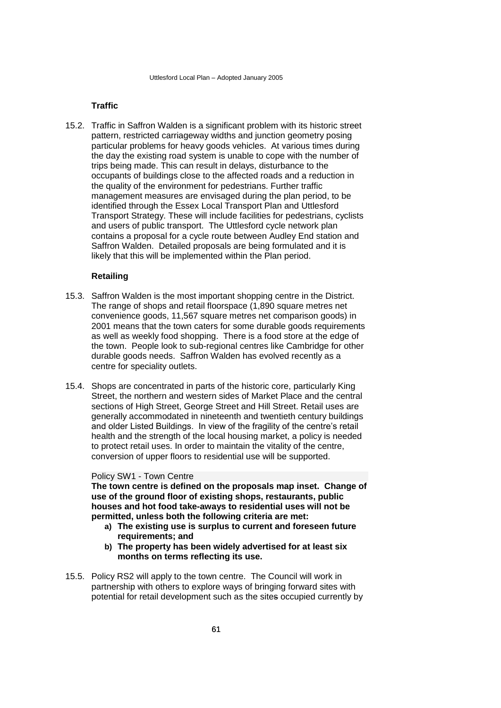## **Traffic**

15.2. Traffic in Saffron Walden is a significant problem with its historic street pattern, restricted carriageway widths and junction geometry posing particular problems for heavy goods vehicles. At various times during the day the existing road system is unable to cope with the number of trips being made. This can result in delays, disturbance to the occupants of buildings close to the affected roads and a reduction in the quality of the environment for pedestrians. Further traffic management measures are envisaged during the plan period, to be identified through the Essex Local Transport Plan and Uttlesford Transport Strategy. These will include facilities for pedestrians, cyclists and users of public transport.The Uttlesford cycle network plan contains a proposal for a cycle route between Audley End station and Saffron Walden. Detailed proposals are being formulated and it is likely that this will be implemented within the Plan period.

## **Retailing**

- 15.3. Saffron Walden is the most important shopping centre in the District. The range of shops and retail floorspace (1,890 square metres net convenience goods, 11,567 square metres net comparison goods) in 2001 means that the town caters for some durable goods requirements as well as weekly food shopping. There is a food store at the edge of the town. People look to sub-regional centres like Cambridge for other durable goods needs. Saffron Walden has evolved recently as a centre for speciality outlets.
- 15.4. Shops are concentrated in parts of the historic core, particularly King Street, the northern and western sides of Market Place and the central sections of High Street, George Street and Hill Street. Retail uses are generally accommodated in nineteenth and twentieth century buildings and older Listed Buildings. In view of the fragility of the centre's retail health and the strength of the local housing market, a policy is needed to protect retail uses. In order to maintain the vitality of the centre, conversion of upper floors to residential use will be supported.

#### Policy SW1 - Town Centre

**The town centre is defined on the proposals map inset. Change of use of the ground floor of existing shops, restaurants, public houses and hot food take-aways to residential uses will not be permitted, unless both the following criteria are met:**

- **a) The existing use is surplus to current and foreseen future requirements; and**
- **b) The property has been widely advertised for at least six months on terms reflecting its use.**
- 15.5. Policy RS2 will apply to the town centre. The Council will work in partnership with others to explore ways of bringing forward sites with potential for retail development such as the sites occupied currently by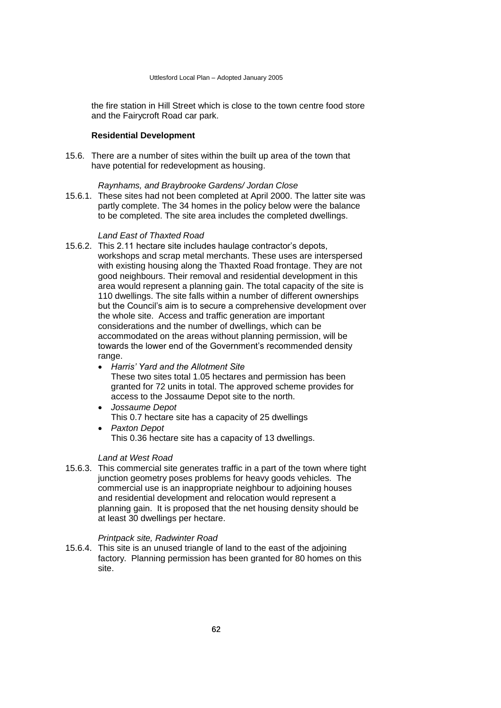the fire station in Hill Street which is close to the town centre food store and the Fairycroft Road car park.

## **Residential Development**

15.6. There are a number of sites within the built up area of the town that have potential for redevelopment as housing.

#### *Raynhams, and Braybrooke Gardens/ Jordan Close*

15.6.1. These sites had not been completed at April 2000. The latter site was partly complete. The 34 homes in the policy below were the balance to be completed. The site area includes the completed dwellings.

### *Land East of Thaxted Road*

- 15.6.2. This 2.11 hectare site includes haulage contractor's depots, workshops and scrap metal merchants. These uses are interspersed with existing housing along the Thaxted Road frontage. They are not good neighbours. Their removal and residential development in this area would represent a planning gain. The total capacity of the site is 110 dwellings. The site falls within a number of different ownerships but the Council's aim is to secure a comprehensive development over the whole site. Access and traffic generation are important considerations and the number of dwellings, which can be accommodated on the areas without planning permission, will be towards the lower end of the Government's recommended density range.
	- *Harris' Yard and the Allotment Site* These two sites total 1.05 hectares and permission has been granted for 72 units in total. The approved scheme provides for access to the Jossaume Depot site to the north.
	- *Jossaume Depot* This 0.7 hectare site has a capacity of 25 dwellings
	- *Paxton Depot* This 0.36 hectare site has a capacity of 13 dwellings.

## *Land at West Road*

15.6.3. This commercial site generates traffic in a part of the town where tight junction geometry poses problems for heavy goods vehicles. The commercial use is an inappropriate neighbour to adjoining houses and residential development and relocation would represent a planning gain. It is proposed that the net housing density should be at least 30 dwellings per hectare.

## *Printpack site, Radwinter Road*

15.6.4. This site is an unused triangle of land to the east of the adjoining factory. Planning permission has been granted for 80 homes on this site.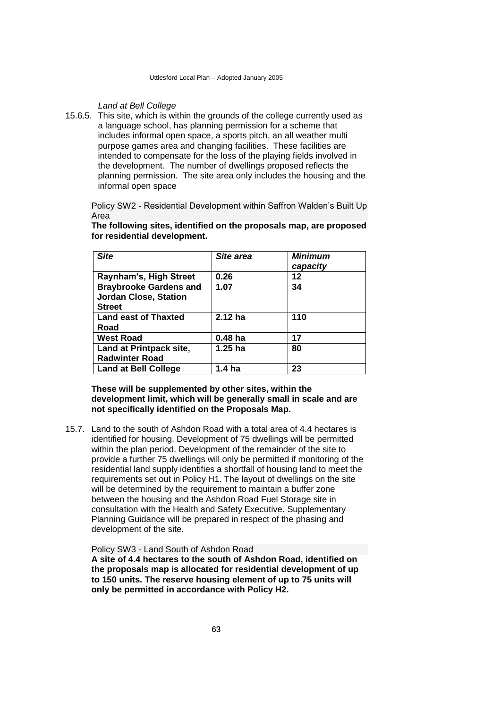*Land at Bell College*

15.6.5. This site, which is within the grounds of the college currently used as a language school, has planning permission for a scheme that includes informal open space, a sports pitch, an all weather multi purpose games area and changing facilities. These facilities are intended to compensate for the loss of the playing fields involved in the development. The number of dwellings proposed reflects the planning permission. The site area only includes the housing and the informal open space

Policy SW2 - Residential Development within Saffron Walden's Built Up Area

| <b>Site</b>                   | Site area          | <b>Minimum</b><br>capacity |
|-------------------------------|--------------------|----------------------------|
| Raynham's, High Street        | 0.26               | 12                         |
| <b>Braybrooke Gardens and</b> | 1.07               | 34                         |
| <b>Jordan Close, Station</b>  |                    |                            |
| <b>Street</b>                 |                    |                            |
| <b>Land east of Thaxted</b>   | 2.12 ha            | 110                        |
| Road                          |                    |                            |
| <b>West Road</b>              | 0.48 <sub>ha</sub> | 17                         |
| Land at Printpack site,       | $1.25$ ha          | 80                         |
| <b>Radwinter Road</b>         |                    |                            |
| <b>Land at Bell College</b>   | 1.4 ha             | 23                         |

**The following sites, identified on the proposals map, are proposed for residential development.**

## **These will be supplemented by other sites, within the development limit, which will be generally small in scale and are not specifically identified on the Proposals Map.**

15.7. Land to the south of Ashdon Road with a total area of 4.4 hectares is identified for housing. Development of 75 dwellings will be permitted within the plan period. Development of the remainder of the site to provide a further 75 dwellings will only be permitted if monitoring of the residential land supply identifies a shortfall of housing land to meet the requirements set out in Policy H1. The layout of dwellings on the site will be determined by the requirement to maintain a buffer zone between the housing and the Ashdon Road Fuel Storage site in consultation with the Health and Safety Executive. Supplementary Planning Guidance will be prepared in respect of the phasing and development of the site.

Policy SW3 - Land South of Ashdon Road **A site of 4.4 hectares to the south of Ashdon Road, identified on the proposals map is allocated for residential development of up to 150 units. The reserve housing element of up to 75 units will only be permitted in accordance with Policy H2.**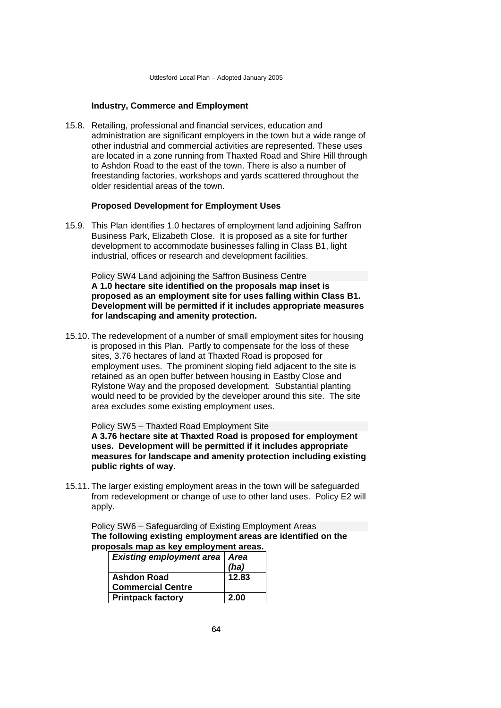## **Industry, Commerce and Employment**

15.8. Retailing, professional and financial services, education and administration are significant employers in the town but a wide range of other industrial and commercial activities are represented. These uses are located in a zone running from Thaxted Road and Shire Hill through to Ashdon Road to the east of the town. There is also a number of freestanding factories, workshops and yards scattered throughout the older residential areas of the town.

#### **Proposed Development for Employment Uses**

15.9. This Plan identifies 1.0 hectares of employment land adjoining Saffron Business Park, Elizabeth Close. It is proposed as a site for further development to accommodate businesses falling in Class B1, light industrial, offices or research and development facilities.

Policy SW4 Land adjoining the Saffron Business Centre **A 1.0 hectare site identified on the proposals map inset is proposed as an employment site for uses falling within Class B1. Development will be permitted if it includes appropriate measures for landscaping and amenity protection.**

15.10. The redevelopment of a number of small employment sites for housing is proposed in this Plan. Partly to compensate for the loss of these sites, 3.76 hectares of land at Thaxted Road is proposed for employment uses. The prominent sloping field adjacent to the site is retained as an open buffer between housing in Eastby Close and Rylstone Way and the proposed development. Substantial planting would need to be provided by the developer around this site. The site area excludes some existing employment uses.

Policy SW5 – Thaxted Road Employment Site **A 3.76 hectare site at Thaxted Road is proposed for employment uses. Development will be permitted if it includes appropriate measures for landscape and amenity protection including existing public rights of way.**

15.11. The larger existing employment areas in the town will be safeguarded from redevelopment or change of use to other land uses. Policy E2 will apply.

Policy SW6 – Safeguarding of Existing Employment Areas **The following existing employment areas are identified on the proposals map as key employment areas.**

| <b>Existing employment area   Area</b> |       |
|----------------------------------------|-------|
|                                        | (ha)  |
| <b>Ashdon Road</b>                     | 12.83 |
| <b>Commercial Centre</b>               |       |
| <b>Printpack factory</b>               | 2.00  |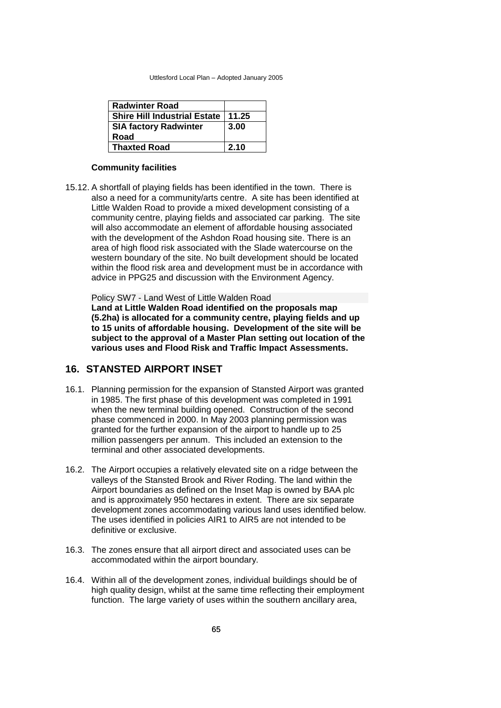| <b>Radwinter Road</b>               |       |
|-------------------------------------|-------|
| <b>Shire Hill Industrial Estate</b> | 11.25 |
| <b>SIA factory Radwinter</b>        | 3.00  |
| Road                                |       |
| <b>Thaxted Road</b>                 | 2.10  |

#### **Community facilities**

15.12. A shortfall of playing fields has been identified in the town. There is also a need for a community/arts centre. A site has been identified at Little Walden Road to provide a mixed development consisting of a community centre, playing fields and associated car parking. The site will also accommodate an element of affordable housing associated with the development of the Ashdon Road housing site. There is an area of high flood risk associated with the Slade watercourse on the western boundary of the site. No built development should be located within the flood risk area and development must be in accordance with advice in PPG25 and discussion with the Environment Agency.

Policy SW7 - Land West of Little Walden Road **Land at Little Walden Road identified on the proposals map (5.2ha) is allocated for a community centre, playing fields and up to 15 units of affordable housing. Development of the site will be subject to the approval of a Master Plan setting out location of the various uses and Flood Risk and Traffic Impact Assessments.** 

## **16. STANSTED AIRPORT INSET**

- 16.1. Planning permission for the expansion of Stansted Airport was granted in 1985. The first phase of this development was completed in 1991 when the new terminal building opened. Construction of the second phase commenced in 2000. In May 2003 planning permission was granted for the further expansion of the airport to handle up to 25 million passengers per annum. This included an extension to the terminal and other associated developments.
- 16.2. The Airport occupies a relatively elevated site on a ridge between the valleys of the Stansted Brook and River Roding. The land within the Airport boundaries as defined on the Inset Map is owned by BAA plc and is approximately 950 hectares in extent. There are six separate development zones accommodating various land uses identified below. The uses identified in policies AIR1 to AIR5 are not intended to be definitive or exclusive.
- 16.3. The zones ensure that all airport direct and associated uses can be accommodated within the airport boundary.
- 16.4. Within all of the development zones, individual buildings should be of high quality design, whilst at the same time reflecting their employment function. The large variety of uses within the southern ancillary area,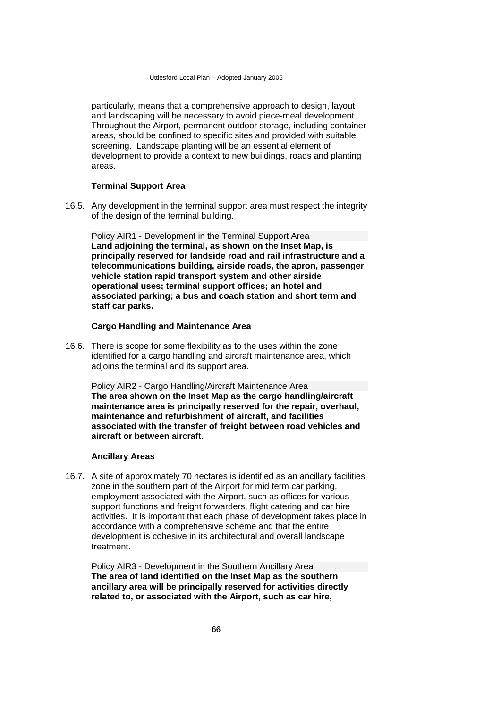particularly, means that a comprehensive approach to design, layout and landscaping will be necessary to avoid piece-meal development. Throughout the Airport, permanent outdoor storage, including container areas, should be confined to specific sites and provided with suitable screening. Landscape planting will be an essential element of development to provide a context to new buildings, roads and planting areas.

## **Terminal Support Area**

16.5. Any development in the terminal support area must respect the integrity of the design of the terminal building.

Policy AIR1 - Development in the Terminal Support Area **Land adjoining the terminal, as shown on the Inset Map, is principally reserved for landside road and rail infrastructure and a telecommunications building, airside roads, the apron, passenger vehicle station rapid transport system and other airside operational uses; terminal support offices; an hotel and associated parking; a bus and coach station and short term and staff car parks.** 

## **Cargo Handling and Maintenance Area**

16.6. There is scope for some flexibility as to the uses within the zone identified for a cargo handling and aircraft maintenance area, which adjoins the terminal and its support area.

Policy AIR2 - Cargo Handling/Aircraft Maintenance Area **The area shown on the Inset Map as the cargo handling/aircraft maintenance area is principally reserved for the repair, overhaul, maintenance and refurbishment of aircraft, and facilities associated with the transfer of freight between road vehicles and aircraft or between aircraft.**

## **Ancillary Areas**

16.7. A site of approximately 70 hectares is identified as an ancillary facilities zone in the southern part of the Airport for mid term car parking, employment associated with the Airport, such as offices for various support functions and freight forwarders, flight catering and car hire activities. It is important that each phase of development takes place in accordance with a comprehensive scheme and that the entire development is cohesive in its architectural and overall landscape treatment.

Policy AIR3 - Development in the Southern Ancillary Area **The area of land identified on the Inset Map as the southern ancillary area will be principally reserved for activities directly related to, or associated with the Airport, such as car hire,**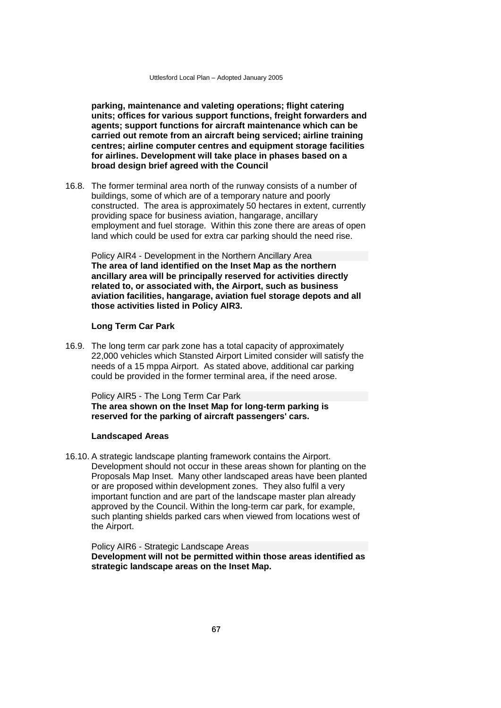**parking, maintenance and valeting operations; flight catering units; offices for various support functions, freight forwarders and agents; support functions for aircraft maintenance which can be carried out remote from an aircraft being serviced; airline training centres; airline computer centres and equipment storage facilities for airlines. Development will take place in phases based on a broad design brief agreed with the Council** 

16.8. The former terminal area north of the runway consists of a number of buildings, some of which are of a temporary nature and poorly constructed. The area is approximately 50 hectares in extent, currently providing space for business aviation, hangarage, ancillary employment and fuel storage. Within this zone there are areas of open land which could be used for extra car parking should the need rise.

Policy AIR4 - Development in the Northern Ancillary Area **The area of land identified on the Inset Map as the northern ancillary area will be principally reserved for activities directly related to, or associated with, the Airport, such as business aviation facilities, hangarage, aviation fuel storage depots and all those activities listed in Policy AIR3.** 

## **Long Term Car Park**

16.9. The long term car park zone has a total capacity of approximately 22,000 vehicles which Stansted Airport Limited consider will satisfy the needs of a 15 mppa Airport. As stated above, additional car parking could be provided in the former terminal area, if the need arose.

Policy AIR5 - The Long Term Car Park **The area shown on the Inset Map for long-term parking is reserved for the parking of aircraft passengers' cars.**

#### **Landscaped Areas**

16.10. A strategic landscape planting framework contains the Airport. Development should not occur in these areas shown for planting on the Proposals Map Inset. Many other landscaped areas have been planted or are proposed within development zones. They also fulfil a very important function and are part of the landscape master plan already approved by the Council. Within the long-term car park, for example, such planting shields parked cars when viewed from locations west of the Airport.

Policy AIR6 - Strategic Landscape Areas **Development will not be permitted within those areas identified as strategic landscape areas on the Inset Map.**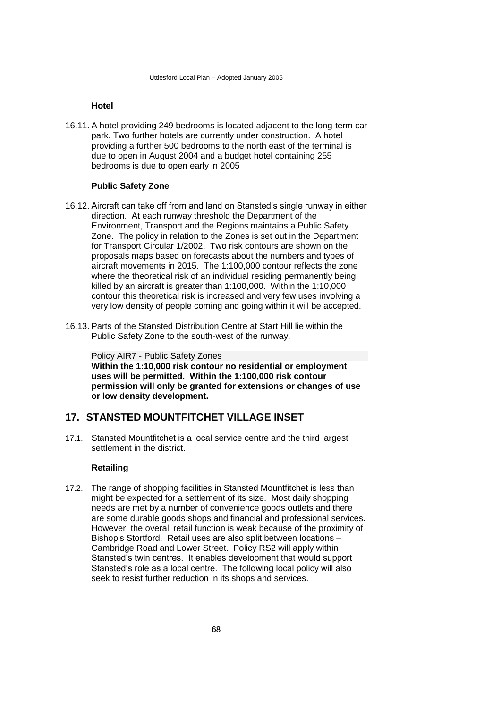## **Hotel**

16.11. A hotel providing 249 bedrooms is located adjacent to the long-term car park. Two further hotels are currently under construction. A hotel providing a further 500 bedrooms to the north east of the terminal is due to open in August 2004 and a budget hotel containing 255 bedrooms is due to open early in 2005

### **Public Safety Zone**

- 16.12. Aircraft can take off from and land on Stansted's single runway in either direction. At each runway threshold the Department of the Environment, Transport and the Regions maintains a Public Safety Zone. The policy in relation to the Zones is set out in the Department for Transport Circular 1/2002. Two risk contours are shown on the proposals maps based on forecasts about the numbers and types of aircraft movements in 2015. The 1:100,000 contour reflects the zone where the theoretical risk of an individual residing permanently being killed by an aircraft is greater than 1:100,000. Within the 1:10,000 contour this theoretical risk is increased and very few uses involving a very low density of people coming and going within it will be accepted.
- 16.13. Parts of the Stansted Distribution Centre at Start Hill lie within the Public Safety Zone to the south-west of the runway.

Policy AIR7 - Public Safety Zones **Within the 1:10,000 risk contour no residential or employment uses will be permitted. Within the 1:100,000 risk contour permission will only be granted for extensions or changes of use or low density development.**

## **17. STANSTED MOUNTFITCHET VILLAGE INSET**

17.1. Stansted Mountfitchet is a local service centre and the third largest settlement in the district.

## **Retailing**

17.2. The range of shopping facilities in Stansted Mountfitchet is less than might be expected for a settlement of its size. Most daily shopping needs are met by a number of convenience goods outlets and there are some durable goods shops and financial and professional services. However, the overall retail function is weak because of the proximity of Bishop's Stortford. Retail uses are also split between locations – Cambridge Road and Lower Street. Policy RS2 will apply within Stansted's twin centres. It enables development that would support Stansted's role as a local centre. The following local policy will also seek to resist further reduction in its shops and services.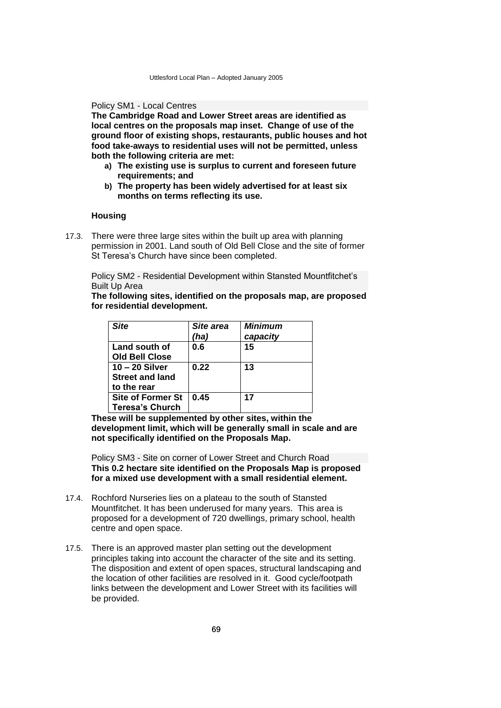### Policy SM1 - Local Centres

**The Cambridge Road and Lower Street areas are identified as local centres on the proposals map inset. Change of use of the ground floor of existing shops, restaurants, public houses and hot food take-aways to residential uses will not be permitted, unless both the following criteria are met:**

- **a) The existing use is surplus to current and foreseen future requirements; and**
- **b) The property has been widely advertised for at least six months on terms reflecting its use.**

## **Housing**

17.3. There were three large sites within the built up area with planning permission in 2001. Land south of Old Bell Close and the site of former St Teresa's Church have since been completed.

Policy SM2 - Residential Development within Stansted Mountfitchet's Built Up Area

**The following sites, identified on the proposals map, are proposed for residential development.**

| <b>Site</b>              | Site area | <b>Minimum</b> |
|--------------------------|-----------|----------------|
|                          | (ha)      | capacity       |
| Land south of            | 0.6       | 15             |
| <b>Old Bell Close</b>    |           |                |
| $10 - 20$ Silver         | 0.22      | 13             |
| <b>Street and land</b>   |           |                |
| to the rear              |           |                |
| <b>Site of Former St</b> | 0.45      | 17             |
| <b>Teresa's Church</b>   |           |                |

**These will be supplemented by other sites, within the development limit, which will be generally small in scale and are not specifically identified on the Proposals Map.**

Policy SM3 - Site on corner of Lower Street and Church Road **This 0.2 hectare site identified on the Proposals Map is proposed for a mixed use development with a small residential element.**

- 17.4. Rochford Nurseries lies on a plateau to the south of Stansted Mountfitchet. It has been underused for many years. This area is proposed for a development of 720 dwellings, primary school, health centre and open space.
- 17.5. There is an approved master plan setting out the development principles taking into account the character of the site and its setting. The disposition and extent of open spaces, structural landscaping and the location of other facilities are resolved in it. Good cycle/footpath links between the development and Lower Street with its facilities will be provided.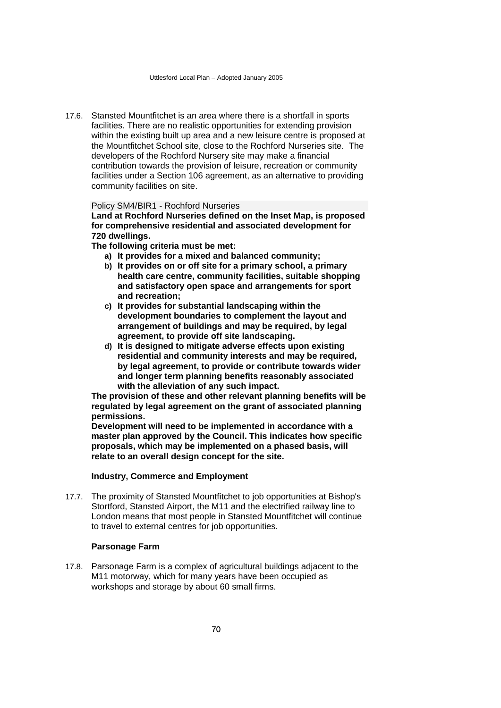17.6. Stansted Mountfitchet is an area where there is a shortfall in sports facilities. There are no realistic opportunities for extending provision within the existing built up area and a new leisure centre is proposed at the Mountfitchet School site, close to the Rochford Nurseries site. The developers of the Rochford Nursery site may make a financial contribution towards the provision of leisure, recreation or community facilities under a Section 106 agreement, as an alternative to providing community facilities on site.

### Policy SM4/BIR1 - Rochford Nurseries

**Land at Rochford Nurseries defined on the Inset Map, is proposed for comprehensive residential and associated development for 720 dwellings.** 

**The following criteria must be met:**

- **a) It provides for a mixed and balanced community;**
- **b) It provides on or off site for a primary school, a primary health care centre, community facilities, suitable shopping and satisfactory open space and arrangements for sport and recreation;**
- **c) It provides for substantial landscaping within the development boundaries to complement the layout and arrangement of buildings and may be required, by legal agreement, to provide off site landscaping.**
- **d) It is designed to mitigate adverse effects upon existing residential and community interests and may be required, by legal agreement, to provide or contribute towards wider and longer term planning benefits reasonably associated with the alleviation of any such impact.**

**The provision of these and other relevant planning benefits will be regulated by legal agreement on the grant of associated planning permissions.**

**Development will need to be implemented in accordance with a master plan approved by the Council. This indicates how specific proposals, which may be implemented on a phased basis, will relate to an overall design concept for the site.** 

### **Industry, Commerce and Employment**

17.7. The proximity of Stansted Mountfitchet to job opportunities at Bishop's Stortford, Stansted Airport, the M11 and the electrified railway line to London means that most people in Stansted Mountfitchet will continue to travel to external centres for job opportunities.

### **Parsonage Farm**

17.8. Parsonage Farm is a complex of agricultural buildings adjacent to the M11 motorway, which for many years have been occupied as workshops and storage by about 60 small firms.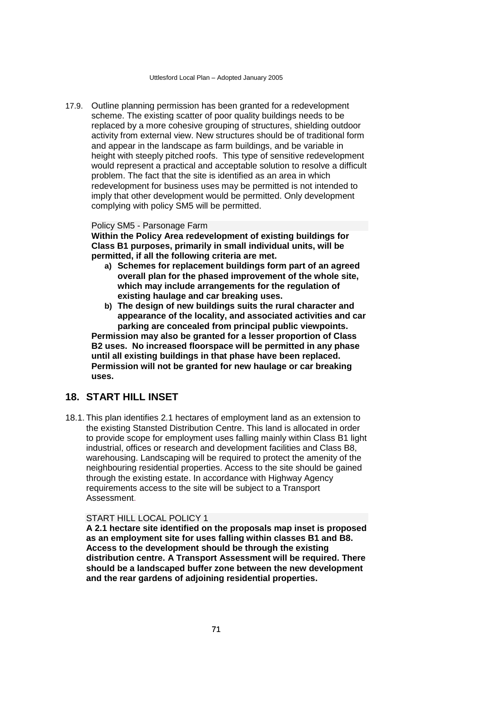17.9. Outline planning permission has been granted for a redevelopment scheme. The existing scatter of poor quality buildings needs to be replaced by a more cohesive grouping of structures, shielding outdoor activity from external view. New structures should be of traditional form and appear in the landscape as farm buildings, and be variable in height with steeply pitched roofs. This type of sensitive redevelopment would represent a practical and acceptable solution to resolve a difficult problem. The fact that the site is identified as an area in which redevelopment for business uses may be permitted is not intended to imply that other development would be permitted. Only development complying with policy SM5 will be permitted.

### Policy SM5 - Parsonage Farm

**Within the Policy Area redevelopment of existing buildings for Class B1 purposes, primarily in small individual units, will be permitted, if all the following criteria are met.** 

- **a) Schemes for replacement buildings form part of an agreed overall plan for the phased improvement of the whole site, which may include arrangements for the regulation of existing haulage and car breaking uses.**
- **b) The design of new buildings suits the rural character and appearance of the locality, and associated activities and car parking are concealed from principal public viewpoints.**

**Permission may also be granted for a lesser proportion of Class B2 uses. No increased floorspace will be permitted in any phase until all existing buildings in that phase have been replaced. Permission will not be granted for new haulage or car breaking uses.**

# **18. START HILL INSET**

18.1. This plan identifies 2.1 hectares of employment land as an extension to the existing Stansted Distribution Centre. This land is allocated in order to provide scope for employment uses falling mainly within Class B1 light industrial, offices or research and development facilities and Class B8, warehousing. Landscaping will be required to protect the amenity of the neighbouring residential properties. Access to the site should be gained through the existing estate. In accordance with Highway Agency requirements access to the site will be subject to a Transport Assessment.

### START HILL LOCAL POLICY 1

**A 2.1 hectare site identified on the proposals map inset is proposed as an employment site for uses falling within classes B1 and B8. Access to the development should be through the existing distribution centre. A Transport Assessment will be required. There should be a landscaped buffer zone between the new development and the rear gardens of adjoining residential properties.**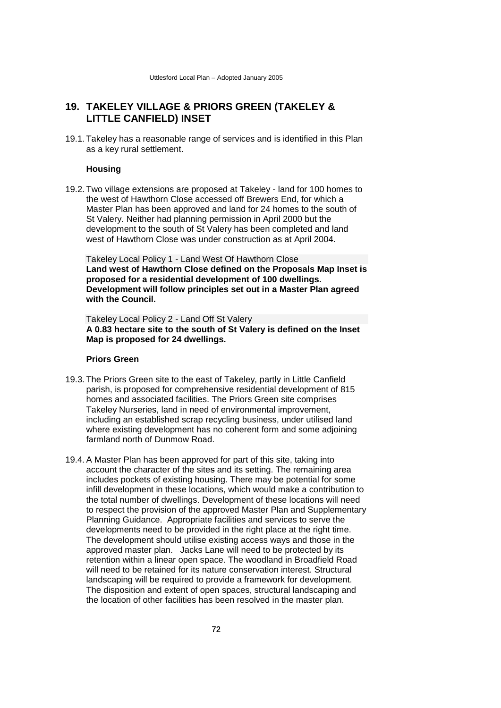# **19. TAKELEY VILLAGE & PRIORS GREEN (TAKELEY & LITTLE CANFIELD) INSET**

19.1. Takeley has a reasonable range of services and is identified in this Plan as a key rural settlement.

### **Housing**

19.2. Two village extensions are proposed at Takeley - land for 100 homes to the west of Hawthorn Close accessed off Brewers End, for which a Master Plan has been approved and land for 24 homes to the south of St Valery. Neither had planning permission in April 2000 but the development to the south of St Valery has been completed and land west of Hawthorn Close was under construction as at April 2004.

Takeley Local Policy 1 - Land West Of Hawthorn Close **Land west of Hawthorn Close defined on the Proposals Map Inset is proposed for a residential development of 100 dwellings. Development will follow principles set out in a Master Plan agreed with the Council.**

Takeley Local Policy 2 - Land Off St Valery **A 0.83 hectare site to the south of St Valery is defined on the Inset Map is proposed for 24 dwellings.**

### **Priors Green**

- 19.3. The Priors Green site to the east of Takeley, partly in Little Canfield parish, is proposed for comprehensive residential development of 815 homes and associated facilities. The Priors Green site comprises Takeley Nurseries, land in need of environmental improvement, including an established scrap recycling business, under utilised land where existing development has no coherent form and some adjoining farmland north of Dunmow Road.
- 19.4. A Master Plan has been approved for part of this site, taking into account the character of the sites and its setting. The remaining area includes pockets of existing housing. There may be potential for some infill development in these locations, which would make a contribution to the total number of dwellings. Development of these locations will need to respect the provision of the approved Master Plan and Supplementary Planning Guidance. Appropriate facilities and services to serve the developments need to be provided in the right place at the right time. The development should utilise existing access ways and those in the approved master plan. Jacks Lane will need to be protected by its retention within a linear open space. The woodland in Broadfield Road will need to be retained for its nature conservation interest. Structural landscaping will be required to provide a framework for development. The disposition and extent of open spaces, structural landscaping and the location of other facilities has been resolved in the master plan.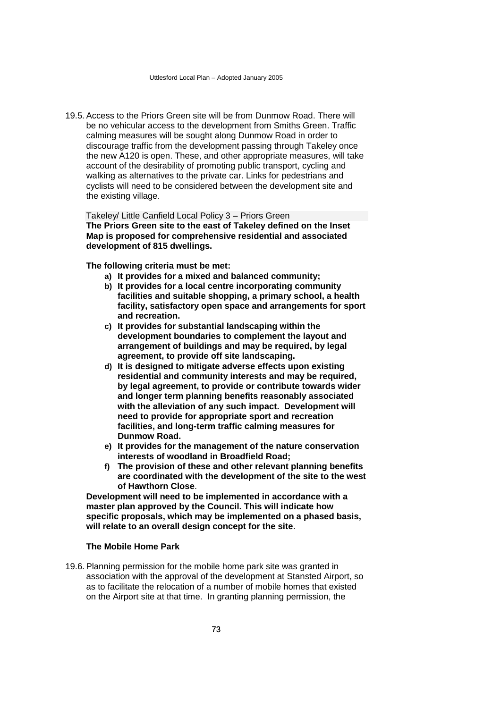19.5. Access to the Priors Green site will be from Dunmow Road. There will be no vehicular access to the development from Smiths Green. Traffic calming measures will be sought along Dunmow Road in order to discourage traffic from the development passing through Takeley once the new A120 is open. These, and other appropriate measures, will take account of the desirability of promoting public transport, cycling and walking as alternatives to the private car. Links for pedestrians and cyclists will need to be considered between the development site and the existing village.

Takeley/ Little Canfield Local Policy 3 – Priors Green **The Priors Green site to the east of Takeley defined on the Inset Map is proposed for comprehensive residential and associated development of 815 dwellings.** 

**The following criteria must be met:**

- **a) It provides for a mixed and balanced community;**
- **b) It provides for a local centre incorporating community facilities and suitable shopping, a primary school, a health facility, satisfactory open space and arrangements for sport and recreation.**
- **c) It provides for substantial landscaping within the development boundaries to complement the layout and arrangement of buildings and may be required, by legal agreement, to provide off site landscaping.**
- **d) It is designed to mitigate adverse effects upon existing residential and community interests and may be required, by legal agreement, to provide or contribute towards wider and longer term planning benefits reasonably associated with the alleviation of any such impact. Development will need to provide for appropriate sport and recreation facilities, and long-term traffic calming measures for Dunmow Road.**
- **e) It provides for the management of the nature conservation interests of woodland in Broadfield Road;**
- **f) The provision of these and other relevant planning benefits are coordinated with the development of the site to the west of Hawthorn Close**.

**Development will need to be implemented in accordance with a master plan approved by the Council. This will indicate how specific proposals, which may be implemented on a phased basis, will relate to an overall design concept for the site**.

### **The Mobile Home Park**

19.6. Planning permission for the mobile home park site was granted in association with the approval of the development at Stansted Airport, so as to facilitate the relocation of a number of mobile homes that existed on the Airport site at that time. In granting planning permission, the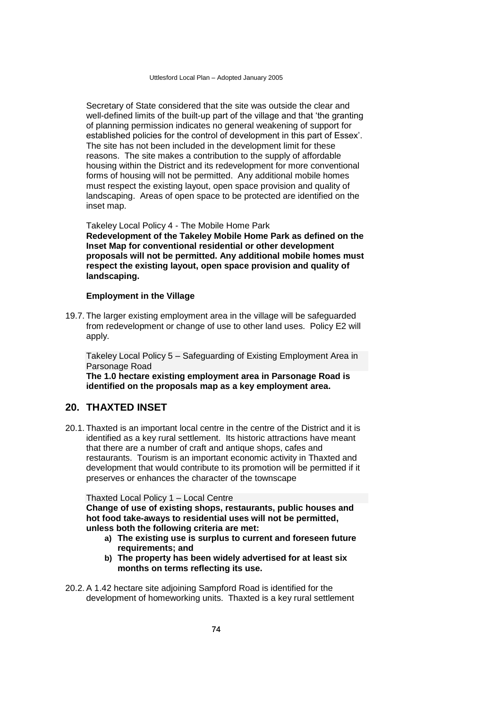Secretary of State considered that the site was outside the clear and well-defined limits of the built-up part of the village and that 'the granting of planning permission indicates no general weakening of support for established policies for the control of development in this part of Essex'. The site has not been included in the development limit for these reasons. The site makes a contribution to the supply of affordable housing within the District and its redevelopment for more conventional forms of housing will not be permitted. Any additional mobile homes must respect the existing layout, open space provision and quality of landscaping. Areas of open space to be protected are identified on the inset map.

Takeley Local Policy 4 - The Mobile Home Park

**Redevelopment of the Takeley Mobile Home Park as defined on the Inset Map for conventional residential or other development proposals will not be permitted. Any additional mobile homes must respect the existing layout, open space provision and quality of landscaping.** 

### **Employment in the Village**

19.7. The larger existing employment area in the village will be safeguarded from redevelopment or change of use to other land uses. Policy E2 will apply.

Takeley Local Policy 5 – Safeguarding of Existing Employment Area in Parsonage Road

**The 1.0 hectare existing employment area in Parsonage Road is identified on the proposals map as a key employment area.**

## **20. THAXTED INSET**

20.1. Thaxted is an important local centre in the centre of the District and it is identified as a key rural settlement. Its historic attractions have meant that there are a number of craft and antique shops, cafes and restaurants. Tourism is an important economic activity in Thaxted and development that would contribute to its promotion will be permitted if it preserves or enhances the character of the townscape

Thaxted Local Policy 1 – Local Centre

**Change of use of existing shops, restaurants, public houses and hot food take-aways to residential uses will not be permitted, unless both the following criteria are met:**

- **a) The existing use is surplus to current and foreseen future requirements; and**
- **b) The property has been widely advertised for at least six months on terms reflecting its use.**
- 20.2. A 1.42 hectare site adjoining Sampford Road is identified for the development of homeworking units. Thaxted is a key rural settlement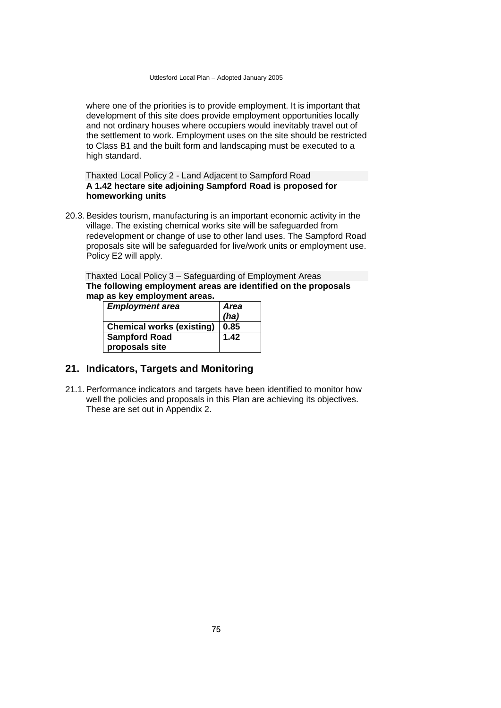where one of the priorities is to provide employment. It is important that development of this site does provide employment opportunities locally and not ordinary houses where occupiers would inevitably travel out of the settlement to work. Employment uses on the site should be restricted to Class B1 and the built form and landscaping must be executed to a high standard.

### Thaxted Local Policy 2 - Land Adjacent to Sampford Road **A 1.42 hectare site adjoining Sampford Road is proposed for homeworking units**

20.3. Besides tourism, manufacturing is an important economic activity in the village. The existing chemical works site will be safeguarded from redevelopment or change of use to other land uses. The Sampford Road proposals site will be safeguarded for live/work units or employment use. Policy E2 will apply.

Thaxted Local Policy 3 – Safeguarding of Employment Areas **The following employment areas are identified on the proposals map as key employment areas.**

| <b>Employment area</b>           | <b>Area</b> |
|----------------------------------|-------------|
|                                  | (ha)        |
| <b>Chemical works (existing)</b> | 0.85        |
| <b>Sampford Road</b>             | 1.42        |
| proposals site                   |             |

# **21. Indicators, Targets and Monitoring**

21.1. Performance indicators and targets have been identified to monitor how well the policies and proposals in this Plan are achieving its objectives. These are set out in Appendix 2.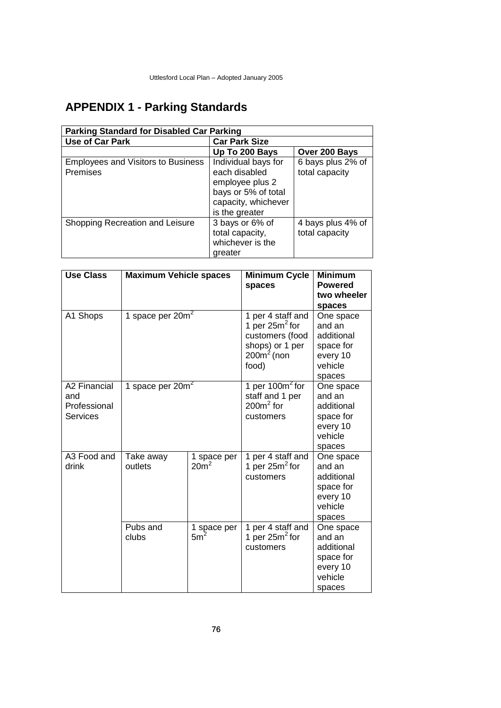# **APPENDIX 1 - Parking Standards**

| <b>Parking Standard for Disabled Car Parking</b>      |                                                                                                                         |                                     |  |  |
|-------------------------------------------------------|-------------------------------------------------------------------------------------------------------------------------|-------------------------------------|--|--|
| <b>Use of Car Park</b>                                | <b>Car Park Size</b>                                                                                                    |                                     |  |  |
|                                                       | Up To 200 Bays                                                                                                          | Over 200 Bays                       |  |  |
| <b>Employees and Visitors to Business</b><br>Premises | Individual bays for<br>each disabled<br>employee plus 2<br>bays or 5% of total<br>capacity, whichever<br>is the greater | 6 bays plus 2% of<br>total capacity |  |  |
| Shopping Recreation and Leisure                       | 3 bays or 6% of<br>total capacity,<br>whichever is the<br>greater                                                       | 4 bays plus 4% of<br>total capacity |  |  |

| <b>Use Class</b>                                       | <b>Maximum Vehicle spaces</b> |                                 | <b>Minimum Cycle</b><br>spaces                                                                         | <b>Minimum</b><br><b>Powered</b><br>two wheeler<br>spaces                       |
|--------------------------------------------------------|-------------------------------|---------------------------------|--------------------------------------------------------------------------------------------------------|---------------------------------------------------------------------------------|
| A1 Shops                                               | 1 space per $20m^2$           |                                 | 1 per 4 staff and<br>1 per 25 $m^2$ for<br>customers (food<br>shops) or 1 per<br>$200m2$ (non<br>food) | One space<br>and an<br>additional<br>space for<br>every 10<br>vehicle<br>spaces |
| A2 Financial<br>and<br>Professional<br><b>Services</b> | 1 space per $20m^2$           |                                 | 1 per $100m^2$ for<br>staff and 1 per<br>$200m2$ for<br>customers                                      | One space<br>and an<br>additional<br>space for<br>every 10<br>vehicle<br>spaces |
| A3 Food and<br>drink                                   | Take away<br>outlets          | 1 space per<br>20m <sup>2</sup> | 1 per 4 staff and<br>1 per $25m^2$ for<br>customers                                                    | One space<br>and an<br>additional<br>space for<br>every 10<br>vehicle<br>spaces |
|                                                        | Pubs and<br>clubs             | 1 space per<br>5m <sup>2</sup>  | 1 per 4 staff and<br>1 per $25m^2$ for<br>customers                                                    | One space<br>and an<br>additional<br>space for<br>every 10<br>vehicle<br>spaces |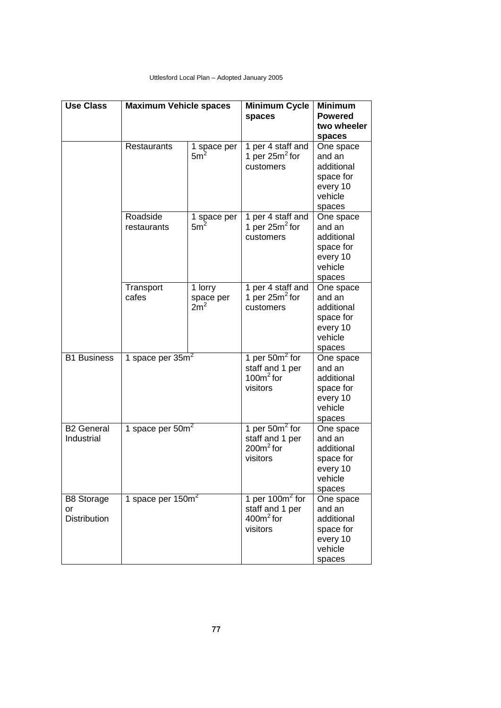| <b>Use Class</b>                               | <b>Maximum Vehicle spaces</b> |                                         | <b>Minimum Cycle</b><br>spaces                                   | <b>Minimum</b><br><b>Powered</b><br>two wheeler                                 |
|------------------------------------------------|-------------------------------|-----------------------------------------|------------------------------------------------------------------|---------------------------------------------------------------------------------|
|                                                |                               |                                         |                                                                  | spaces                                                                          |
|                                                | <b>Restaurants</b>            | 1 space per<br>5m <sup>2</sup>          | 1 per 4 staff and<br>1 per $25m^2$ for<br>customers              | One space<br>and an<br>additional<br>space for<br>every 10<br>vehicle<br>spaces |
|                                                | Roadside<br>restaurants       | 1 space per<br>5m <sup>2</sup>          | 1 per 4 staff and<br>1 per $25m^2$ for<br>customers              | One space<br>and an<br>additional<br>space for<br>every 10<br>vehicle<br>spaces |
|                                                | Transport<br>cafes            | 1 lorry<br>space per<br>2m <sup>2</sup> | 1 per 4 staff and<br>1 per $25m^2$ for<br>customers              | One space<br>and an<br>additional<br>space for<br>every 10<br>vehicle<br>spaces |
| <b>B1 Business</b>                             | 1 space per $35m2$            |                                         | 1 per 50 $m2$ for<br>staff and 1 per<br>100 $m2$ for<br>visitors | One space<br>and an<br>additional<br>space for<br>every 10<br>vehicle<br>spaces |
| <b>B2 General</b><br>Industrial                | 1 space per $50m²$            |                                         | 1 per 50 $m2$ for<br>staff and 1 per<br>$200m2$ for<br>visitors  | One space<br>and an<br>additional<br>space for<br>every 10<br>vehicle<br>spaces |
| <b>B8 Storage</b><br>or<br><b>Distribution</b> | 1 space per 150m <sup>2</sup> |                                         | 1 per $100m^2$ for<br>staff and 1 per<br>$400m2$ for<br>visitors | One space<br>and an<br>additional<br>space for<br>every 10<br>vehicle<br>spaces |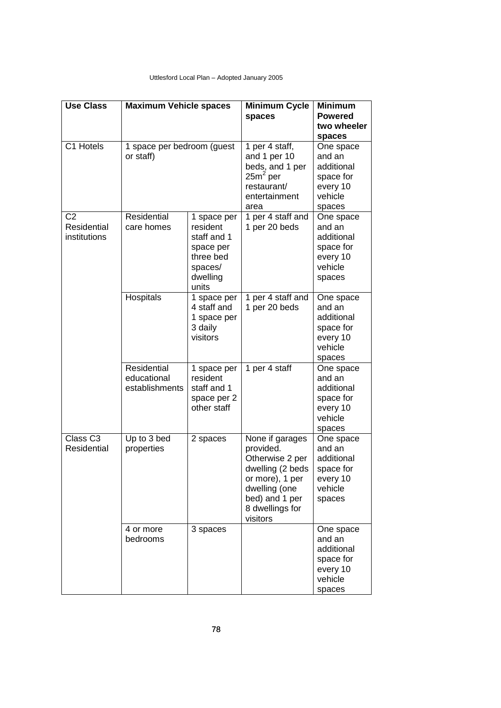| <b>Use Class</b>                              | <b>Maximum Vehicle spaces</b>                |                                                                                                  | <b>Minimum Cycle</b><br>spaces                                                                                                                           | <b>Minimum</b><br><b>Powered</b><br>two wheeler<br>spaces                       |
|-----------------------------------------------|----------------------------------------------|--------------------------------------------------------------------------------------------------|----------------------------------------------------------------------------------------------------------------------------------------------------------|---------------------------------------------------------------------------------|
| C1 Hotels                                     | 1 space per bedroom (guest<br>or staff)      |                                                                                                  | 1 per 4 staff,<br>and 1 per 10<br>beds, and 1 per<br>25m <sup>2</sup> per<br>restaurant/<br>entertainment<br>area                                        | One space<br>and an<br>additional<br>space for<br>every 10<br>vehicle<br>spaces |
| C <sub>2</sub><br>Residential<br>institutions | Residential<br>care homes                    | 1 space per<br>resident<br>staff and 1<br>space per<br>three bed<br>spaces/<br>dwelling<br>units | 1 per 4 staff and<br>1 per 20 beds                                                                                                                       | One space<br>and an<br>additional<br>space for<br>every 10<br>vehicle<br>spaces |
|                                               | Hospitals                                    | 1 space per<br>4 staff and<br>1 space per<br>3 daily<br>visitors                                 | 1 per 4 staff and<br>1 per 20 beds                                                                                                                       | One space<br>and an<br>additional<br>space for<br>every 10<br>vehicle<br>spaces |
|                                               | Residential<br>educational<br>establishments | 1 space per<br>resident<br>staff and 1<br>space per 2<br>other staff                             | 1 per 4 staff                                                                                                                                            | One space<br>and an<br>additional<br>space for<br>every 10<br>vehicle<br>spaces |
| Class <sub>C3</sub><br>Residential            | Up to 3 bed<br>properties                    | 2 spaces                                                                                         | None if garages<br>provided.<br>Otherwise 2 per<br>dwelling (2 beds<br>or more), 1 per<br>dwelling (one<br>bed) and 1 per<br>8 dwellings for<br>visitors | One space<br>and an<br>additional<br>space for<br>every 10<br>vehicle<br>spaces |
|                                               | 4 or more<br>bedrooms                        | 3 spaces                                                                                         |                                                                                                                                                          | One space<br>and an<br>additional<br>space for<br>every 10<br>vehicle<br>spaces |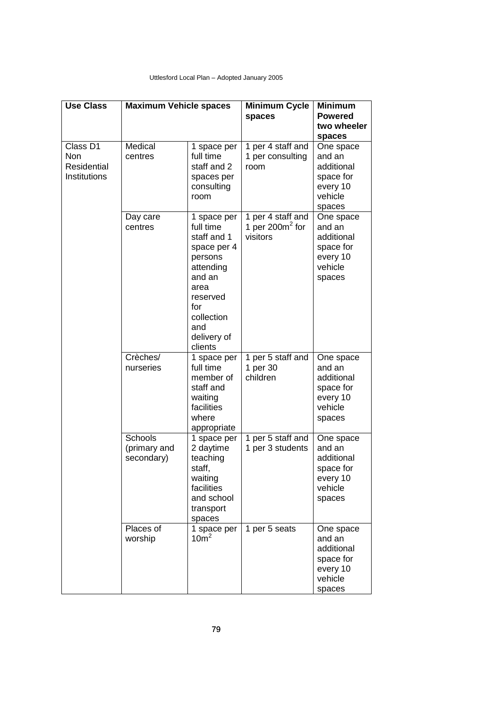| <b>Use Class</b>                                      | <b>Maximum Vehicle spaces</b>         |                                                                                                                                                                    | <b>Minimum Cycle</b><br>spaces                      | Minimum<br><b>Powered</b><br>two wheeler<br>spaces                              |
|-------------------------------------------------------|---------------------------------------|--------------------------------------------------------------------------------------------------------------------------------------------------------------------|-----------------------------------------------------|---------------------------------------------------------------------------------|
| Class D1<br><b>Non</b><br>Residential<br>Institutions | Medical<br>centres                    | 1 space per<br>full time<br>staff and 2<br>spaces per<br>consulting<br>room                                                                                        | 1 per 4 staff and<br>1 per consulting<br>room       | One space<br>and an<br>additional<br>space for<br>every 10<br>vehicle<br>spaces |
|                                                       | Day care<br>centres                   | 1 space per<br>full time<br>staff and 1<br>space per 4<br>persons<br>attending<br>and an<br>area<br>reserved<br>for<br>collection<br>and<br>delivery of<br>clients | 1 per 4 staff and<br>1 per 200 $m2$ for<br>visitors | One space<br>and an<br>additional<br>space for<br>every 10<br>vehicle<br>spaces |
|                                                       | Crèches/<br>nurseries                 | 1 space per<br>full time<br>member of<br>staff and<br>waiting<br>facilities<br>where<br>appropriate                                                                | 1 per 5 staff and<br>1 per 30<br>children           | One space<br>and an<br>additional<br>space for<br>every 10<br>vehicle<br>spaces |
|                                                       | Schools<br>(primary and<br>secondary) | 1 space per<br>2 daytime<br>teaching<br>staff,<br>waiting<br>facilities<br>and school<br>transport<br>spaces                                                       | 1 per 5 staff and<br>1 per 3 students               | One space<br>and an<br>additional<br>space for<br>every 10<br>vehicle<br>spaces |
|                                                       | Places of<br>worship                  | 1 space per<br>10 <sup>m²</sup>                                                                                                                                    | 1 per 5 seats                                       | One space<br>and an<br>additional<br>space for<br>every 10<br>vehicle<br>spaces |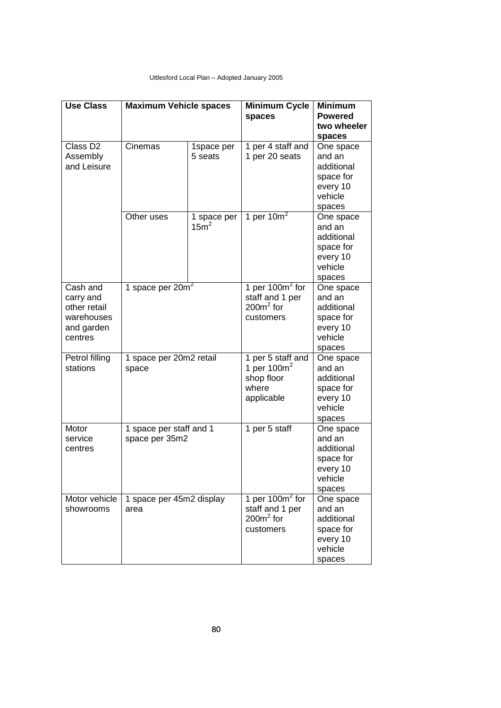| <b>Use Class</b>                                                             | <b>Maximum Vehicle spaces</b>             |                                 | Minimum Cycle<br>spaces                                                  | <b>Minimum</b><br><b>Powered</b><br>two wheeler                                           |
|------------------------------------------------------------------------------|-------------------------------------------|---------------------------------|--------------------------------------------------------------------------|-------------------------------------------------------------------------------------------|
| Class D <sub>2</sub><br>Assembly<br>and Leisure                              | Cinemas                                   | 1space per<br>5 seats           | 1 per 4 staff and<br>1 per 20 seats                                      | spaces<br>One space<br>and an<br>additional<br>space for<br>every 10<br>vehicle<br>spaces |
|                                                                              | Other uses                                | 1 space per<br>15m <sup>2</sup> | 1 per 10 $m2$                                                            | One space<br>and an<br>additional<br>space for<br>every 10<br>vehicle<br>spaces           |
| Cash and<br>carry and<br>other retail<br>warehouses<br>and garden<br>centres | 1 space per 20m <sup>2</sup>              |                                 | 1 per 100 $m2$ for<br>staff and 1 per<br>$200m2$ for<br>customers        | One space<br>and an<br>additional<br>space for<br>every 10<br>vehicle<br>spaces           |
| Petrol filling<br>stations                                                   | 1 space per 20m2 retail<br>space          |                                 | 1 per 5 staff and<br>1 per 100 $m2$<br>shop floor<br>where<br>applicable | One space<br>and an<br>additional<br>space for<br>every 10<br>vehicle<br>spaces           |
| Motor<br>service<br>centres                                                  | 1 space per staff and 1<br>space per 35m2 |                                 | 1 per 5 staff                                                            | One space<br>and an<br>additional<br>space for<br>every 10<br>vehicle<br>spaces           |
| Motor vehicle<br>showrooms                                                   | 1 space per 45m2 display<br>area          |                                 | 1 per $100m^2$ for<br>staff and 1 per<br>$200m2$ for<br>customers        | One space<br>and an<br>additional<br>space for<br>every 10<br>vehicle<br>spaces           |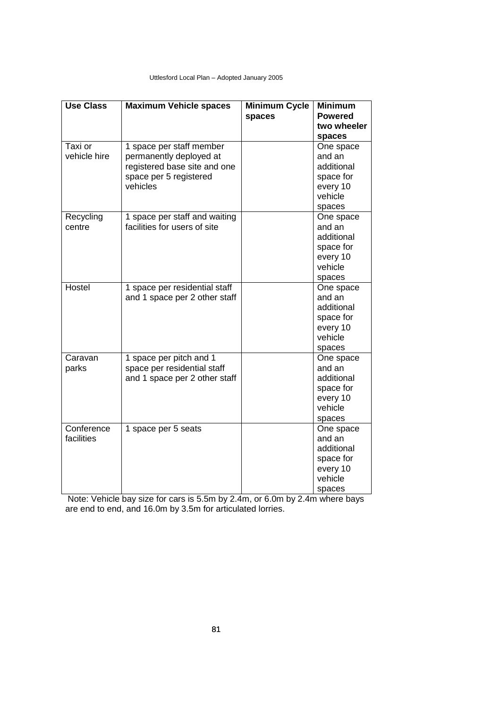| <b>Use Class</b>         | <b>Maximum Vehicle spaces</b>                                                                                             | <b>Minimum Cycle</b><br>spaces | <b>Minimum</b><br><b>Powered</b><br>two wheeler<br>spaces                                 |
|--------------------------|---------------------------------------------------------------------------------------------------------------------------|--------------------------------|-------------------------------------------------------------------------------------------|
| Taxi or<br>vehicle hire  | 1 space per staff member<br>permanently deployed at<br>registered base site and one<br>space per 5 registered<br>vehicles |                                | One space<br>and an<br>additional<br>space for<br>every 10<br>vehicle                     |
| Recycling<br>centre      | 1 space per staff and waiting<br>facilities for users of site                                                             |                                | spaces<br>One space<br>and an<br>additional<br>space for<br>every 10<br>vehicle<br>spaces |
| Hostel                   | 1 space per residential staff<br>and 1 space per 2 other staff                                                            |                                | One space<br>and an<br>additional<br>space for<br>every 10<br>vehicle<br>spaces           |
| Caravan<br>parks         | 1 space per pitch and 1<br>space per residential staff<br>and 1 space per 2 other staff                                   |                                | One space<br>and an<br>additional<br>space for<br>every 10<br>vehicle<br>spaces           |
| Conference<br>facilities | 1 space per 5 seats                                                                                                       |                                | One space<br>and an<br>additional<br>space for<br>every 10<br>vehicle<br>spaces           |

Note: Vehicle bay size for cars is 5.5m by 2.4m, or 6.0m by 2.4m where bays are end to end, and 16.0m by 3.5m for articulated lorries.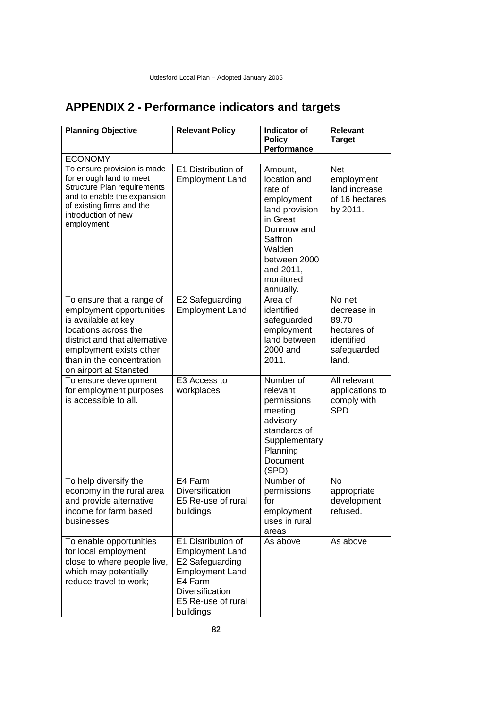# **APPENDIX 2 - Performance indicators and targets**

| <b>Planning Objective</b>                                                                                                                                                                                               | <b>Relevant Policy</b>                                                                                                                                     | <b>Indicator of</b><br><b>Policy</b><br>Performance                                                                                                                      | <b>Relevant</b><br><b>Target</b>                                                    |
|-------------------------------------------------------------------------------------------------------------------------------------------------------------------------------------------------------------------------|------------------------------------------------------------------------------------------------------------------------------------------------------------|--------------------------------------------------------------------------------------------------------------------------------------------------------------------------|-------------------------------------------------------------------------------------|
| <b>ECONOMY</b>                                                                                                                                                                                                          |                                                                                                                                                            |                                                                                                                                                                          |                                                                                     |
| To ensure provision is made<br>for enough land to meet<br>Structure Plan requirements<br>and to enable the expansion<br>of existing firms and the<br>introduction of new<br>employment                                  | E1 Distribution of<br><b>Employment Land</b>                                                                                                               | Amount,<br>location and<br>rate of<br>employment<br>land provision<br>in Great<br>Dunmow and<br>Saffron<br>Walden<br>between 2000<br>and 2011,<br>monitored<br>annually. | <b>Net</b><br>employment<br>land increase<br>of 16 hectares<br>by 2011.             |
| To ensure that a range of<br>employment opportunities<br>is available at key<br>locations across the<br>district and that alternative<br>employment exists other<br>than in the concentration<br>on airport at Stansted | E2 Safeguarding<br><b>Employment Land</b>                                                                                                                  | Area of<br>identified<br>safeguarded<br>employment<br>land between<br>2000 and<br>2011.                                                                                  | No net<br>decrease in<br>89.70<br>hectares of<br>identified<br>safeguarded<br>land. |
| To ensure development<br>for employment purposes<br>is accessible to all.                                                                                                                                               | E3 Access to<br>workplaces                                                                                                                                 | Number of<br>relevant<br>permissions<br>meeting<br>advisory<br>standards of<br>Supplementary<br>Planning<br>Document<br>(SPD)                                            | All relevant<br>applications to<br>comply with<br><b>SPD</b>                        |
| To help diversify the<br>economy in the rural area<br>and provide alternative<br>income for farm based<br>businesses                                                                                                    | E4 Farm<br>Diversification<br>F5 Re-use of rural<br>buildings                                                                                              | Number of<br>permissions<br>for<br>employment<br>uses in rural<br>areas                                                                                                  | No<br>appropriate<br>development<br>refused.                                        |
| To enable opportunities<br>for local employment<br>close to where people live,<br>which may potentially<br>reduce travel to work;                                                                                       | E1 Distribution of<br><b>Employment Land</b><br>E2 Safeguarding<br><b>Employment Land</b><br>E4 Farm<br>Diversification<br>E5 Re-use of rural<br>buildings | As above                                                                                                                                                                 | As above                                                                            |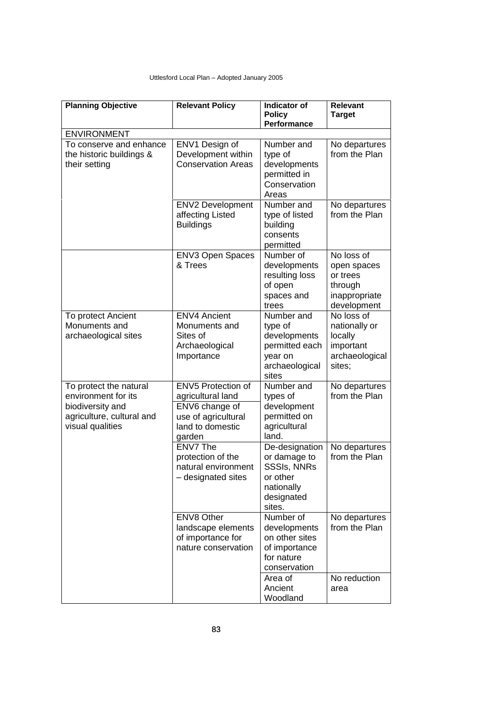| <b>Planning Objective</b>                                                                                          | <b>Relevant Policy</b>                                                                                         | Indicator of<br><b>Policy</b><br>Performance                                                           | <b>Relevant</b><br><b>Target</b>                                                 |
|--------------------------------------------------------------------------------------------------------------------|----------------------------------------------------------------------------------------------------------------|--------------------------------------------------------------------------------------------------------|----------------------------------------------------------------------------------|
| <b>ENVIRONMENT</b>                                                                                                 |                                                                                                                |                                                                                                        |                                                                                  |
| To conserve and enhance<br>the historic buildings &<br>their setting                                               | ENV1 Design of<br>Development within<br><b>Conservation Areas</b>                                              | Number and<br>type of<br>developments<br>permitted in<br>Conservation<br>Areas                         | No departures<br>from the Plan                                                   |
|                                                                                                                    | <b>ENV2 Development</b><br>affecting Listed<br><b>Buildings</b>                                                | Number and<br>type of listed<br>building<br>consents<br>permitted                                      | No departures<br>from the Plan                                                   |
|                                                                                                                    | ENV3 Open Spaces<br>& Trees                                                                                    | Number of<br>developments<br>resulting loss<br>of open<br>spaces and<br>trees                          | No loss of<br>open spaces<br>or trees<br>through<br>inappropriate<br>development |
| To protect Ancient<br>Monuments and<br>archaeological sites                                                        | <b>ENV4 Ancient</b><br>Monuments and<br>Sites of<br>Archaeological<br>Importance                               | Number and<br>type of<br>developments<br>permitted each<br>year on<br>archaeological<br>sites          | No loss of<br>nationally or<br>locally<br>important<br>archaeological<br>sites;  |
| To protect the natural<br>environment for its<br>biodiversity and<br>agriculture, cultural and<br>visual qualities | ENV5 Protection of<br>agricultural land<br>ENV6 change of<br>use of agricultural<br>land to domestic<br>garden | Number and<br>types of<br>development<br>permitted on<br>agricultural<br>land.                         | No departures<br>from the Plan                                                   |
|                                                                                                                    | ENV7 The<br>protection of the<br>natural environment<br>- designated sites                                     | De-designation<br>or damage to<br><b>SSSIs, NNRs</b><br>or other<br>nationally<br>designated<br>sites. | No departures<br>from the Plan                                                   |
|                                                                                                                    | <b>ENV8 Other</b><br>landscape elements<br>of importance for<br>nature conservation                            | Number of<br>developments<br>on other sites<br>of importance<br>for nature<br>conservation             | No departures<br>from the Plan                                                   |
|                                                                                                                    |                                                                                                                | Area of<br>Ancient<br>Woodland                                                                         | No reduction<br>area                                                             |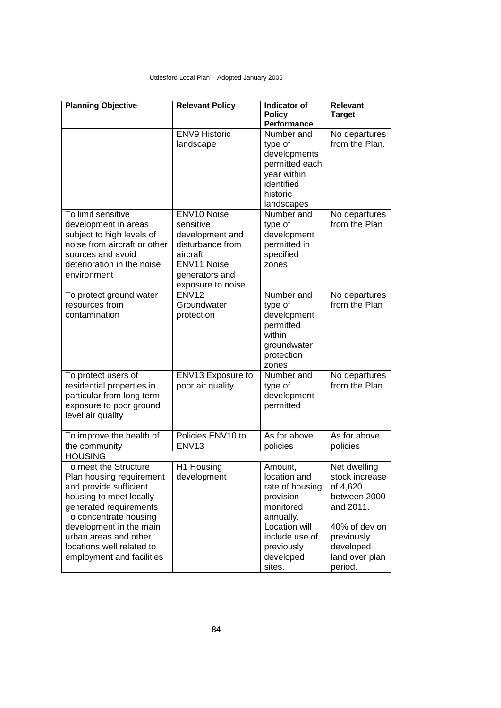| <b>Planning Objective</b>                                                                                                                                                                                                                                                | <b>Relevant Policy</b>                                                                                           | Indicator of<br><b>Policy</b>                                                                                                                                                       | <b>Relevant</b><br><b>Target</b>                                                                                                                 |
|--------------------------------------------------------------------------------------------------------------------------------------------------------------------------------------------------------------------------------------------------------------------------|------------------------------------------------------------------------------------------------------------------|-------------------------------------------------------------------------------------------------------------------------------------------------------------------------------------|--------------------------------------------------------------------------------------------------------------------------------------------------|
|                                                                                                                                                                                                                                                                          |                                                                                                                  | Performance                                                                                                                                                                         |                                                                                                                                                  |
| To limit sensitive<br>development in areas<br>subject to high levels of<br>noise from aircraft or other<br>sources and avoid                                                                                                                                             | <b>ENV9 Historic</b><br>landscape<br>ENV10 Noise<br>sensitive<br>development and<br>disturbance from<br>aircraft | Number and<br>type of<br>developments<br>permitted each<br>year within<br>identified<br>historic<br>landscapes<br>Number and<br>type of<br>development<br>permitted in<br>specified | No departures<br>from the Plan.<br>No departures<br>from the Plan                                                                                |
| deterioration in the noise<br>environment                                                                                                                                                                                                                                | <b>ENV11 Noise</b><br>generators and<br>exposure to noise                                                        | zones                                                                                                                                                                               |                                                                                                                                                  |
| To protect ground water<br>resources from<br>contamination                                                                                                                                                                                                               | <b>ENV12</b><br>Groundwater<br>protection                                                                        | Number and<br>type of<br>development<br>permitted<br>within<br>groundwater<br>protection<br>zones                                                                                   | No departures<br>from the Plan                                                                                                                   |
| To protect users of<br>residential properties in<br>particular from long term<br>exposure to poor ground<br>level air quality                                                                                                                                            | ENV13 Exposure to<br>poor air quality                                                                            | Number and<br>type of<br>development<br>permitted                                                                                                                                   | No departures<br>from the Plan                                                                                                                   |
| To improve the health of<br>the community                                                                                                                                                                                                                                | Policies ENV10 to<br><b>ENV13</b>                                                                                | As for above<br>policies                                                                                                                                                            | As for above<br>policies                                                                                                                         |
| <b>HOUSING</b>                                                                                                                                                                                                                                                           |                                                                                                                  |                                                                                                                                                                                     |                                                                                                                                                  |
| To meet the Structure<br>Plan housing requirement<br>and provide sufficient<br>housing to meet locally<br>generated requirements<br>To concentrate housing<br>development in the main<br>urban areas and other<br>locations well related to<br>employment and facilities | H1 Housing<br>development                                                                                        | Amount,<br>location and<br>rate of housing<br>provision<br>monitored<br>annually.<br>Location will<br>include use of<br>previously<br>developed<br>sites.                           | Net dwelling<br>stock increase<br>of 4,620<br>between 2000<br>and 2011.<br>40% of dev on<br>previously<br>developed<br>land over plan<br>period. |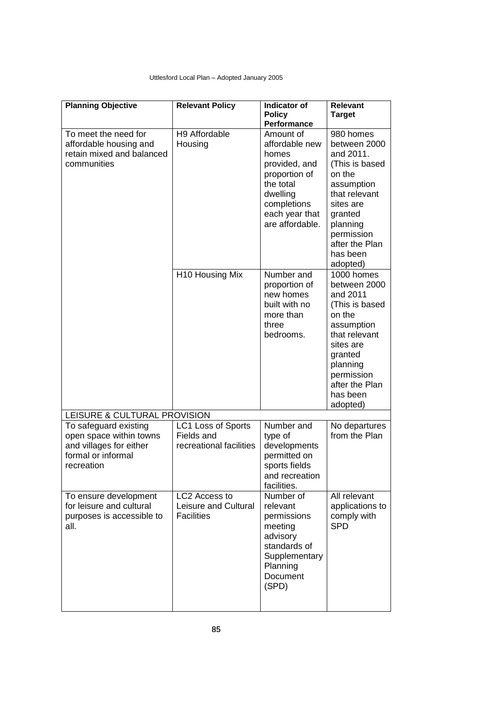| <b>Planning Objective</b>                                                                                       | <b>Relevant Policy</b>                                      | Indicator of<br><b>Policy</b><br>Performance                                                                                                        | <b>Relevant</b><br><b>Target</b>                                                                                                                                                              |
|-----------------------------------------------------------------------------------------------------------------|-------------------------------------------------------------|-----------------------------------------------------------------------------------------------------------------------------------------------------|-----------------------------------------------------------------------------------------------------------------------------------------------------------------------------------------------|
| To meet the need for<br>affordable housing and<br>retain mixed and balanced<br>communities                      | H9 Affordable<br>Housing                                    | Amount of<br>affordable new<br>homes<br>provided, and<br>proportion of<br>the total<br>dwelling<br>completions<br>each year that<br>are affordable. | 980 homes<br>between 2000<br>and 2011.<br>(This is based<br>on the<br>assumption<br>that relevant<br>sites are<br>granted<br>planning<br>permission<br>after the Plan<br>has been<br>adopted) |
|                                                                                                                 | H10 Housing Mix                                             | Number and<br>proportion of<br>new homes<br>built with no<br>more than<br>three<br>bedrooms.                                                        | 1000 homes<br>between 2000<br>and 2011<br>(This is based<br>on the<br>assumption<br>that relevant<br>sites are<br>granted<br>planning<br>permission<br>after the Plan<br>has been<br>adopted) |
| LEISURE & CULTURAL PROVISION                                                                                    |                                                             |                                                                                                                                                     |                                                                                                                                                                                               |
| To safeguard existing<br>open space within towns<br>and villages for either<br>formal or informal<br>recreation | LC1 Loss of Sports<br>Fields and<br>recreational facilities | Number and<br>type of<br>developments<br>permitted on<br>sports fields<br>and recreation<br>facilities.                                             | No departures<br>from the Plan                                                                                                                                                                |
| To ensure development<br>for leisure and cultural<br>purposes is accessible to<br>all.                          | LC2 Access to<br>Leisure and Cultural<br><b>Facilities</b>  | Number of<br>relevant<br>permissions<br>meeting<br>advisory<br>standards of<br>Supplementary<br>Planning<br>Document<br>(SPD)                       | All relevant<br>applications to<br>comply with<br><b>SPD</b>                                                                                                                                  |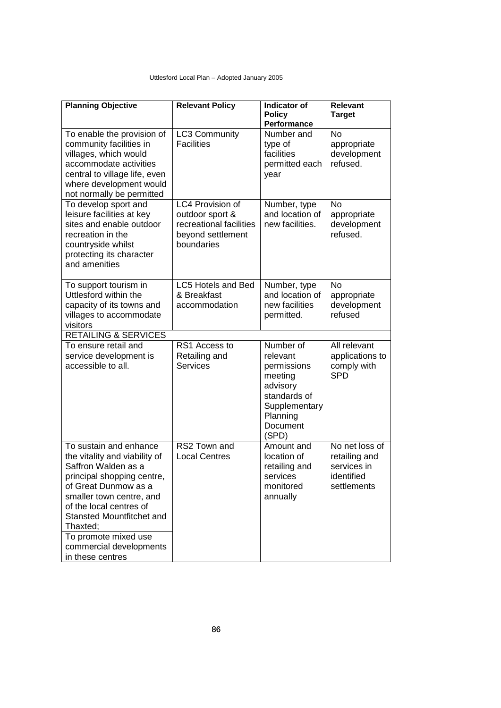| <b>Planning Objective</b>                                                                                                                                                                                                                                                                                          | <b>Relevant Policy</b>                                                                            | <b>Indicator of</b><br><b>Policy</b><br>Performance                                                              | <b>Relevant</b><br><b>Target</b>                                            |
|--------------------------------------------------------------------------------------------------------------------------------------------------------------------------------------------------------------------------------------------------------------------------------------------------------------------|---------------------------------------------------------------------------------------------------|------------------------------------------------------------------------------------------------------------------|-----------------------------------------------------------------------------|
| To enable the provision of<br>community facilities in<br>villages, which would<br>accommodate activities<br>central to village life, even<br>where development would<br>not normally be permitted                                                                                                                  | LC3 Community<br><b>Facilities</b>                                                                | Number and<br>type of<br>facilities<br>permitted each<br>year                                                    | <b>No</b><br>appropriate<br>development<br>refused.                         |
| To develop sport and<br>leisure facilities at key<br>sites and enable outdoor<br>recreation in the<br>countryside whilst<br>protecting its character<br>and amenities                                                                                                                                              | LC4 Provision of<br>outdoor sport &<br>recreational facilities<br>beyond settlement<br>boundaries | Number, type<br>and location of<br>new facilities.                                                               | <b>No</b><br>appropriate<br>development<br>refused.                         |
| To support tourism in<br>Uttlesford within the<br>capacity of its towns and<br>villages to accommodate<br>visitors                                                                                                                                                                                                 | LC5 Hotels and Bed<br>& Breakfast<br>accommodation                                                | Number, type<br>and location of<br>new facilities<br>permitted.                                                  | <b>No</b><br>appropriate<br>development<br>refused                          |
| <b>RETAILING &amp; SERVICES</b><br>To ensure retail and                                                                                                                                                                                                                                                            | RS1 Access to                                                                                     | Number of                                                                                                        | All relevant                                                                |
| service development is<br>accessible to all.                                                                                                                                                                                                                                                                       | Retailing and<br><b>Services</b>                                                                  | relevant<br>permissions<br>meeting<br>advisory<br>standards of<br>Supplementary<br>Planning<br>Document<br>(SPD) | applications to<br>comply with<br><b>SPD</b>                                |
| To sustain and enhance<br>the vitality and viability of<br>Saffron Walden as a<br>principal shopping centre,<br>of Great Dunmow as a<br>smaller town centre, and<br>of the local centres of<br><b>Stansted Mountfitchet and</b><br>Thaxted;<br>To promote mixed use<br>commercial developments<br>in these centres | RS2 Town and<br><b>Local Centres</b>                                                              | Amount and<br>location of<br>retailing and<br>services<br>monitored<br>annually                                  | No net loss of<br>retailing and<br>services in<br>identified<br>settlements |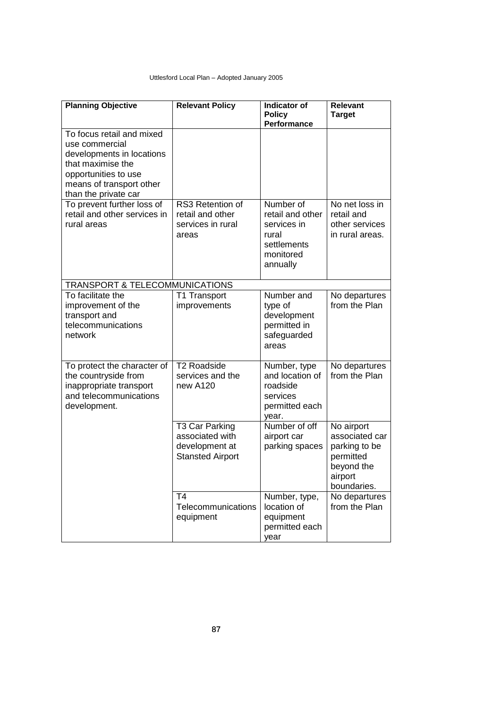| <b>Planning Objective</b>                                                                                                                                                 | <b>Relevant Policy</b>                                                         | <b>Indicator of</b><br><b>Policy</b><br>Performance                                           | <b>Relevant</b><br><b>Target</b>                                                                   |
|---------------------------------------------------------------------------------------------------------------------------------------------------------------------------|--------------------------------------------------------------------------------|-----------------------------------------------------------------------------------------------|----------------------------------------------------------------------------------------------------|
| To focus retail and mixed<br>use commercial<br>developments in locations<br>that maximise the<br>opportunities to use<br>means of transport other<br>than the private car |                                                                                |                                                                                               |                                                                                                    |
| To prevent further loss of<br>retail and other services in<br>rural areas                                                                                                 | RS3 Retention of<br>retail and other<br>services in rural<br>areas             | Number of<br>retail and other<br>services in<br>rural<br>settlements<br>monitored<br>annually | No net loss in<br>retail and<br>other services<br>in rural areas.                                  |
| <b>TRANSPORT &amp; TELECOMMUNICATIONS</b>                                                                                                                                 |                                                                                |                                                                                               |                                                                                                    |
| To facilitate the<br>improvement of the<br>transport and<br>telecommunications<br>network                                                                                 | T1 Transport<br>improvements                                                   | Number and<br>type of<br>development<br>permitted in<br>safeguarded<br>areas                  | No departures<br>from the Plan                                                                     |
| To protect the character of<br>the countryside from<br>inappropriate transport<br>and telecommunications<br>development.                                                  | <b>T2 Roadside</b><br>services and the<br>new A120                             | Number, type<br>and location of<br>roadside<br>services<br>permitted each<br>year.            | No departures<br>from the Plan                                                                     |
|                                                                                                                                                                           | T3 Car Parking<br>associated with<br>development at<br><b>Stansted Airport</b> | Number of off<br>airport car<br>parking spaces                                                | No airport<br>associated car<br>parking to be<br>permitted<br>beyond the<br>airport<br>boundaries. |
|                                                                                                                                                                           | T <sub>4</sub><br>Telecommunications<br>equipment                              | Number, type,<br>location of<br>equipment<br>permitted each<br>year                           | No departures<br>from the Plan                                                                     |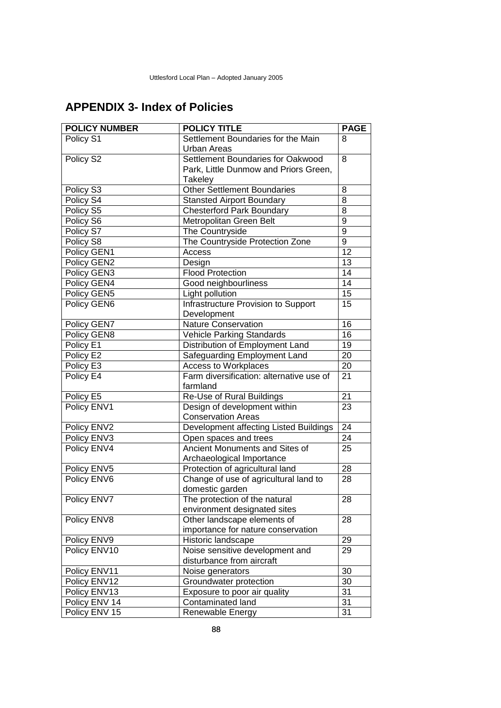# **APPENDIX 3- Index of Policies**

| <b>POLICY NUMBER</b> | <b>POLICY TITLE</b>                      | <b>PAGE</b>     |
|----------------------|------------------------------------------|-----------------|
| Policy S1            | Settlement Boundaries for the Main       | 8               |
|                      | <b>Urban Areas</b>                       |                 |
| Policy S2            | Settlement Boundaries for Oakwood        | 8               |
|                      | Park, Little Dunmow and Priors Green,    |                 |
|                      | Takeley                                  |                 |
| Policy S3            | <b>Other Settlement Boundaries</b>       | 8               |
| Policy S4            | <b>Stansted Airport Boundary</b>         | 8               |
| Policy S5            | <b>Chesterford Park Boundary</b>         | $\overline{8}$  |
| Policy S6            | Metropolitan Green Belt                  | $\overline{9}$  |
| Policy S7            | The Countryside                          | 9               |
| Policy S8            | The Countryside Protection Zone          | $\overline{9}$  |
| Policy GEN1          | Access                                   | 12              |
| Policy GEN2          | Design                                   | 13              |
| Policy GEN3          | <b>Flood Protection</b>                  | 14              |
| Policy GEN4          | Good neighbourliness                     | 14              |
| Policy GEN5          | Light pollution                          | 15              |
| Policy GEN6          | Infrastructure Provision to Support      | 15              |
|                      | Development                              |                 |
| Policy GEN7          | <b>Nature Conservation</b>               | 16              |
| Policy GEN8          | Vehicle Parking Standards                | 16              |
| Policy E1            | Distribution of Employment Land          | 19              |
| Policy E2            | Safeguarding Employment Land             | 20              |
| Policy E3            | Access to Workplaces                     | 20              |
| Policy E4            | Farm diversification: alternative use of | 21              |
|                      | farmland                                 |                 |
| Policy E5            | Re-Use of Rural Buildings                | 21              |
| Policy ENV1          | Design of development within             | 23              |
|                      | <b>Conservation Areas</b>                |                 |
| Policy ENV2          | Development affecting Listed Buildings   | 24              |
| Policy ENV3          | Open spaces and trees                    | 24              |
| Policy ENV4          | Ancient Monuments and Sites of           | $\overline{25}$ |
|                      | Archaeological Importance                |                 |
| Policy ENV5          | Protection of agricultural land          | 28              |
| Policy ENV6          | Change of use of agricultural land to    | 28              |
|                      | domestic garden                          |                 |
| Policy ENV7          | The protection of the natural            | $\overline{28}$ |
|                      | environment designated sites             |                 |
| Policy ENV8          | Other landscape elements of              | 28              |
|                      | importance for nature conservation       |                 |
| Policy ENV9          | Historic landscape                       | 29              |
| Policy ENV10         | Noise sensitive development and          | 29              |
|                      | disturbance from aircraft                |                 |
| Policy ENV11         | Noise generators                         | 30              |
| Policy ENV12         | Groundwater protection                   | 30              |
| Policy ENV13         | Exposure to poor air quality             | 31              |
| Policy ENV 14        | Contaminated land                        | 31              |
| Policy ENV 15        | Renewable Energy                         | 31              |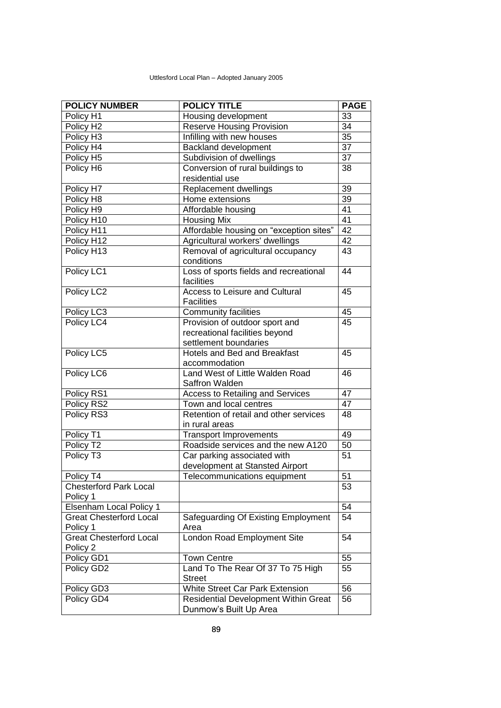| <b>POLICY NUMBER</b>           | <b>POLICY TITLE</b>                         | <b>PAGE</b>     |
|--------------------------------|---------------------------------------------|-----------------|
| Policy H1                      | Housing development                         | 33              |
| Policy H <sub>2</sub>          | <b>Reserve Housing Provision</b>            | 34              |
| Policy H <sub>3</sub>          | Infilling with new houses                   | 35              |
| Policy H4                      | <b>Backland development</b>                 | $\overline{37}$ |
| Policy H <sub>5</sub>          | Subdivision of dwellings                    | 37              |
| Policy H6                      | Conversion of rural buildings to            | 38              |
|                                | residential use                             |                 |
| Policy H7                      | Replacement dwellings                       | $\overline{39}$ |
| Policy H8                      | Home extensions                             | 39              |
| Policy H9                      | Affordable housing                          | 41              |
| Policy H10                     | <b>Housing Mix</b>                          | 41              |
| Policy H11                     | Affordable housing on "exception sites"     | $\overline{42}$ |
| Policy H12                     | Agricultural workers' dwellings             | 42              |
| Policy H13                     | Removal of agricultural occupancy           | 43              |
|                                | conditions                                  |                 |
| Policy LC1                     | Loss of sports fields and recreational      | 44              |
|                                | facilities                                  |                 |
| Policy LC2                     | Access to Leisure and Cultural              | 45              |
|                                | <b>Facilities</b>                           |                 |
| Policy LC3                     | <b>Community facilities</b>                 | 45              |
| Policy LC4                     | Provision of outdoor sport and              | 45              |
|                                | recreational facilities beyond              |                 |
|                                | settlement boundaries                       |                 |
| Policy LC5                     | Hotels and Bed and Breakfast                | 45              |
|                                | accommodation                               |                 |
| Policy LC6                     | Land West of Little Walden Road             | 46              |
|                                | Saffron Walden                              |                 |
| Policy RS1                     | Access to Retailing and Services            | 47              |
| Policy RS2                     | Town and local centres                      | 47              |
| Policy RS3                     | Retention of retail and other services      | 48              |
|                                | in rural areas                              |                 |
| Policy T1                      | <b>Transport Improvements</b>               | 49              |
| Policy T2                      | Roadside services and the new A120          | 50              |
| Policy T <sub>3</sub>          | Car parking associated with                 | 51              |
|                                | development at Stansted Airport             |                 |
| Policy T4                      | Telecommunications equipment                | $\overline{51}$ |
| <b>Chesterford Park Local</b>  |                                             | 53              |
| Policy 1                       |                                             |                 |
| Elsenham Local Policy 1        |                                             | 54              |
| <b>Great Chesterford Local</b> | Safeguarding Of Existing Employment         | 54              |
| Policy 1                       | Area                                        |                 |
| <b>Great Chesterford Local</b> | London Road Employment Site                 | 54              |
| Policy 2                       |                                             |                 |
| Policy GD1                     | <b>Town Centre</b>                          | 55              |
| Policy GD2                     | Land To The Rear Of 37 To 75 High           | 55              |
|                                | <b>Street</b>                               |                 |
| Policy GD3                     | White Street Car Park Extension             | 56              |
| Policy GD4                     | <b>Residential Development Within Great</b> | 56              |
|                                | Dunmow's Built Up Area                      |                 |